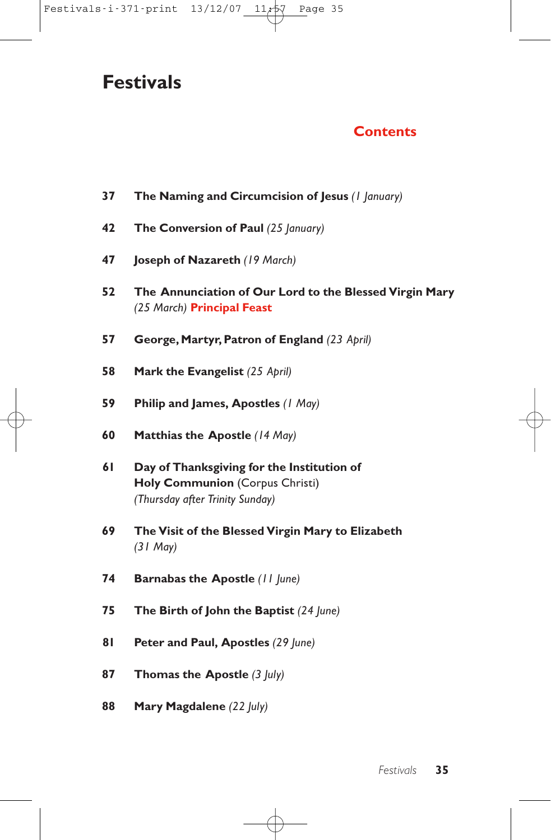Festivals-i-371-print  $13/12/07$   $11/57$  Page 35

# **Festivals**

# **Contents**

| 37 | The Naming and Circumcision of Jesus (I January)                                                                 |
|----|------------------------------------------------------------------------------------------------------------------|
| 42 | The Conversion of Paul (25 January)                                                                              |
| 47 | Joseph of Nazareth (19 March)                                                                                    |
| 52 | The Annunciation of Our Lord to the Blessed Virgin Mary<br>(25 March) Principal Feast                            |
| 57 | George, Martyr, Patron of England (23 April)                                                                     |
| 58 | Mark the Evangelist (25 April)                                                                                   |
| 59 | Philip and James, Apostles (1 May)                                                                               |
| 60 | Matthias the Apostle (14 May)                                                                                    |
| 61 | Day of Thanksgiving for the Institution of<br>Holy Communion (Corpus Christi)<br>(Thursday after Trinity Sunday) |
| 69 | The Visit of the Blessed Virgin Mary to Elizabeth<br>$(31$ May)                                                  |
| 74 | <b>Barnabas the Apostle (11 June)</b>                                                                            |
| 75 | The Birth of John the Baptist (24 June)                                                                          |
| 81 | Peter and Paul, Apostles (29 June)                                                                               |
| 87 | Thomas the Apostle $(3 \text{  uly})$                                                                            |

**Mary Magdalene** *(22 July)*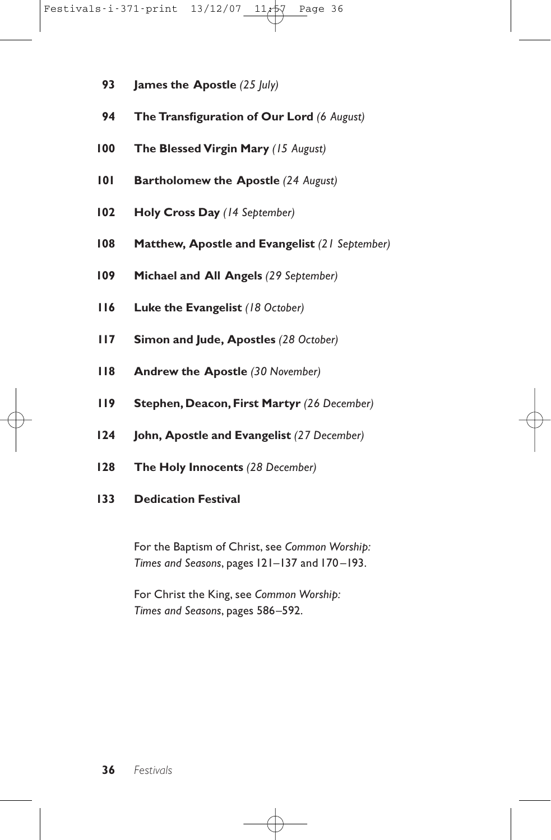- **James the Apostle** *(25 July)*
- **The Transfiguration of Our Lord** *(6 August)*
- **The Blessed Virgin Mary** *(15 August)*
- **Bartholomew the Apostle** *(24 August)*
- **Holy Cross Day** *(14 September)*
- **Matthew, Apostle and Evangelist** *(21 September)*
- **Michael and All Angels** *(29 September)*
- **Luke the Evangelist** *(18 October)*
- **117 Simon and Jude, Apostles** *(28 October)*
- **Andrew the Apostle** *(30 November)*
- **Stephen, Deacon, First Martyr** *(26 December)*
- **John, Apostle and Evangelist** *(27 December)*
- **The Holy Innocents** *(28 December)*
- **Dedication Festival**

For the Baptism of Christ, see *Common Worship: Times and Seasons*, pages 121–137 and 170 –193.

For Christ the King, see *Common Worship: Times and Seasons*, pages 586–592.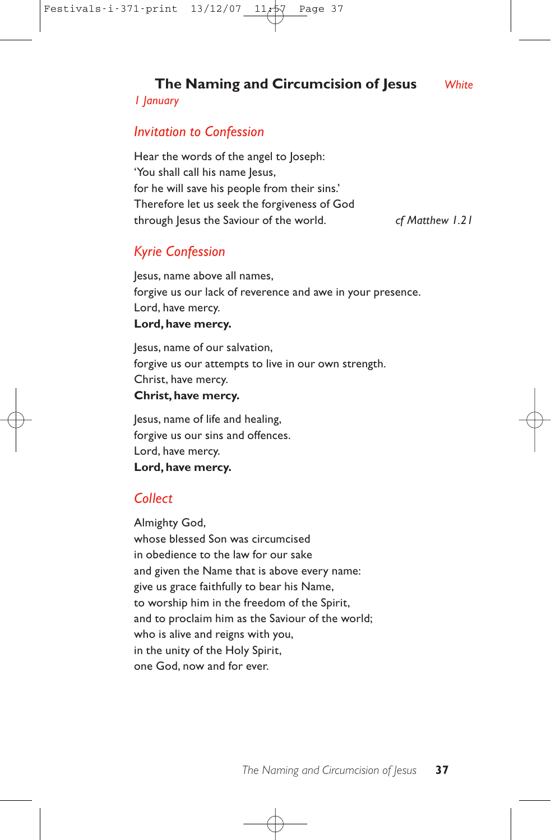# **The Naming and Circumcision of Jesus** *White 1 January*

# *Invitation to Confession*

Hear the words of the angel to Joseph: 'You shall call his name Jesus, for he will save his people from their sins.' Therefore let us seek the forgiveness of God through Jesus the Saviour of the world. *cf Matthew 1.21*

## *Kyrie Confession*

Jesus, name above all names, forgive us our lack of reverence and awe in your presence. Lord, have mercy. **Lord, have mercy.**

Jesus, name of our salvation, forgive us our attempts to live in our own strength. Christ, have mercy. **Christ, have mercy.**

Jesus, name of life and healing, forgive us our sins and offences. Lord, have mercy. **Lord, have mercy.**

# *Collect*

Almighty God, whose blessed Son was circumcised in obedience to the law for our sake and given the Name that is above every name: give us grace faithfully to bear his Name, to worship him in the freedom of the Spirit, and to proclaim him as the Saviour of the world; who is alive and reigns with you, in the unity of the Holy Spirit, one God, now and for ever.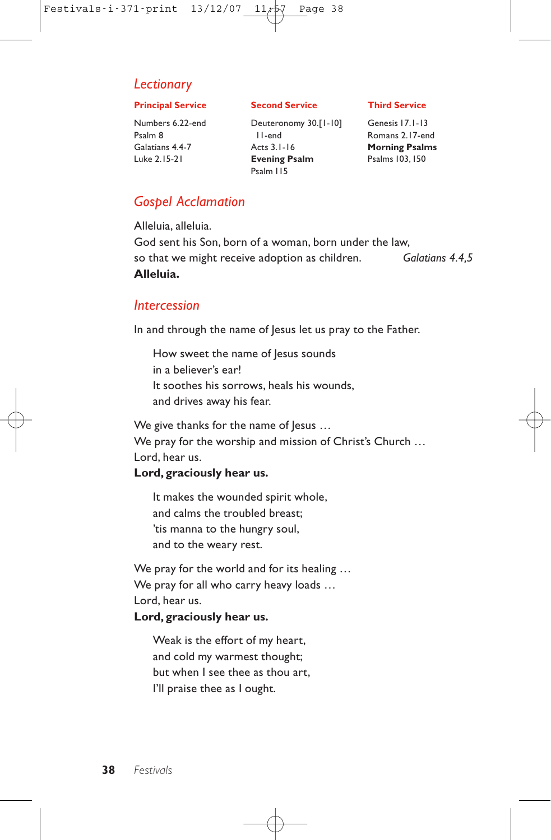#### *Lectionary*

#### **Principal Service Second Service Third Service**

Numbers 6.22-end Deuteronomy 30.[1-10] Genesis 17.1-13 Psalm 8 11-end Romans 2.17-end Galatians 4.4-7 Acts 3.1-16 **Morning Psalms** Luke 2.15-21 **Evening Psalm** Psalms 103,150 Psalm 115

## *Gospel Acclamation*

Alleluia, alleluia.

God sent his Son, born of a woman, born under the law, so that we might receive adoption as children. *Galatians 4.4,5* **Alleluia.**

#### *Intercession*

In and through the name of Jesus let us pray to the Father.

How sweet the name of Jesus sounds in a believer's ear! It soothes his sorrows, heals his wounds, and drives away his fear.

We give thanks for the name of Jesus ... We pray for the worship and mission of Christ's Church ... Lord, hear us.

#### **Lord, graciously hear us.**

It makes the wounded spirit whole, and calms the troubled breast; 'tis manna to the hungry soul, and to the weary rest.

We pray for the world and for its healing ... We pray for all who carry heavy loads … Lord, hear us.

#### **Lord, graciously hear us.**

Weak is the effort of my heart, and cold my warmest thought; but when I see thee as thou art, I'll praise thee as I ought.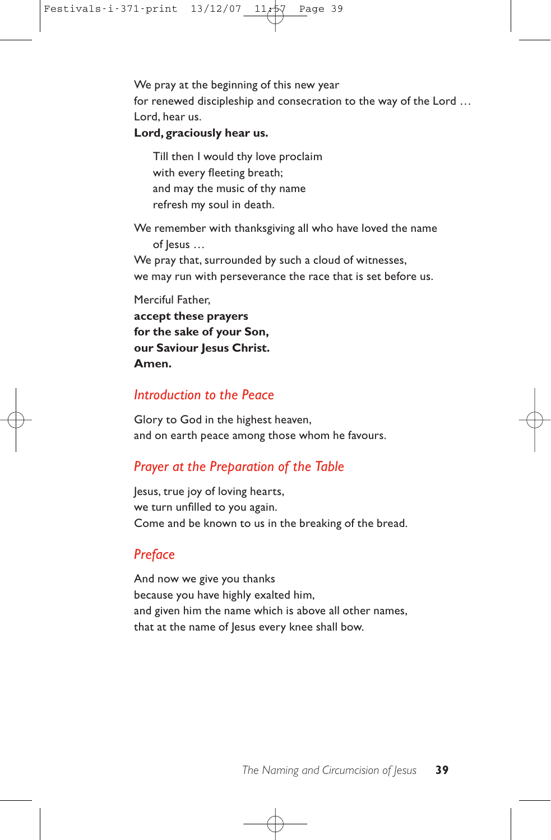We pray at the beginning of this new year for renewed discipleship and consecration to the way of the Lord … Lord, hear us.

#### **Lord, graciously hear us.**

Till then I would thy love proclaim with every fleeting breath; and may the music of thy name refresh my soul in death.

We remember with thanksgiving all who have loved the name of lesus ...

We pray that, surrounded by such a cloud of witnesses, we may run with perseverance the race that is set before us.

Merciful Father, **accept these prayers for the sake of your Son, our Saviour Jesus Christ. Amen.**

# *Introduction to the Peace*

Glory to God in the highest heaven, and on earth peace among those whom he favours.

## *Prayer at the Preparation of the Table*

Jesus, true joy of loving hearts, we turn unfilled to you again. Come and be known to us in the breaking of the bread.

#### *Preface*

And now we give you thanks because you have highly exalted him, and given him the name which is above all other names, that at the name of Jesus every knee shall bow.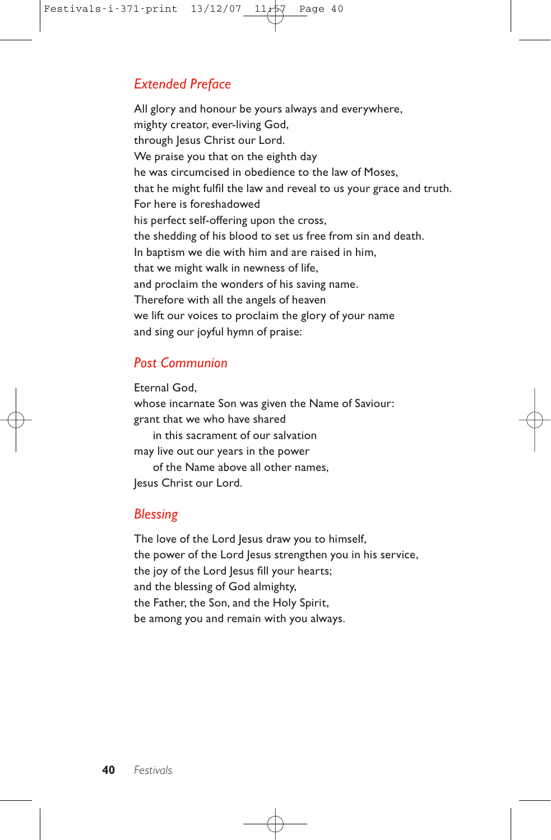# *Extended Preface*

All glory and honour be yours always and everywhere, mighty creator, ever-living God, through Jesus Christ our Lord. We praise you that on the eighth day he was circumcised in obedience to the law of Moses, that he might fulfil the law and reveal to us your grace and truth. For here is foreshadowed his perfect self-offering upon the cross, the shedding of his blood to set us free from sin and death. In baptism we die with him and are raised in him, that we might walk in newness of life, and proclaim the wonders of his saving name. Therefore with all the angels of heaven we lift our voices to proclaim the glory of your name and sing our joyful hymn of praise:

# *Post Communion*

Eternal God, whose incarnate Son was given the Name of Saviour: grant that we who have shared in this sacrament of our salvation may live out our years in the power of the Name above all other names, Jesus Christ our Lord.

#### *Blessing*

The love of the Lord Jesus draw you to himself, the power of the Lord Jesus strengthen you in his service, the joy of the Lord Jesus fill your hearts; and the blessing of God almighty, the Father, the Son, and the Holy Spirit, be among you and remain with you always.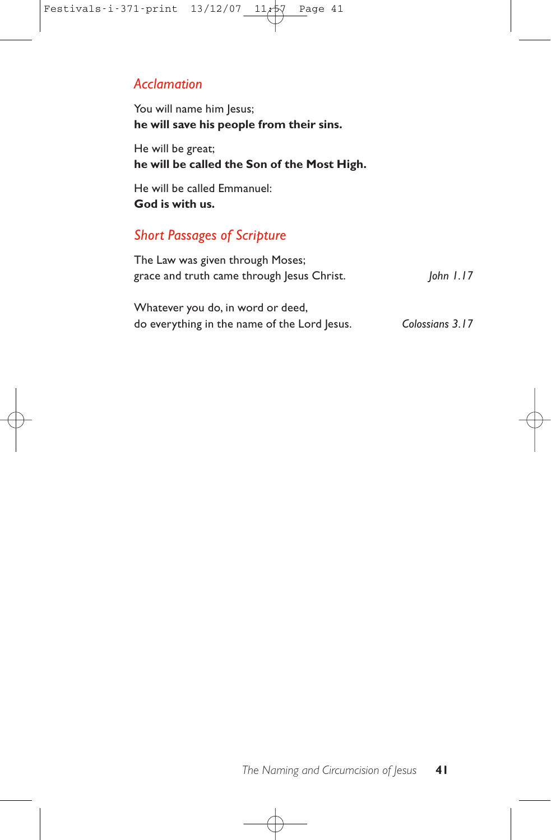# *Acclamation*

You will name him Jesus; **he will save his people from their sins.**

He will be great; **he will be called the Son of the Most High.**

He will be called Emmanuel: **God is with us.**

# *Short Passages of Scripture*

| The Law was given through Moses;             |                 |
|----------------------------------------------|-----------------|
| grace and truth came through Jesus Christ.   | John $1.17$     |
| Whatever you do, in word or deed,            |                 |
| do everything in the name of the Lord Jesus. | Colossians 3.17 |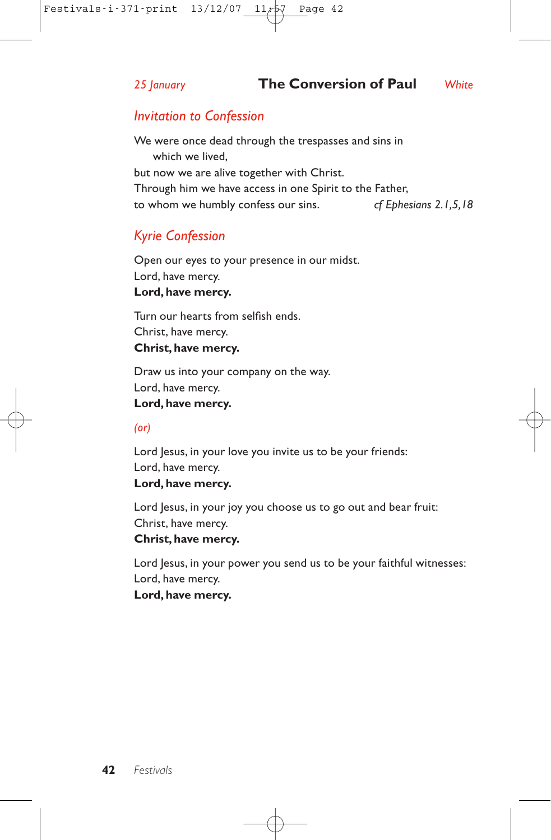#### *25 January* **The Conversion of Paul** *White*

## *Invitation to Confession*

We were once dead through the trespasses and sins in which we lived, but now we are alive together with Christ. Through him we have access in one Spirit to the Father, to whom we humbly confess our sins. *cf Ephesians 2.1,5,18*

## *Kyrie Confession*

Open our eyes to your presence in our midst. Lord, have mercy. **Lord, have mercy.**

Turn our hearts from selfish ends. Christ, have mercy. **Christ, have mercy.**

Draw us into your company on the way. Lord, have mercy. **Lord, have mercy.**

#### *(or)*

Lord Jesus, in your love you invite us to be your friends: Lord, have mercy.

#### **Lord, have mercy.**

Lord Jesus, in your joy you choose us to go out and bear fruit: Christ, have mercy.

#### **Christ, have mercy.**

Lord Jesus, in your power you send us to be your faithful witnesses: Lord, have mercy.

**Lord, have mercy.**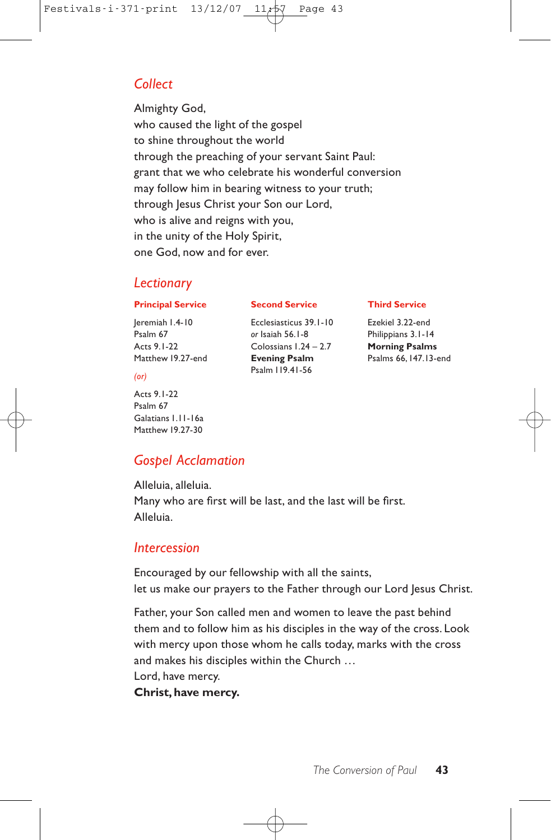# *Collect*

Almighty God, who caused the light of the gospel to shine throughout the world through the preaching of your servant Saint Paul: grant that we who celebrate his wonderful conversion may follow him in bearing witness to your truth; through Jesus Christ your Son our Lord, who is alive and reigns with you, in the unity of the Holy Spirit, one God, now and for ever.

#### *Lectionary*

#### **Principal Service Second Service Third Service**

Jeremiah 1.4-10 Ecclesiasticus 39.1-10 Ezekiel 3.22-end

## Psalm 67 *or* Isaiah 56.1-8 Philippians 3.1-14 Acts 9.1-22 Colossians 1.24 – 2.7 **Morning Psalms** Matthew 19.27-end **Evening Psalm** Psalms 66, 147.13-end Psalm 119.41-56 *(or)*

Acts 9.1-22 Psalm 67 Galatians 1.11-16a Matthew 19.27-30

## *Gospel Acclamation*

Alleluia, alleluia. Many who are first will be last, and the last will be first. Alleluia.

#### *Intercession*

Encouraged by our fellowship with all the saints, let us make our prayers to the Father through our Lord Jesus Christ.

Father, your Son called men and women to leave the past behind them and to follow him as his disciples in the way of the cross. Look with mercy upon those whom he calls today, marks with the cross and makes his disciples within the Church … Lord, have mercy.

**Christ, have mercy.**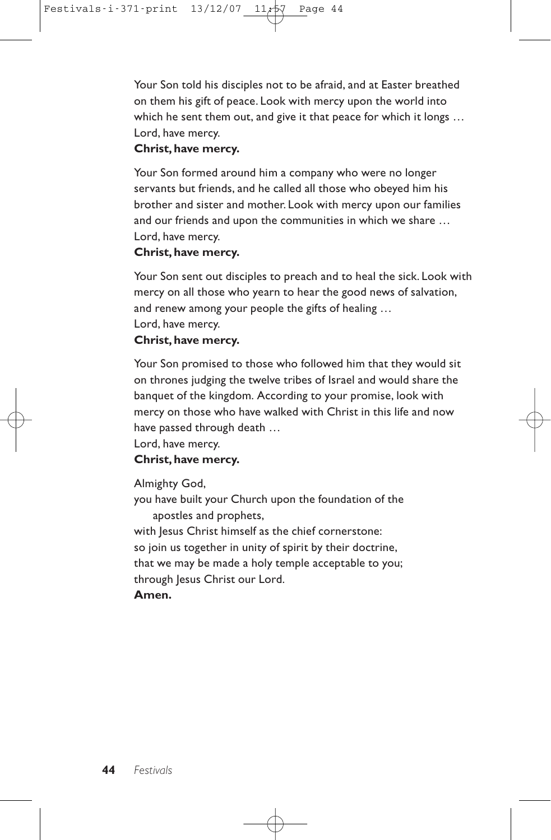Your Son told his disciples not to be afraid, and at Easter breathed on them his gift of peace. Look with mercy upon the world into which he sent them out, and give it that peace for which it longs ... Lord, have mercy.

#### **Christ, have mercy.**

Your Son formed around him a company who were no longer servants but friends, and he called all those who obeyed him his brother and sister and mother. Look with mercy upon our families and our friends and upon the communities in which we share … Lord, have mercy.

#### **Christ, have mercy.**

Your Son sent out disciples to preach and to heal the sick. Look with mercy on all those who yearn to hear the good news of salvation, and renew among your people the gifts of healing … Lord, have mercy.

#### **Christ, have mercy.**

Your Son promised to those who followed him that they would sit on thrones judging the twelve tribes of Israel and would share the banquet of the kingdom. According to your promise, look with mercy on those who have walked with Christ in this life and now have passed through death …

Lord, have mercy.

#### **Christ, have mercy.**

#### Almighty God,

you have built your Church upon the foundation of the apostles and prophets,

with Jesus Christ himself as the chief cornerstone: so join us together in unity of spirit by their doctrine, that we may be made a holy temple acceptable to you; through Jesus Christ our Lord. **Amen.**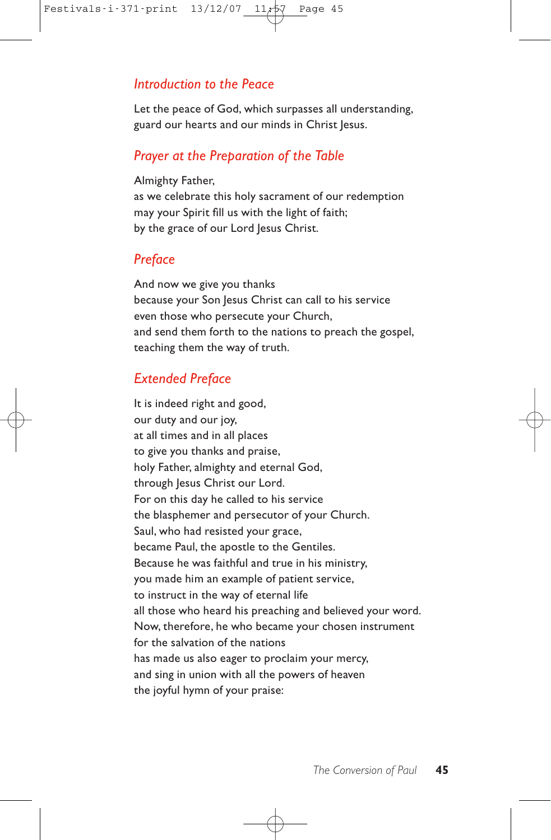## *Introduction to the Peace*

Let the peace of God, which surpasses all understanding, guard our hearts and our minds in Christ Jesus.

#### *Prayer at the Preparation of the Table*

Almighty Father, as we celebrate this holy sacrament of our redemption may your Spirit fill us with the light of faith; by the grace of our Lord Jesus Christ.

## *Preface*

And now we give you thanks because your Son Jesus Christ can call to his service even those who persecute your Church, and send them forth to the nations to preach the gospel, teaching them the way of truth.

#### *Extended Preface*

It is indeed right and good, our duty and our joy, at all times and in all places to give you thanks and praise, holy Father, almighty and eternal God, through Jesus Christ our Lord. For on this day he called to his service the blasphemer and persecutor of your Church. Saul, who had resisted your grace, became Paul, the apostle to the Gentiles. Because he was faithful and true in his ministry, you made him an example of patient service, to instruct in the way of eternal life all those who heard his preaching and believed your word. Now, therefore, he who became your chosen instrument for the salvation of the nations has made us also eager to proclaim your mercy, and sing in union with all the powers of heaven the joyful hymn of your praise: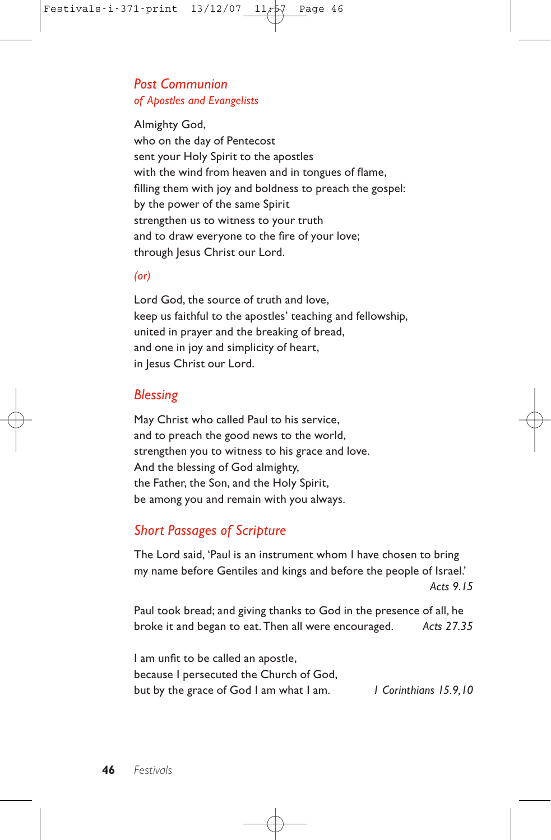# *Post Communion of Apostles and Evangelists*

Almighty God, who on the day of Pentecost sent your Holy Spirit to the apostles with the wind from heaven and in tongues of flame, filling them with joy and boldness to preach the gospel: by the power of the same Spirit strengthen us to witness to your truth and to draw everyone to the fire of your love; through Jesus Christ our Lord.

#### *(or)*

Lord God, the source of truth and love, keep us faithful to the apostles' teaching and fellowship, united in prayer and the breaking of bread, and one in joy and simplicity of heart, in Jesus Christ our Lord.

#### *Blessing*

May Christ who called Paul to his service, and to preach the good news to the world, strengthen you to witness to his grace and love. And the blessing of God almighty, the Father, the Son, and the Holy Spirit, be among you and remain with you always.

#### *Short Passages of Scripture*

The Lord said, 'Paul is an instrument whom I have chosen to bring my name before Gentiles and kings and before the people of Israel.'

*Acts 9.15*

Paul took bread; and giving thanks to God in the presence of all, he broke it and began to eat. Then all were encouraged. *Acts 27.35*

I am unfit to be called an apostle, because I persecuted the Church of God, but by the grace of God I am what I am. *1 Corinthians 15.9,10*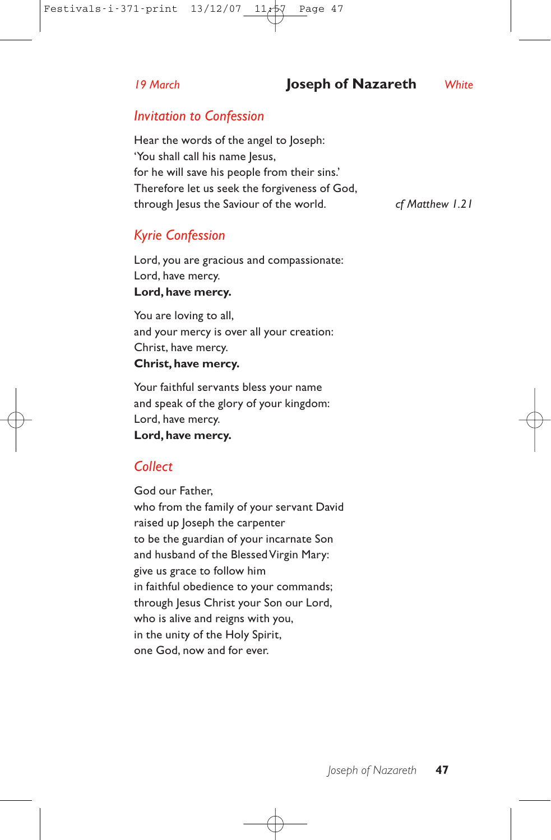#### *19 March* **Joseph of Nazareth** *White*

#### *Invitation to Confession*

Hear the words of the angel to Joseph: 'You shall call his name Jesus, for he will save his people from their sins.' Therefore let us seek the forgiveness of God, through Jesus the Saviour of the world. *cf Matthew 1.21*

#### *Kyrie Confession*

Lord, you are gracious and compassionate: Lord, have mercy. **Lord, have mercy.**

You are loving to all, and your mercy is over all your creation: Christ, have mercy. **Christ, have mercy.**

Your faithful servants bless your name and speak of the glory of your kingdom: Lord, have mercy. **Lord, have mercy.**

# *Collect*

God our Father, who from the family of your servant David raised up Joseph the carpenter to be the guardian of your incarnate Son and husband of the Blessed Virgin Mary: give us grace to follow him in faithful obedience to your commands; through Jesus Christ your Son our Lord, who is alive and reigns with you, in the unity of the Holy Spirit, one God, now and for ever.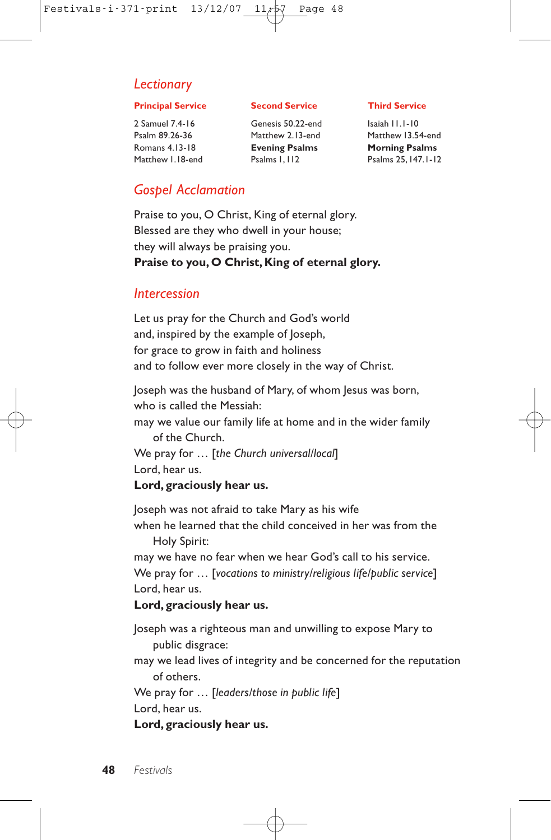#### *Lectionary*

#### **Principal Service Second Service Third Service**

Romans 4.13-18 **Evening Psalms Morning Psalms** Matthew 1.18-end Psalms 1,112 Psalms 25,147.1-12

2 Samuel 7.4-16 Genesis 50.22-end Isaiah 11.1-10

Matthew 13.54-end

#### *Gospel Acclamation*

Praise to you, O Christ, King of eternal glory. Blessed are they who dwell in your house; they will always be praising you. **Praise to you, O Christ, King of eternal glory.**

#### *Intercession*

Let us pray for the Church and God's world and, inspired by the example of Joseph, for grace to grow in faith and holiness and to follow ever more closely in the way of Christ.

Joseph was the husband of Mary, of whom Jesus was born, who is called the Messiah: may we value our family life at home and in the wider family

of the Church. We pray for … [*the Church universal/local*] Lord, hear us.

#### **Lord, graciously hear us.**

Joseph was not afraid to take Mary as his wife

when he learned that the child conceived in her was from the Holy Spirit:

may we have no fear when we hear God's call to his service. We pray for … [*vocations to ministry/religious life/public service*] Lord, hear us.

#### **Lord, graciously hear us.**

Joseph was a righteous man and unwilling to expose Mary to public disgrace:

may we lead lives of integrity and be concerned for the reputation of others.

We pray for … [*leaders/those in public life*] Lord, hear us.

**Lord, graciously hear us.**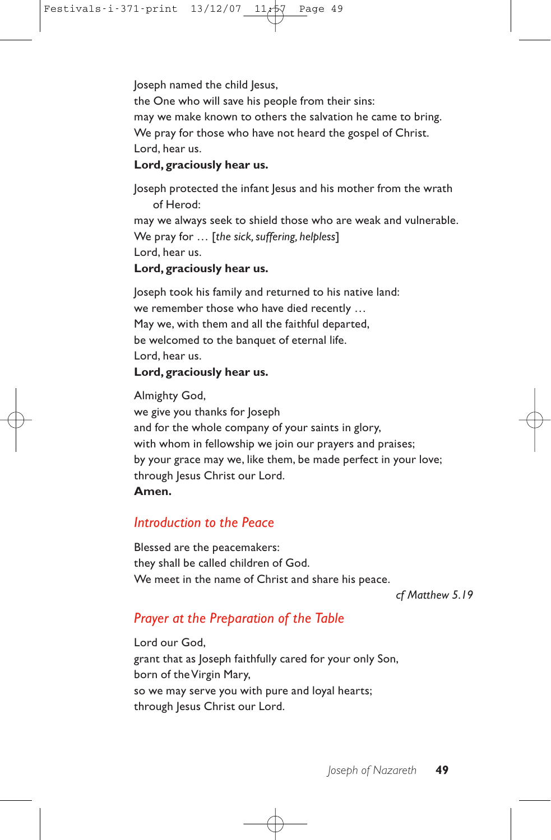Joseph named the child Jesus,

the One who will save his people from their sins:

may we make known to others the salvation he came to bring.

We pray for those who have not heard the gospel of Christ.

Lord, hear us.

## **Lord, graciously hear us.**

Joseph protected the infant Jesus and his mother from the wrath of Herod:

may we always seek to shield those who are weak and vulnerable. We pray for … [*the sick, suffering, helpless*] Lord, hear us.

#### **Lord, graciously hear us.**

Joseph took his family and returned to his native land: we remember those who have died recently … May we, with them and all the faithful departed, be welcomed to the banquet of eternal life. Lord, hear us.

# **Lord, graciously hear us.**

Almighty God, we give you thanks for Joseph and for the whole company of your saints in glory, with whom in fellowship we join our prayers and praises; by your grace may we, like them, be made perfect in your love; through Jesus Christ our Lord. **Amen.**

# *Introduction to the Peace*

Blessed are the peacemakers: they shall be called children of God. We meet in the name of Christ and share his peace.

*cf Matthew 5.19*

## *Prayer at the Preparation of the Table*

Lord our God, grant that as Joseph faithfully cared for your only Son, born of the Virgin Mary, so we may serve you with pure and loyal hearts; through Jesus Christ our Lord.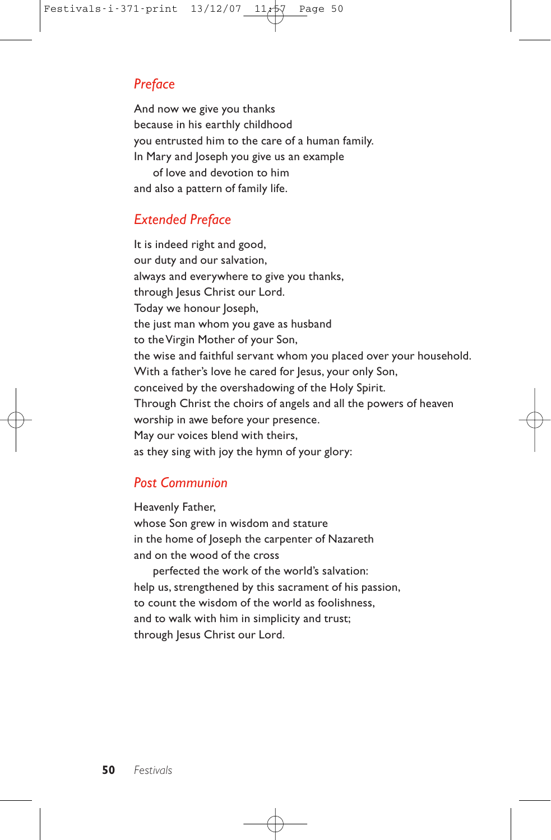# *Preface*

And now we give you thanks because in his earthly childhood you entrusted him to the care of a human family. In Mary and Joseph you give us an example of love and devotion to him and also a pattern of family life.

## *Extended Preface*

It is indeed right and good, our duty and our salvation, always and everywhere to give you thanks, through Jesus Christ our Lord. Today we honour Joseph, the just man whom you gave as husband to the Virgin Mother of your Son, the wise and faithful servant whom you placed over your household. With a father's love he cared for Jesus, your only Son, conceived by the overshadowing of the Holy Spirit. Through Christ the choirs of angels and all the powers of heaven worship in awe before your presence. May our voices blend with theirs, as they sing with joy the hymn of your glory:

#### *Post Communion*

Heavenly Father, whose Son grew in wisdom and stature in the home of Joseph the carpenter of Nazareth and on the wood of the cross perfected the work of the world's salvation: help us, strengthened by this sacrament of his passion, to count the wisdom of the world as foolishness, and to walk with him in simplicity and trust;

through Jesus Christ our Lord.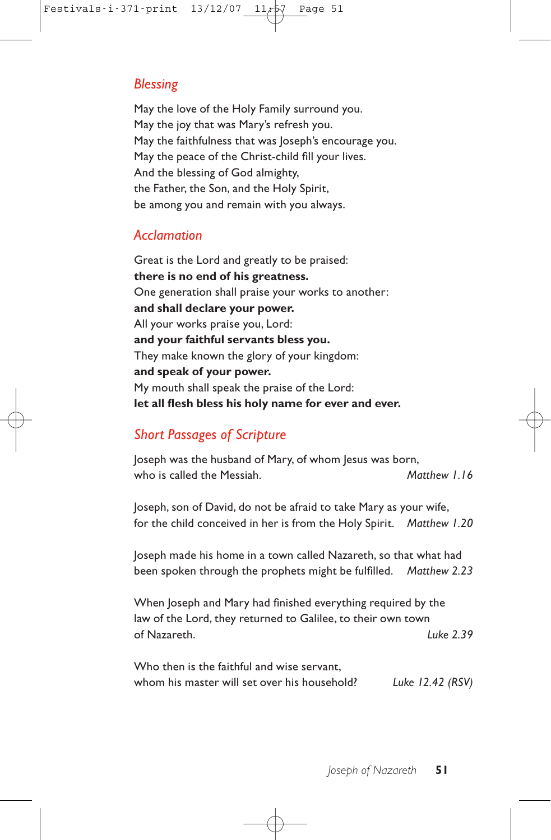#### *Blessing*

May the love of the Holy Family surround you. May the joy that was Mary's refresh you. May the faithfulness that was Joseph's encourage you. May the peace of the Christ-child fill your lives. And the blessing of God almighty, the Father, the Son, and the Holy Spirit, be among you and remain with you always.

## *Acclamation*

Great is the Lord and greatly to be praised: **there is no end of his greatness.** One generation shall praise your works to another: **and shall declare your power.** All your works praise you, Lord: **and your faithful servants bless you.** They make known the glory of your kingdom: **and speak of your power.** My mouth shall speak the praise of the Lord: **let all flesh bless his holy name for ever and ever.**

#### *Short Passages of Scripture*

Joseph was the husband of Mary, of whom Jesus was born, who is called the Messiah. **Matthew 1.16** Matthew 1.16

Joseph, son of David, do not be afraid to take Mary as your wife, for the child conceived in her is from the Holy Spirit. *Matthew 1.20*

Joseph made his home in a town called Nazareth, so that what had been spoken through the prophets might be fulfilled. *Matthew 2.23*

When Joseph and Mary had finished everything required by the law of the Lord, they returned to Galilee, to their own town of Nazareth. *Luke 2.39*

Who then is the faithful and wise servant, whom his master will set over his household? *Luke 12.42 (RSV)*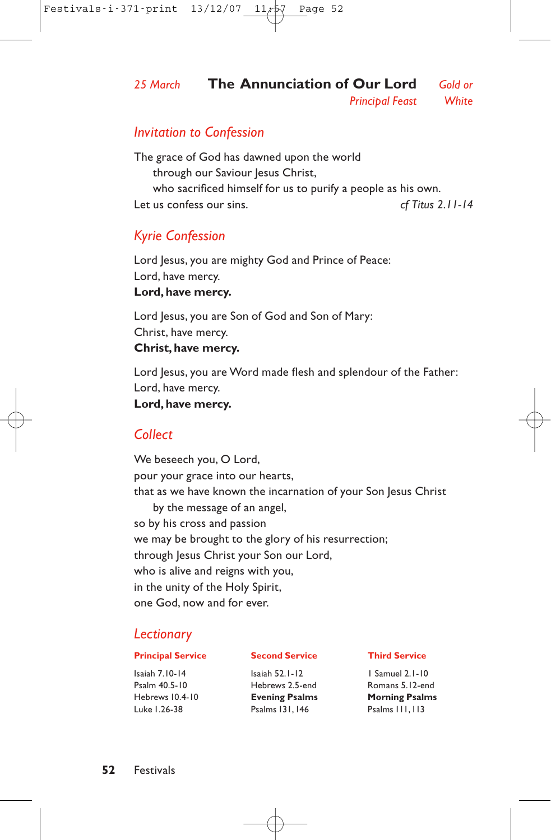# *25 March* **The Annunciation of Our Lord** *Gold or Principal Feast White*

## *Invitation to Confession*

The grace of God has dawned upon the world through our Saviour Jesus Christ, who sacrificed himself for us to purify a people as his own. Let us confess our sins. *cf Titus 2.11-14*

## *Kyrie Confession*

Lord Jesus, you are mighty God and Prince of Peace: Lord, have mercy. **Lord, have mercy.**

Lord Jesus, you are Son of God and Son of Mary: Christ, have mercy. **Christ, have mercy.**

Lord Jesus, you are Word made flesh and splendour of the Father: Lord, have mercy. **Lord, have mercy.**

# *Collect*

We beseech you, O Lord, pour your grace into our hearts, that as we have known the incarnation of your Son Jesus Christ by the message of an angel, so by his cross and passion we may be brought to the glory of his resurrection; through Jesus Christ your Son our Lord, who is alive and reigns with you, in the unity of the Holy Spirit, one God, now and for ever.

#### *Lectionary*

#### **Principal Service Second Service Third Service**

Isaiah 7.10-14 Isaiah 52.1-12 1 Samuel 2.1-10 Psalm 40.5-10 Hebrews 2.5-end Romans 5.12-end Luke 1.26-38 Psalms 131,146 Psalms 111,113

Hebrews 10.4-10 **Evening Psalms Morning Psalms**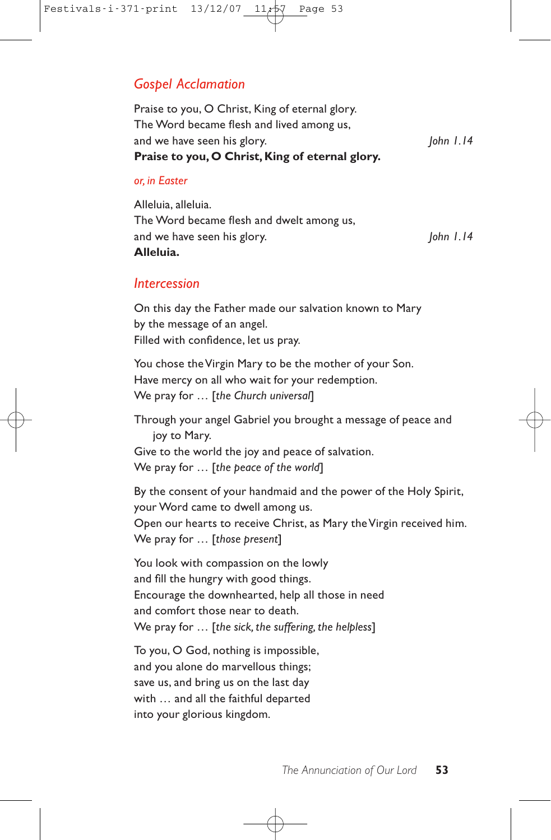# *Gospel Acclamation*

Praise to you, O Christ, King of eternal glory. The Word became flesh and lived among us, and we have seen his glory. **John 1.14 Praise to you, O Christ, King of eternal glory.**

#### *or, in Easter*

Alleluia, alleluia. The Word became flesh and dwelt among us, and we have seen his glory. *John 1.14* **Alleluia.**

#### *Intercession*

On this day the Father made our salvation known to Mary by the message of an angel. Filled with confidence, let us pray.

You chose the Virgin Mary to be the mother of your Son. Have mercy on all who wait for your redemption. We pray for … [*the Church universal*]

Through your angel Gabriel you brought a message of peace and joy to Mary. Give to the world the joy and peace of salvation.

We pray for … [*the peace of the world*]

By the consent of your handmaid and the power of the Holy Spirit, your Word came to dwell among us. Open our hearts to receive Christ, as Mary the Virgin received him. We pray for … [*those present*]

You look with compassion on the lowly and fill the hungry with good things. Encourage the downhearted, help all those in need and comfort those near to death. We pray for … [*the sick, the suffering, the helpless*]

To you, O God, nothing is impossible, and you alone do marvellous things; save us, and bring us on the last day with … and all the faithful departed into your glorious kingdom.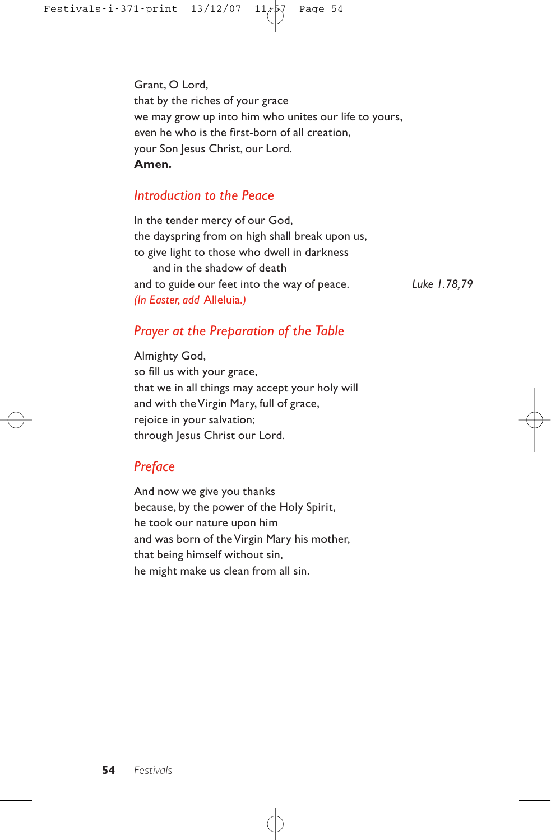Grant, O Lord, that by the riches of your grace we may grow up into him who unites our life to yours, even he who is the first-born of all creation, your Son Jesus Christ, our Lord. **Amen.**

# *Introduction to the Peace*

In the tender mercy of our God, the dayspring from on high shall break upon us, to give light to those who dwell in darkness and in the shadow of death and to guide our feet into the way of peace. *Luke 1.78,79 (In Easter, add* Alleluia.*)*

#### *Prayer at the Preparation of the Table*

Almighty God, so fill us with your grace, that we in all things may accept your holy will and with the Virgin Mary, full of grace, rejoice in your salvation; through Jesus Christ our Lord.

# *Preface*

And now we give you thanks because, by the power of the Holy Spirit, he took our nature upon him and was born of the Virgin Mary his mother, that being himself without sin, he might make us clean from all sin.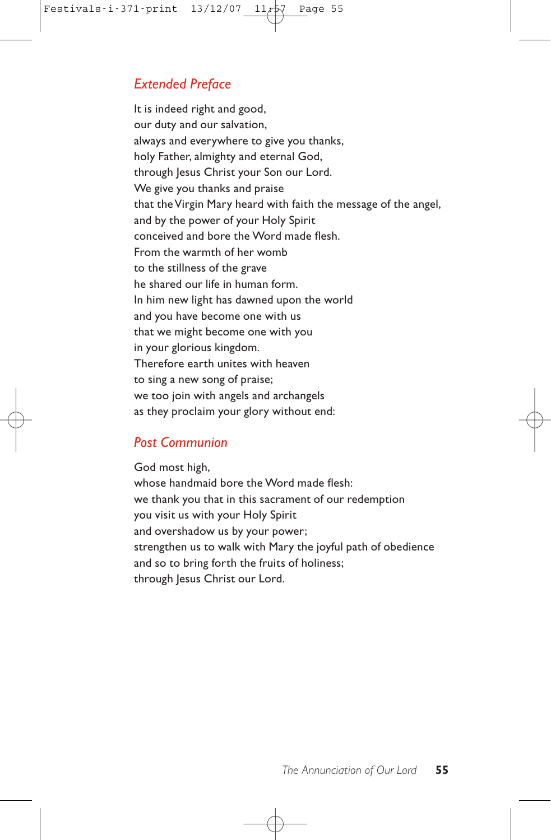## *Extended Preface*

It is indeed right and good, our duty and our salvation, always and everywhere to give you thanks, holy Father, almighty and eternal God, through Jesus Christ your Son our Lord. We give you thanks and praise that the Virgin Mary heard with faith the message of the angel, and by the power of your Holy Spirit conceived and bore the Word made flesh. From the warmth of her womb to the stillness of the grave he shared our life in human form. In him new light has dawned upon the world and you have become one with us that we might become one with you in your glorious kingdom. Therefore earth unites with heaven to sing a new song of praise; we too join with angels and archangels as they proclaim your glory without end:

## *Post Communion*

God most high, whose handmaid bore the Word made flesh: we thank you that in this sacrament of our redemption you visit us with your Holy Spirit and overshadow us by your power; strengthen us to walk with Mary the joyful path of obedience and so to bring forth the fruits of holiness; through Jesus Christ our Lord.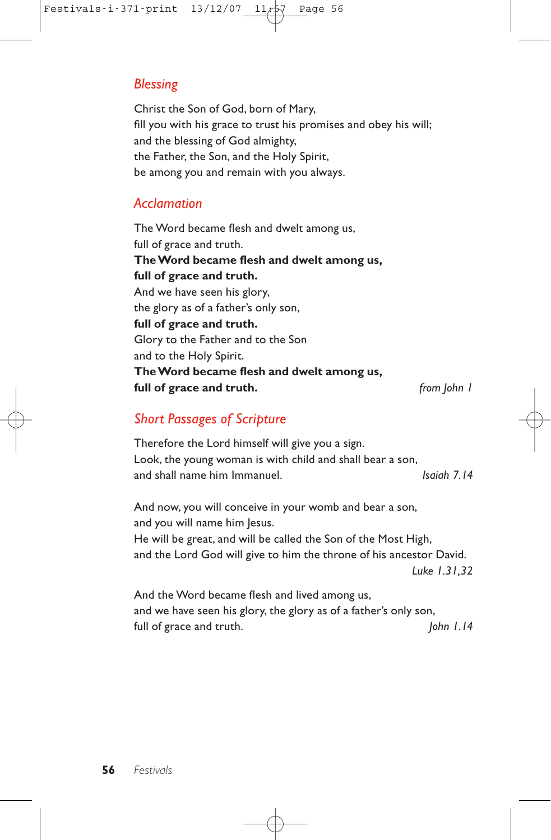## *Blessing*

Christ the Son of God, born of Mary, fill you with his grace to trust his promises and obey his will; and the blessing of God almighty, the Father, the Son, and the Holy Spirit, be among you and remain with you always.

## *Acclamation*

The Word became flesh and dwelt among us, full of grace and truth. **The Word became flesh and dwelt among us, full of grace and truth.** And we have seen his glory, the glory as of a father's only son, **full of grace and truth.** Glory to the Father and to the Son and to the Holy Spirit. **The Word became flesh and dwelt among us, full of grace and truth.** *from John 1*

# *Short Passages of Scripture*

Therefore the Lord himself will give you a sign. Look, the young woman is with child and shall bear a son, and shall name him Immanuel. *Isaiah 7.14*

And now, you will conceive in your womb and bear a son, and you will name him Jesus. He will be great, and will be called the Son of the Most High, and the Lord God will give to him the throne of his ancestor David. *Luke 1.31,32*

And the Word became flesh and lived among us, and we have seen his glory, the glory as of a father's only son, full of grace and truth. *John 1.14*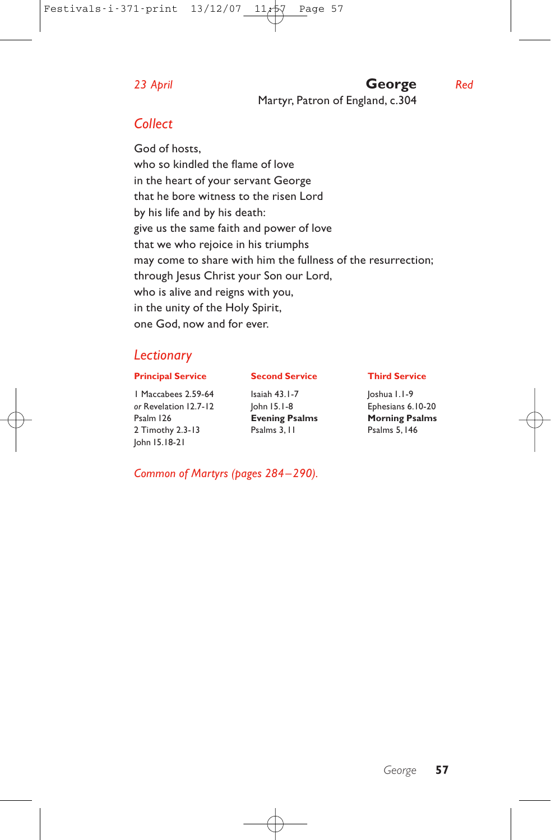*23 April* **George** *Red* Martyr, Patron of England, c.304

## *Collect*

God of hosts, who so kindled the flame of love in the heart of your servant George that he bore witness to the risen Lord by his life and by his death: give us the same faith and power of love that we who rejoice in his triumphs may come to share with him the fullness of the resurrection; through Jesus Christ your Son our Lord, who is alive and reigns with you, in the unity of the Holy Spirit, one God, now and for ever.

#### *Lectionary*

#### **Principal Service Second Service Third Service**

1 Maccabees 2.59-64 Isaiah 43.1-7 Joshua 1.1-9 *or* Revelation 12.7-12 John 15.1-8 Ephesians 6.10-20<br>Psalm 126 **Evening Psalms Morning Psalms** Psalm 126 **Evening Psalms Morning Psalms**<br>2 Timothy 2.3-13 **Psalms** 3, 11 Psalms 5, 146 2 Timothy 2.3-13 John 15.18-21

*Common of Martyrs (pages 284–290).*

*George* **57**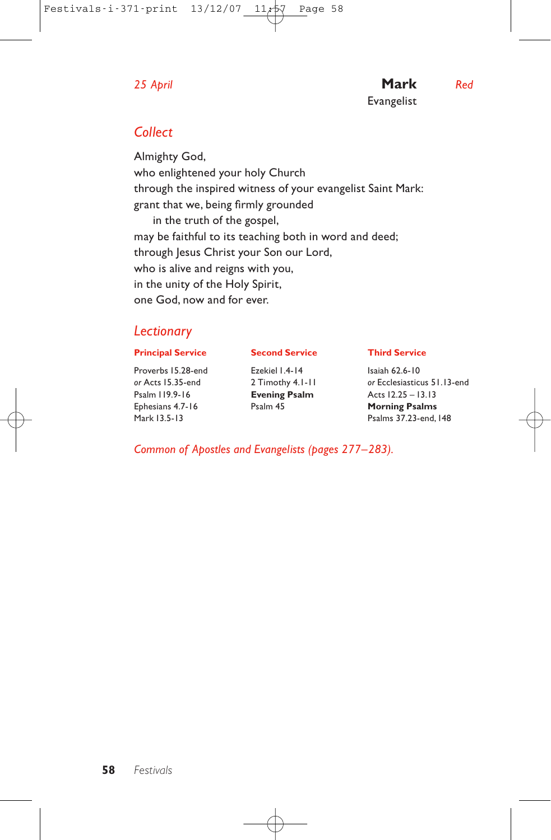## *25 April* **Mark** *Red*

# Evangelist

# *Collect*

Almighty God, who enlightened your holy Church through the inspired witness of your evangelist Saint Mark: grant that we, being firmly grounded in the truth of the gospel, may be faithful to its teaching both in word and deed; through Jesus Christ your Son our Lord, who is alive and reigns with you, in the unity of the Holy Spirit,

one God, now and for ever.

#### *Lectionary*

#### **Principal Service Second Service Third Service**

Psalm 119.9-16 **Evening Psalm** Acts 12.25 – 13.13 Ephesians 4.7-16 Psalm 45 **Morning Psalms** Mark 13.5-13 Psalms 37.23-end,148

Proverbs 15.28-end Ezekiel 1.4-14 Isaiah 62.6-10

# *or* Acts 15.35-end 2 Timothy 4.1-11 *or* Ecclesiasticus 51.13-end

*Common of Apostles and Evangelists (pages 277–283).*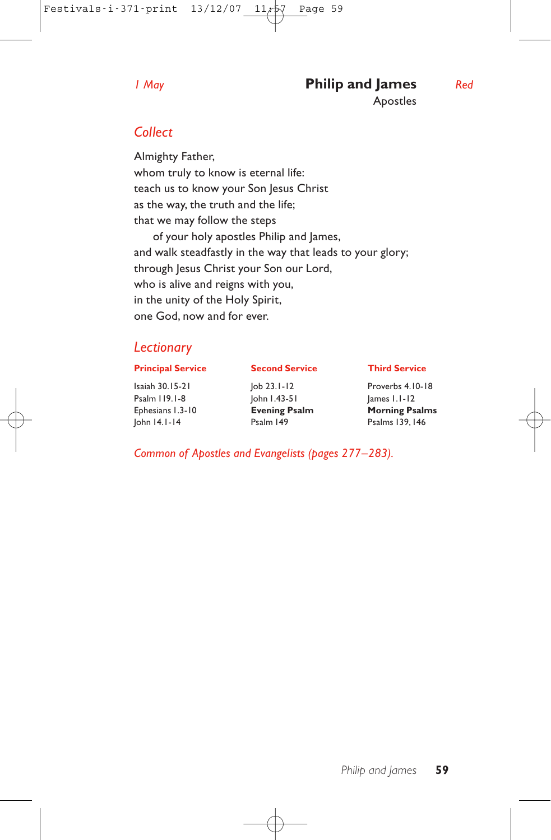# *1 May* **Philip and James** *Red*

Apostles

# *Collect*

Almighty Father, whom truly to know is eternal life: teach us to know your Son Jesus Christ as the way, the truth and the life; that we may follow the steps of your holy apostles Philip and James,

and walk steadfastly in the way that leads to your glory; through Jesus Christ your Son our Lord, who is alive and reigns with you, in the unity of the Holy Spirit, one God, now and for ever.

#### *Lectionary*

#### **Principal Service Second Service Third Service**

# Isaiah 30.15-21 Job 23.1-12 Proverbs 4.10-18<br>Psalm 119.1-8 John 1.43-51 James 1.1-12 Psalm 119.1-8 John 1.43-51 John 14.1-14 Psalm 149 Psalms 139,146

Ephesians 1.3-10 **Evening Psalm Morning Psalms**

*Common of Apostles and Evangelists (pages 277–283).*

*Philip and James* **59**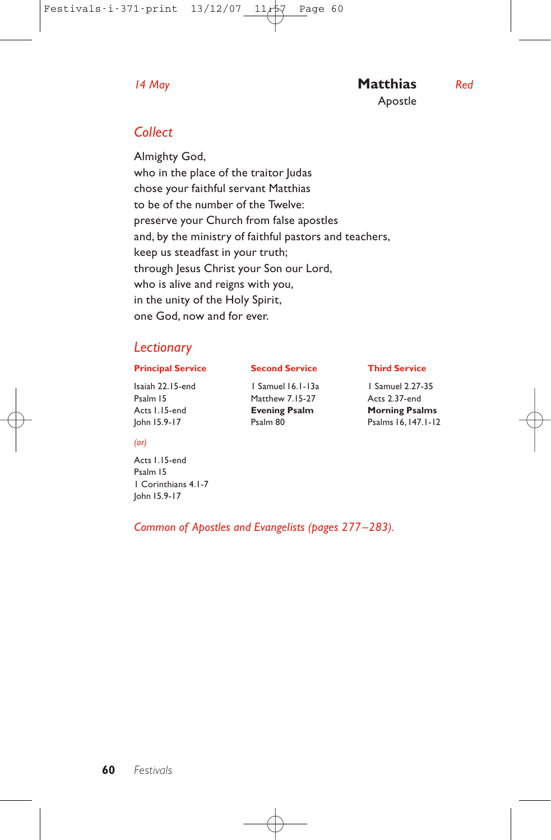## *14 May* **Matthias** *Red* Apostle

#### *Collect*

Almighty God, who in the place of the traitor Judas chose your faithful servant Matthias to be of the number of the Twelve: preserve your Church from false apostles and, by the ministry of faithful pastors and teachers, keep us steadfast in your truth; through Jesus Christ your Son our Lord, who is alive and reigns with you, in the unity of the Holy Spirit, one God, now and for ever.

#### *Lectionary*

# Isaiah 22.15-end 1 Samuel 16.1-13a 1 Samuel 2.27-35<br>Psalm 15 1 - Matthew 7.15-27 1 - Acts 2.37-end

#### **Principal Service Second Service Third Service**

**Matthew 7.15-27** 

*Common of Apostles and Evangelists (pages 277–283).*

Acts 1.15-end **Evening Psalm Morning Psalms** John 15.9-17 Psalm 80 Psalms 16,147.1-12

#### *(or)*

Acts 1.15-end Psalm 15 1 Corinthians 4.1-7 John 15.9-17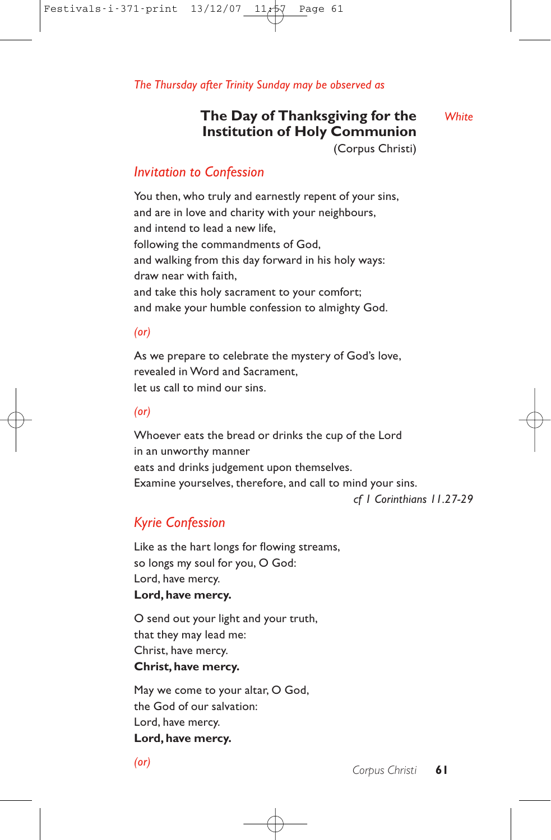#### *The Thursday after Trinity Sunday may be observed as*

# **The Day of Thanksgiving for the** *White* **Institution of Holy Communion**

(Corpus Christi)

#### *Invitation to Confession*

You then, who truly and earnestly repent of your sins, and are in love and charity with your neighbours, and intend to lead a new life, following the commandments of God, and walking from this day forward in his holy ways: draw near with faith, and take this holy sacrament to your comfort; and make your humble confession to almighty God.

#### *(or)*

As we prepare to celebrate the mystery of God's love, revealed in Word and Sacrament, let us call to mind our sins.

#### *(or)*

Whoever eats the bread or drinks the cup of the Lord in an unworthy manner eats and drinks judgement upon themselves. Examine yourselves, therefore, and call to mind your sins.

*cf 1 Corinthians 11.27-29*

#### *Kyrie Confession*

Like as the hart longs for flowing streams, so longs my soul for you, O God: Lord, have mercy. **Lord, have mercy.**

O send out your light and your truth, that they may lead me: Christ, have mercy. **Christ, have mercy.**

May we come to your altar, O God, the God of our salvation: Lord, have mercy. **Lord, have mercy.**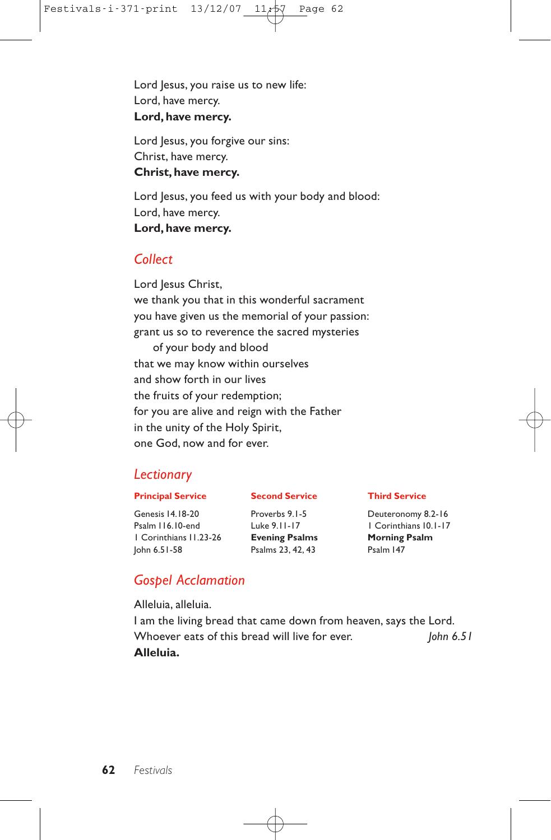Lord Jesus, you raise us to new life: Lord, have mercy. **Lord, have mercy.**

Lord Jesus, you forgive our sins: Christ, have mercy. **Christ, have mercy.**

Lord Jesus, you feed us with your body and blood: Lord, have mercy. **Lord, have mercy.**

# *Collect*

Lord Jesus Christ, we thank you that in this wonderful sacrament you have given us the memorial of your passion: grant us so to reverence the sacred mysteries of your body and blood that we may know within ourselves and show forth in our lives the fruits of your redemption; for you are alive and reign with the Father in the unity of the Holy Spirit, one God, now and for ever.

# *Lectionary*

#### **Principal Service Second Service Third Service**

Genesis 14.18-20 Proverbs 9.1-5 Deuteronomy 8.2-16 Psalm 116.10-end Luke 9.11-17 1 Corinthians 10.1-17 1 Corinthians 11.23-26 **Evening Psalms Morning Psalm** John 6.51-58 Psalms 23, 42, 43 Psalm 147

# *Gospel Acclamation*

Alleluia, alleluia.

I am the living bread that came down from heaven, says the Lord. Whoever eats of this bread will live for ever. *John 6.51* **Alleluia.**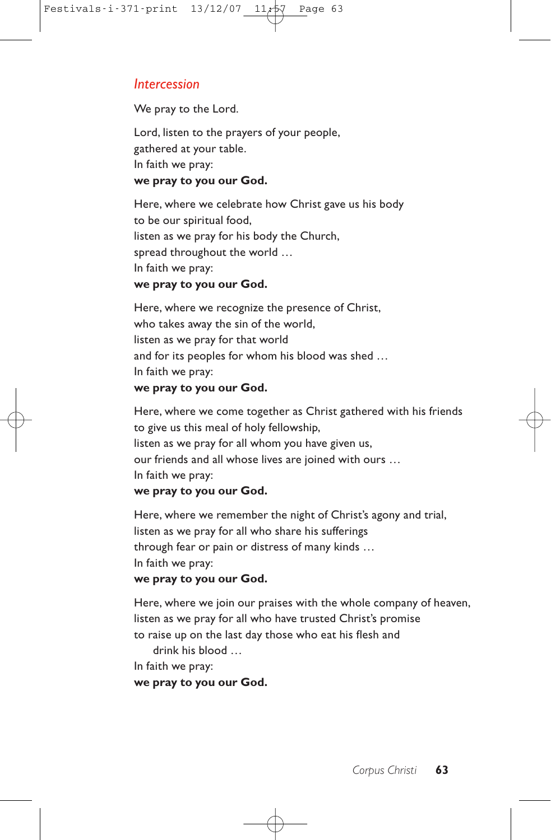# *Intercession*

We pray to the Lord.

Lord, listen to the prayers of your people, gathered at your table. In faith we pray: **we pray to you our God.**

Here, where we celebrate how Christ gave us his body to be our spiritual food, listen as we pray for his body the Church, spread throughout the world … In faith we pray: **we pray to you our God.**

Here, where we recognize the presence of Christ, who takes away the sin of the world, listen as we pray for that world and for its peoples for whom his blood was shed … In faith we pray:

#### **we pray to you our God.**

Here, where we come together as Christ gathered with his friends to give us this meal of holy fellowship, listen as we pray for all whom you have given us, our friends and all whose lives are joined with ours … In faith we pray:

#### **we pray to you our God.**

Here, where we remember the night of Christ's agony and trial, listen as we pray for all who share his sufferings through fear or pain or distress of many kinds … In faith we pray:

#### **we pray to you our God.**

Here, where we join our praises with the whole company of heaven, listen as we pray for all who have trusted Christ's promise to raise up on the last day those who eat his flesh and

drink his blood …

In faith we pray:

**we pray to you our God.**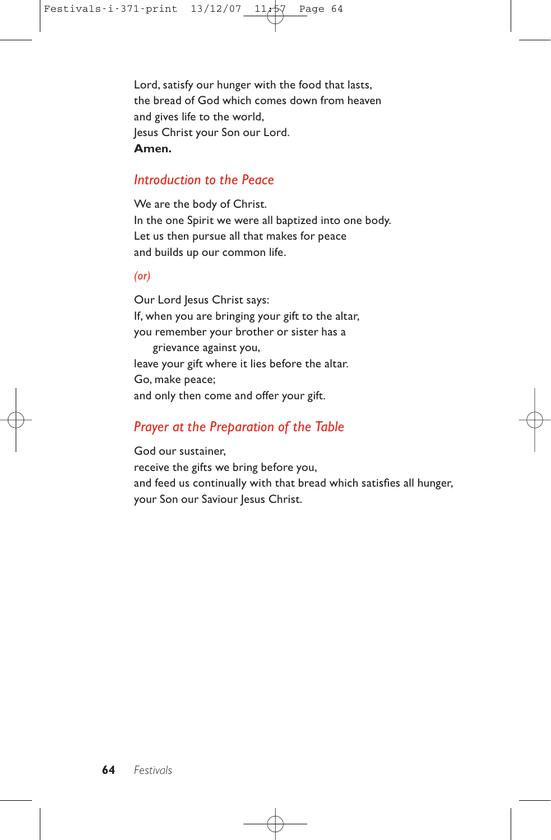Lord, satisfy our hunger with the food that lasts, the bread of God which comes down from heaven and gives life to the world, Jesus Christ your Son our Lord. **Amen.**

#### *Introduction to the Peace*

We are the body of Christ. In the one Spirit we were all baptized into one body. Let us then pursue all that makes for peace and builds up our common life.

#### *(or)*

Our Lord Jesus Christ says: If, when you are bringing your gift to the altar, you remember your brother or sister has a grievance against you, leave your gift where it lies before the altar. Go, make peace; and only then come and offer your gift.

#### *Prayer at the Preparation of the Table*

God our sustainer, receive the gifts we bring before you, and feed us continually with that bread which satisfies all hunger, your Son our Saviour Jesus Christ.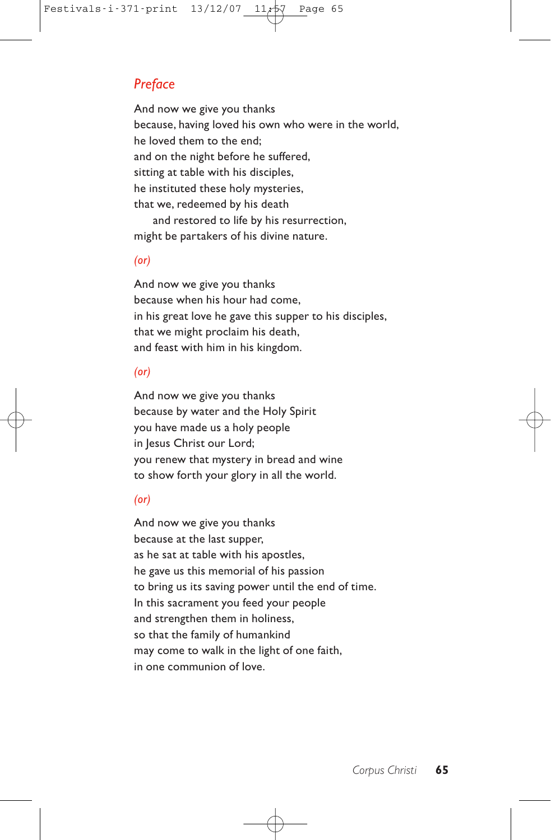# *Preface*

And now we give you thanks because, having loved his own who were in the world, he loved them to the end; and on the night before he suffered, sitting at table with his disciples, he instituted these holy mysteries, that we, redeemed by his death

and restored to life by his resurrection, might be partakers of his divine nature.

#### *(or)*

And now we give you thanks because when his hour had come, in his great love he gave this supper to his disciples, that we might proclaim his death, and feast with him in his kingdom.

#### *(or)*

And now we give you thanks because by water and the Holy Spirit you have made us a holy people in Jesus Christ our Lord; you renew that mystery in bread and wine to show forth your glory in all the world.

#### *(or)*

And now we give you thanks because at the last supper, as he sat at table with his apostles, he gave us this memorial of his passion to bring us its saving power until the end of time. In this sacrament you feed your people and strengthen them in holiness, so that the family of humankind may come to walk in the light of one faith, in one communion of love.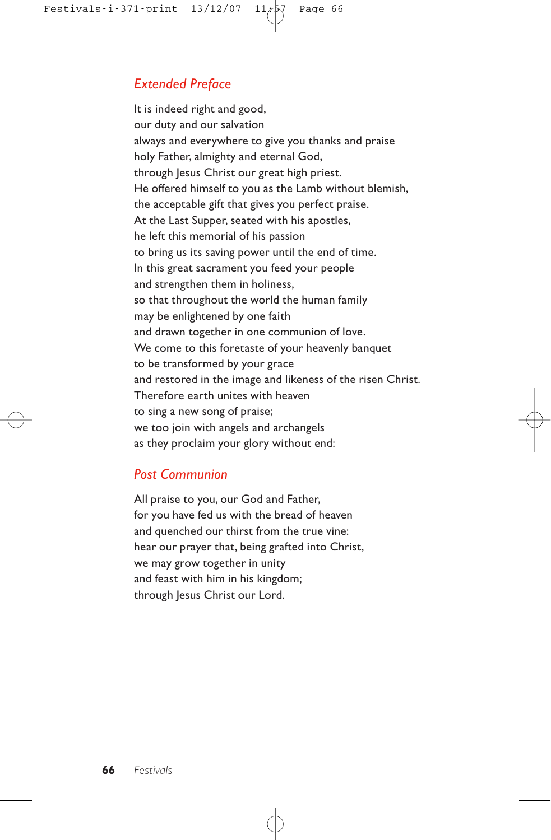## *Extended Preface*

It is indeed right and good, our duty and our salvation always and everywhere to give you thanks and praise holy Father, almighty and eternal God, through Jesus Christ our great high priest. He offered himself to you as the Lamb without blemish, the acceptable gift that gives you perfect praise. At the Last Supper, seated with his apostles, he left this memorial of his passion to bring us its saving power until the end of time. In this great sacrament you feed your people and strengthen them in holiness, so that throughout the world the human family may be enlightened by one faith and drawn together in one communion of love. We come to this foretaste of your heavenly banquet to be transformed by your grace and restored in the image and likeness of the risen Christ. Therefore earth unites with heaven to sing a new song of praise; we too join with angels and archangels as they proclaim your glory without end:

#### *Post Communion*

All praise to you, our God and Father, for you have fed us with the bread of heaven and quenched our thirst from the true vine: hear our prayer that, being grafted into Christ, we may grow together in unity and feast with him in his kingdom; through Jesus Christ our Lord.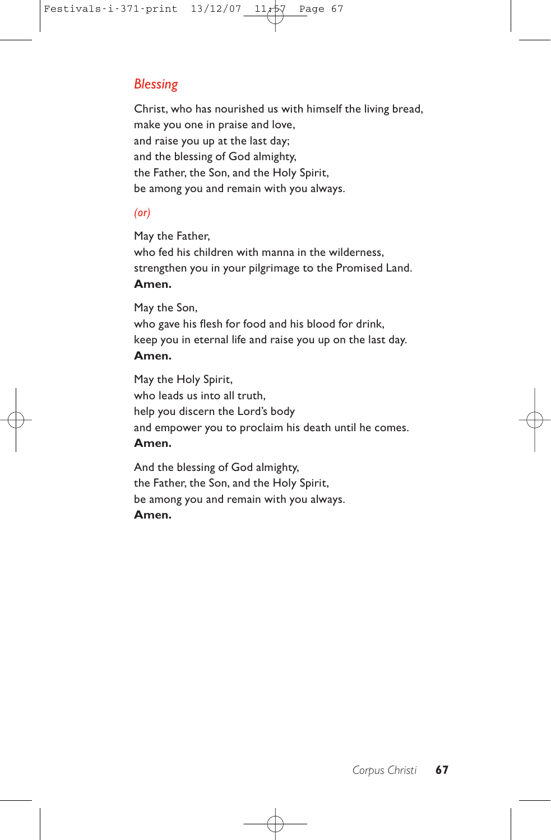## *Blessing*

Christ, who has nourished us with himself the living bread, make you one in praise and love, and raise you up at the last day; and the blessing of God almighty, the Father, the Son, and the Holy Spirit, be among you and remain with you always.

#### *(or)*

May the Father,

who fed his children with manna in the wilderness, strengthen you in your pilgrimage to the Promised Land. **Amen.**

May the Son, who gave his flesh for food and his blood for drink, keep you in eternal life and raise you up on the last day. **Amen.**

# May the Holy Spirit, who leads us into all truth, help you discern the Lord's body and empower you to proclaim his death until he comes. **Amen.**

And the blessing of God almighty, the Father, the Son, and the Holy Spirit, be among you and remain with you always. **Amen.**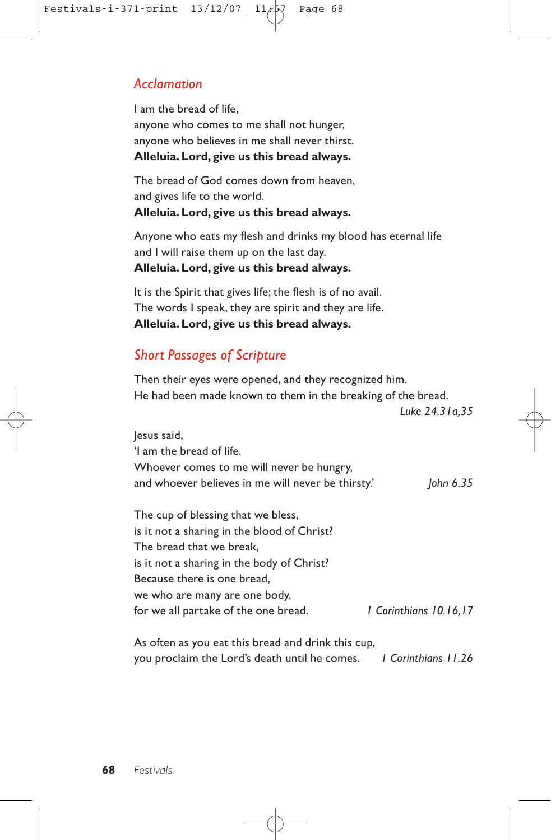# *Acclamation*

I am the bread of life, anyone who comes to me shall not hunger, anyone who believes in me shall never thirst. **Alleluia. Lord, give us this bread always.**

The bread of God comes down from heaven, and gives life to the world. **Alleluia. Lord, give us this bread always.**

Anyone who eats my flesh and drinks my blood has eternal life and I will raise them up on the last day. **Alleluia. Lord, give us this bread always.**

It is the Spirit that gives life; the flesh is of no avail. The words I speak, they are spirit and they are life. **Alleluia. Lord, give us this bread always.**

# *Short Passages of Scripture*

Then their eyes were opened, and they recognized him. He had been made known to them in the breaking of the bread.

*Luke 24.31a,35*

Jesus said, 'I am the bread of life. Whoever comes to me will never be hungry, and whoever believes in me will never be thirsty.' *John 6.35*

The cup of blessing that we bless, is it not a sharing in the blood of Christ? The bread that we break, is it not a sharing in the body of Christ? Because there is one bread, we who are many are one body, for we all partake of the one bread. *1 Corinthians 10.16,17*

As often as you eat this bread and drink this cup, you proclaim the Lord's death until he comes. *1 Corinthians 11.26*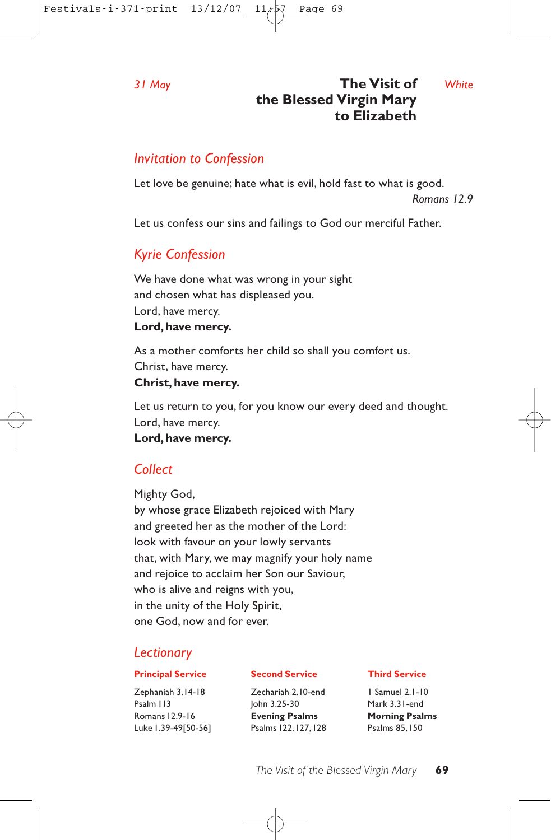# *31 May* **The Visit of** *White* **the Blessed Virgin Mary to Elizabeth**

#### *Invitation to Confession*

Let love be genuine; hate what is evil, hold fast to what is good.

*Romans 12.9*

Let us confess our sins and failings to God our merciful Father.

#### *Kyrie Confession*

We have done what was wrong in your sight and chosen what has displeased you. Lord, have mercy. **Lord, have mercy.**

As a mother comforts her child so shall you comfort us. Christ, have mercy. **Christ, have mercy.**

Let us return to you, for you know our every deed and thought. Lord, have mercy. **Lord, have mercy.**

## *Collect*

Mighty God, by whose grace Elizabeth rejoiced with Mary and greeted her as the mother of the Lord: look with favour on your lowly servants that, with Mary, we may magnify your holy name and rejoice to acclaim her Son our Saviour, who is alive and reigns with you, in the unity of the Holy Spirit, one God, now and for ever.

#### *Lectionary*

#### **Principal Service Second Service Third Service**

Psalm 113 **John 3.25-30** Mark 3.31-end Romans 12.9-16 **Evening Psalms Morning Psalms** Luke 1.39-49[50-56] Psalms 122,127,128 Psalms 85,150

Zephaniah 3.14-18 Zechariah 2.10-end 1 Samuel 2.1-10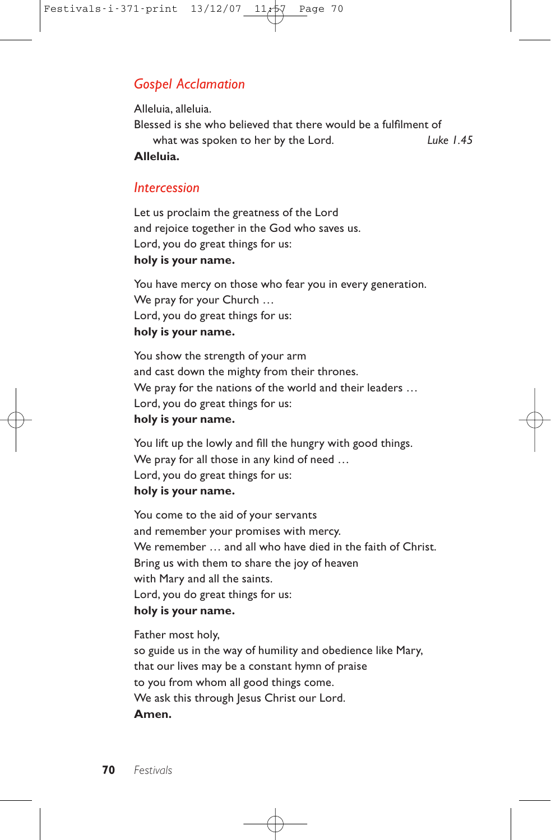# *Gospel Acclamation*

Alleluia, alleluia. Blessed is she who believed that there would be a fulfilment of what was spoken to her by the Lord. *Luke 1.45* **Alleluia.**

## *Intercession*

Let us proclaim the greatness of the Lord and rejoice together in the God who saves us. Lord, you do great things for us: **holy is your name.**

You have mercy on those who fear you in every generation. We pray for your Church … Lord, you do great things for us: **holy is your name.**

You show the strength of your arm and cast down the mighty from their thrones. We pray for the nations of the world and their leaders … Lord, you do great things for us: **holy is your name.**

You lift up the lowly and fill the hungry with good things. We pray for all those in any kind of need … Lord, you do great things for us: **holy is your name.**

You come to the aid of your servants and remember your promises with mercy. We remember … and all who have died in the faith of Christ. Bring us with them to share the joy of heaven with Mary and all the saints. Lord, you do great things for us: **holy is your name.**

Father most holy, so guide us in the way of humility and obedience like Mary, that our lives may be a constant hymn of praise to you from whom all good things come. We ask this through Jesus Christ our Lord. **Amen.**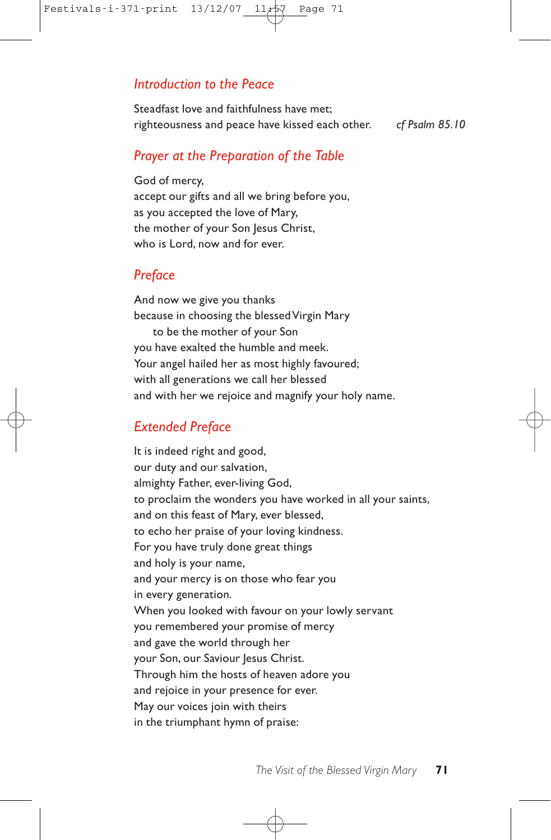## *Introduction to the Peace*

Steadfast love and faithfulness have met; righteousness and peace have kissed each other. *cf Psalm 85.10*

## *Prayer at the Preparation of the Table*

God of mercy, accept our gifts and all we bring before you, as you accepted the love of Mary, the mother of your Son Jesus Christ, who is Lord, now and for ever.

## *Preface*

And now we give you thanks because in choosing the blessed Virgin Mary to be the mother of your Son you have exalted the humble and meek. Your angel hailed her as most highly favoured; with all generations we call her blessed and with her we rejoice and magnify your holy name.

### *Extended Preface*

It is indeed right and good, our duty and our salvation, almighty Father, ever-living God, to proclaim the wonders you have worked in all your saints, and on this feast of Mary, ever blessed, to echo her praise of your loving kindness. For you have truly done great things and holy is your name, and your mercy is on those who fear you in every generation. When you looked with favour on your lowly servant you remembered your promise of mercy and gave the world through her your Son, our Saviour Jesus Christ. Through him the hosts of heaven adore you and rejoice in your presence for ever. May our voices join with theirs in the triumphant hymn of praise: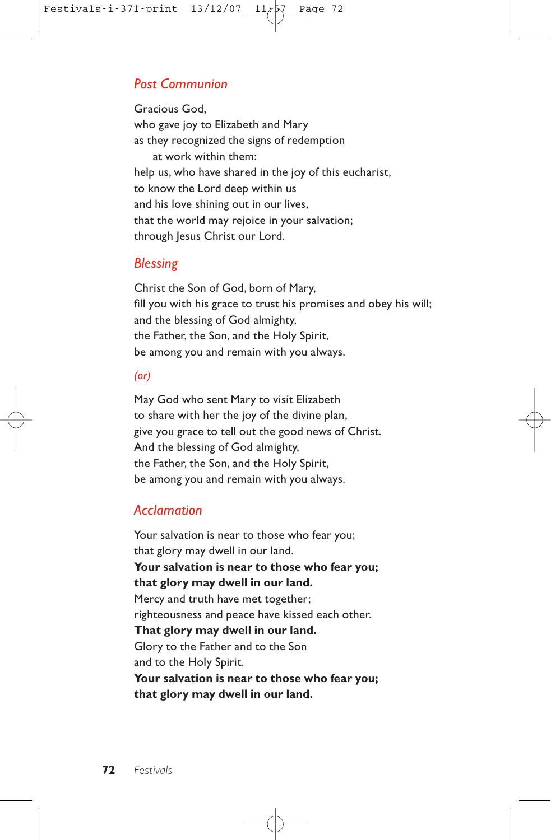## *Post Communion*

Gracious God, who gave joy to Elizabeth and Mary as they recognized the signs of redemption at work within them: help us, who have shared in the joy of this eucharist, to know the Lord deep within us and his love shining out in our lives, that the world may rejoice in your salvation; through Jesus Christ our Lord.

#### *Blessing*

Christ the Son of God, born of Mary, fill you with his grace to trust his promises and obey his will; and the blessing of God almighty, the Father, the Son, and the Holy Spirit, be among you and remain with you always.

#### *(or)*

May God who sent Mary to visit Elizabeth to share with her the joy of the divine plan, give you grace to tell out the good news of Christ. And the blessing of God almighty, the Father, the Son, and the Holy Spirit, be among you and remain with you always.

### *Acclamation*

Your salvation is near to those who fear you; that glory may dwell in our land. **Your salvation is near to those who fear you; that glory may dwell in our land.** Mercy and truth have met together; righteousness and peace have kissed each other. **That glory may dwell in our land.** Glory to the Father and to the Son and to the Holy Spirit. **Your salvation is near to those who fear you; that glory may dwell in our land.**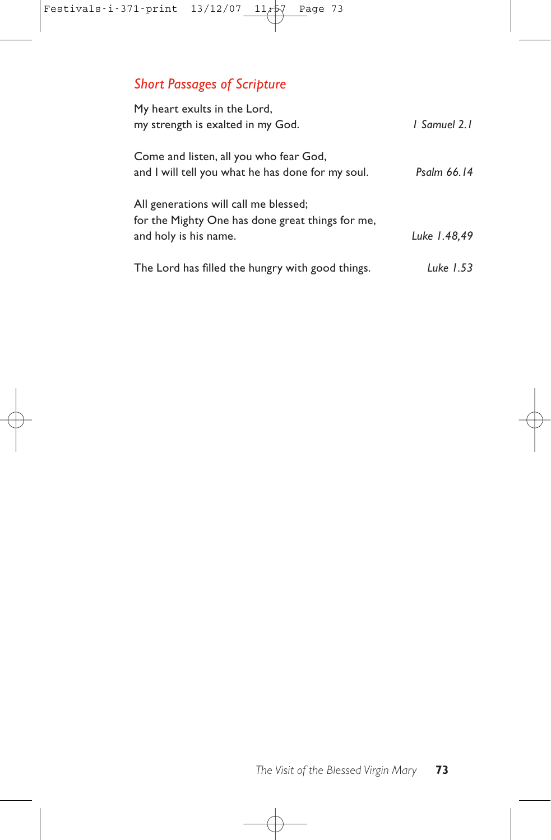# *Short Passages of Scripture*

| My heart exults in the Lord,<br>my strength is exalted in my God.                           | 1 Samuel 2.1 |
|---------------------------------------------------------------------------------------------|--------------|
| Come and listen, all you who fear God,<br>and I will tell you what he has done for my soul. | Psalm 66,14  |
| All generations will call me blessed;<br>for the Mighty One has done great things for me,   |              |
| and holy is his name.                                                                       | Luke 1.48,49 |
| The Lord has filled the hungry with good things.                                            | Luke 1.53    |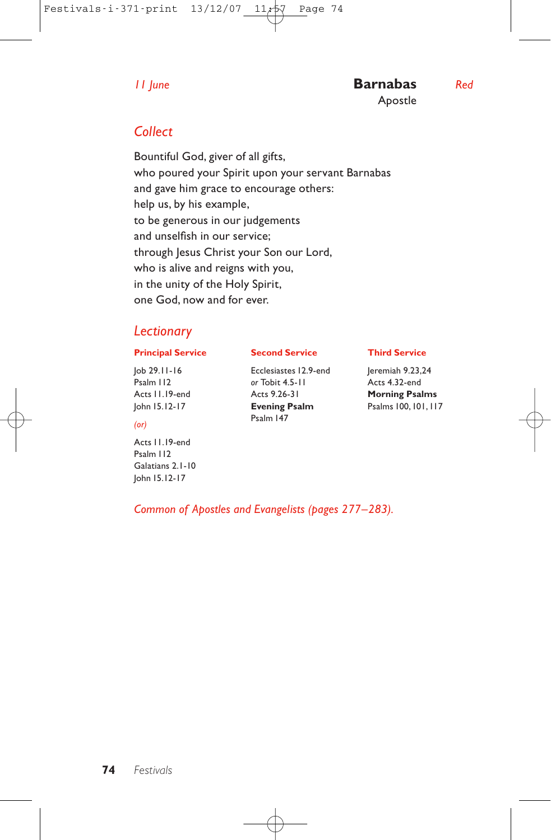### *11 June* **Barnabas** *Red* Apostle

## *Collect*

Bountiful God, giver of all gifts, who poured your Spirit upon your servant Barnabas and gave him grace to encourage others: help us, by his example, to be generous in our judgements and unselfish in our service; through Jesus Christ your Son our Lord, who is alive and reigns with you, in the unity of the Holy Spirit, one God, now and for ever.

### *Lectionary*

#### **Principal Service Second Service Third Service**

Job 29.11-16 Ecclesiastes 12.9-end Jeremiah 9.23,24

Acts 11.19-end Psalm 112 Galatians 2.1-10 John 15.12-17

John 15.12-17 **Evening Psalm** Psalms 100,101,117

Psalm 112 *or* Tobit 4.5-11 Acts 4.32-end Acts 11.19-end Acts 9.26-31 **Morning Psalms** Psalm 147 *(or)*

*Common of Apostles and Evangelists (pages 277–283).*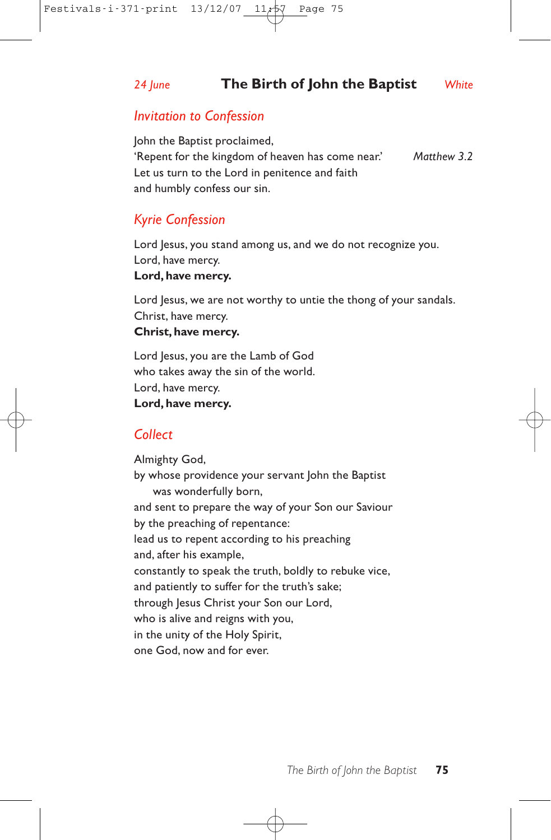## *24 June* **The Birth of John the Baptist** *White*

### *Invitation to Confession*

John the Baptist proclaimed, 'Repent for the kingdom of heaven has come near.' *Matthew 3.2* Let us turn to the Lord in penitence and faith and humbly confess our sin.

## *Kyrie Confession*

Lord Jesus, you stand among us, and we do not recognize you. Lord, have mercy. **Lord, have mercy.**

Lord Jesus, we are not worthy to untie the thong of your sandals. Christ, have mercy. **Christ, have mercy.**

Lord Jesus, you are the Lamb of God who takes away the sin of the world. Lord, have mercy. **Lord, have mercy.**

## *Collect*

Almighty God, by whose providence your servant John the Baptist was wonderfully born, and sent to prepare the way of your Son our Saviour by the preaching of repentance: lead us to repent according to his preaching and, after his example, constantly to speak the truth, boldly to rebuke vice, and patiently to suffer for the truth's sake; through Jesus Christ your Son our Lord, who is alive and reigns with you, in the unity of the Holy Spirit, one God, now and for ever.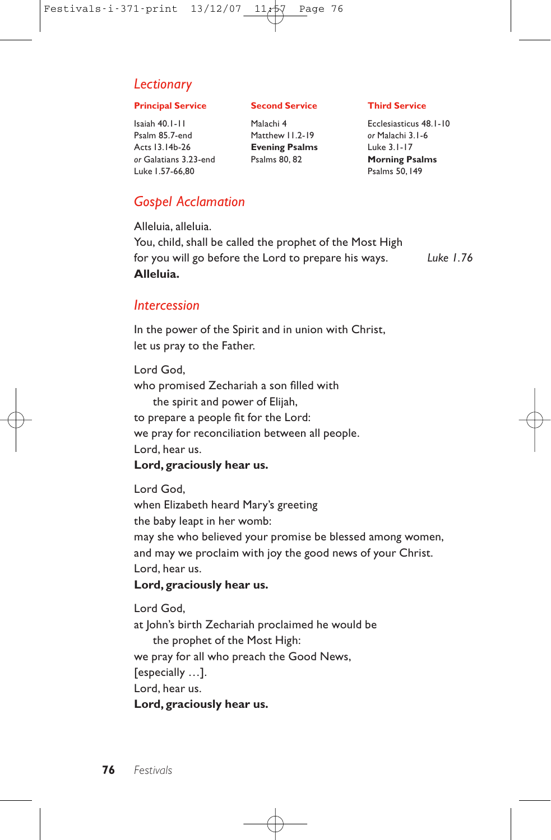## *Lectionary*

#### **Principal Service Second Service Third Service**

Psalm 85.7-end Matthew 11.2-19 *or* Malachi 3.1-6 Acts 13.14b-26 **Evening Psalms** Luke 3.1-17 *or* Galatians 3.23-end Psalms 80, 82 **Morning Psalms** Luke 1.57-66.80 Psalms 50, 149

Isaiah 40.1-11 Malachi 4 Ecclesiasticus 48.1-10

## *Gospel Acclamation*

Alleluia, alleluia.

You, child, shall be called the prophet of the Most High for you will go before the Lord to prepare his ways. *Luke 1.76* **Alleluia.**

#### *Intercession*

In the power of the Spirit and in union with Christ, let us pray to the Father.

Lord God,

who promised Zechariah a son filled with the spirit and power of Elijah, to prepare a people fit for the Lord: we pray for reconciliation between all people. Lord, hear us.

### **Lord, graciously hear us.**

Lord God, when Elizabeth heard Mary's greeting the baby leapt in her womb: may she who believed your promise be blessed among women, and may we proclaim with joy the good news of your Christ. Lord, hear us.

#### **Lord, graciously hear us.**

Lord God,

at John's birth Zechariah proclaimed he would be the prophet of the Most High:

we pray for all who preach the Good News,

[especially …].

Lord, hear us.

**Lord, graciously hear us.**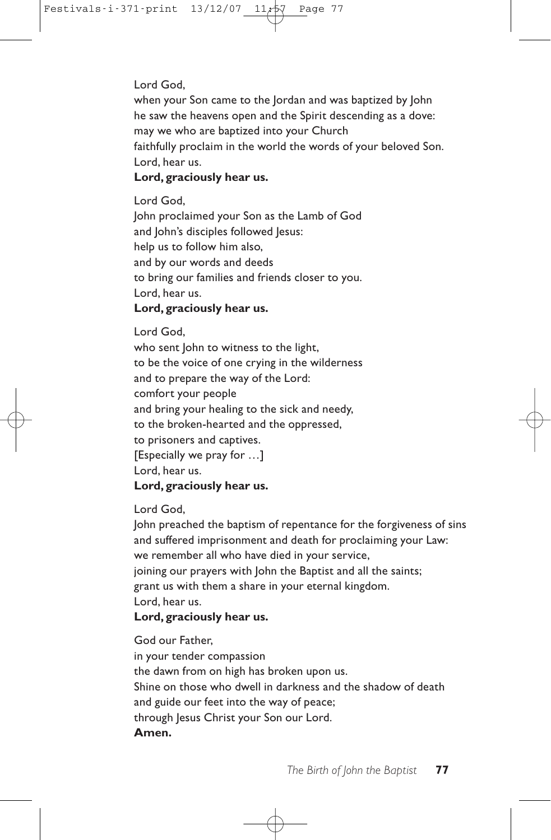#### Lord God,

when your Son came to the Jordan and was baptized by John he saw the heavens open and the Spirit descending as a dove: may we who are baptized into your Church faithfully proclaim in the world the words of your beloved Son. Lord, hear us.

#### **Lord, graciously hear us.**

Lord God, John proclaimed your Son as the Lamb of God and John's disciples followed Jesus: help us to follow him also, and by our words and deeds to bring our families and friends closer to you. Lord, hear us.

#### **Lord, graciously hear us.**

Lord God,

who sent John to witness to the light, to be the voice of one crying in the wilderness and to prepare the way of the Lord: comfort your people and bring your healing to the sick and needy, to the broken-hearted and the oppressed, to prisoners and captives. [Especially we pray for …] Lord, hear us. **Lord, graciously hear us.**

#### Lord God,

John preached the baptism of repentance for the forgiveness of sins and suffered imprisonment and death for proclaiming your Law: we remember all who have died in your service, joining our prayers with John the Baptist and all the saints; grant us with them a share in your eternal kingdom. Lord, hear us.

#### **Lord, graciously hear us.**

God our Father, in your tender compassion the dawn from on high has broken upon us. Shine on those who dwell in darkness and the shadow of death and guide our feet into the way of peace; through Jesus Christ your Son our Lord. **Amen.**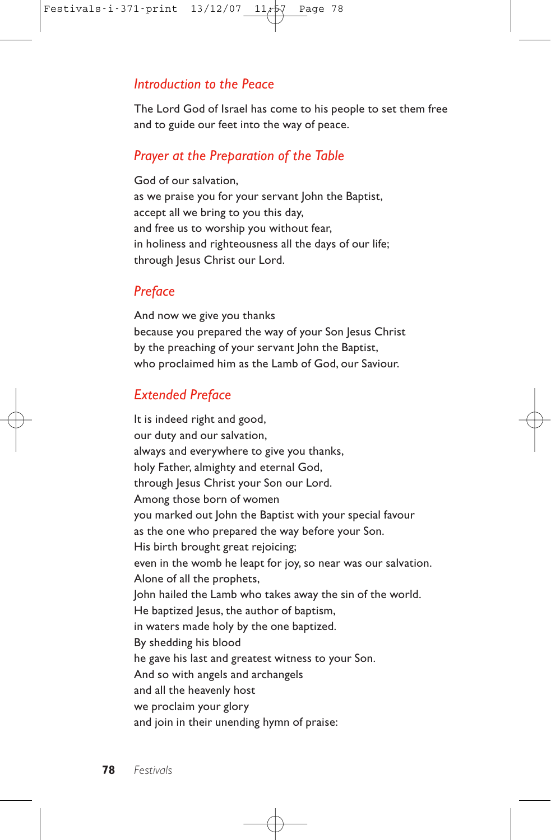## *Introduction to the Peace*

The Lord God of Israel has come to his people to set them free and to guide our feet into the way of peace.

### *Prayer at the Preparation of the Table*

God of our salvation, as we praise you for your servant John the Baptist, accept all we bring to you this day, and free us to worship you without fear, in holiness and righteousness all the days of our life; through Jesus Christ our Lord.

#### *Preface*

And now we give you thanks because you prepared the way of your Son Jesus Christ by the preaching of your servant John the Baptist, who proclaimed him as the Lamb of God, our Saviour.

## *Extended Preface*

It is indeed right and good, our duty and our salvation, always and everywhere to give you thanks, holy Father, almighty and eternal God, through Jesus Christ your Son our Lord. Among those born of women you marked out John the Baptist with your special favour as the one who prepared the way before your Son. His birth brought great rejoicing; even in the womb he leapt for joy, so near was our salvation. Alone of all the prophets, John hailed the Lamb who takes away the sin of the world. He baptized Jesus, the author of baptism, in waters made holy by the one baptized. By shedding his blood he gave his last and greatest witness to your Son. And so with angels and archangels and all the heavenly host we proclaim your glory and join in their unending hymn of praise: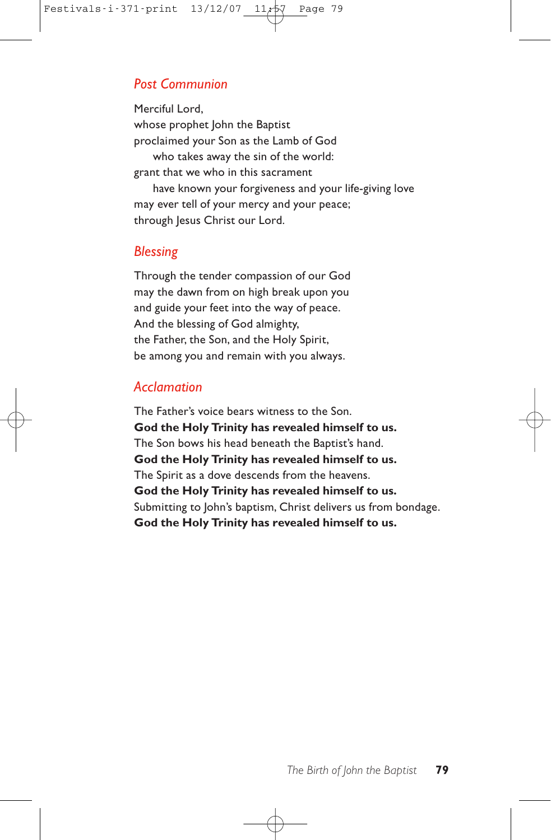## *Post Communion*

Merciful Lord, whose prophet John the Baptist proclaimed your Son as the Lamb of God who takes away the sin of the world: grant that we who in this sacrament have known your forgiveness and your life-giving love may ever tell of your mercy and your peace; through Jesus Christ our Lord.

#### *Blessing*

Through the tender compassion of our God may the dawn from on high break upon you and guide your feet into the way of peace. And the blessing of God almighty, the Father, the Son, and the Holy Spirit, be among you and remain with you always.

#### *Acclamation*

The Father's voice bears witness to the Son. **God the Holy Trinity has revealed himself to us.** The Son bows his head beneath the Baptist's hand. **God the Holy Trinity has revealed himself to us.** The Spirit as a dove descends from the heavens. **God the Holy Trinity has revealed himself to us.** Submitting to John's baptism, Christ delivers us from bondage. **God the Holy Trinity has revealed himself to us.**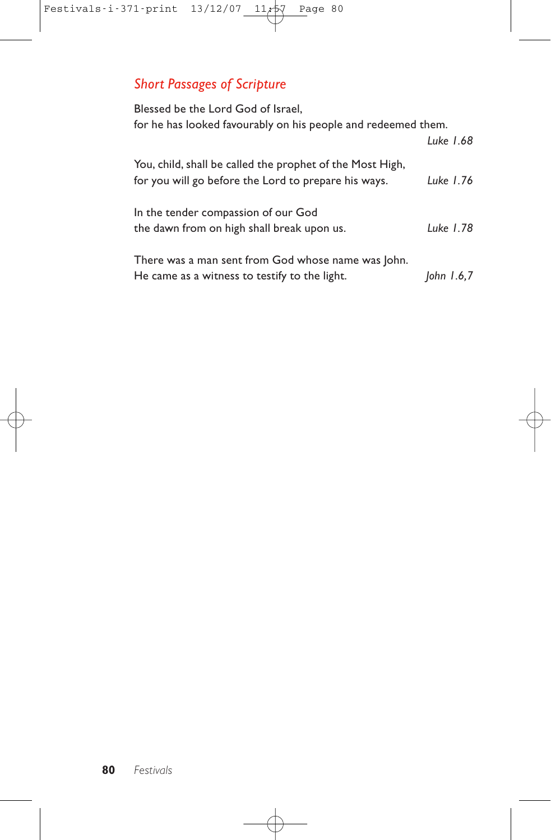# *Short Passages of Scripture*

| Blessed be the Lord God of Israel,                                                                                |            |
|-------------------------------------------------------------------------------------------------------------------|------------|
| for he has looked favourably on his people and redeemed them.                                                     |            |
|                                                                                                                   | Luke 1.68  |
| You, child, shall be called the prophet of the Most High,<br>for you will go before the Lord to prepare his ways. | Luke 1.76  |
| In the tender compassion of our God<br>the dawn from on high shall break upon us.                                 | Luke 1.78  |
| There was a man sent from God whose name was John.<br>He came as a witness to testify to the light.               | John 1.6,7 |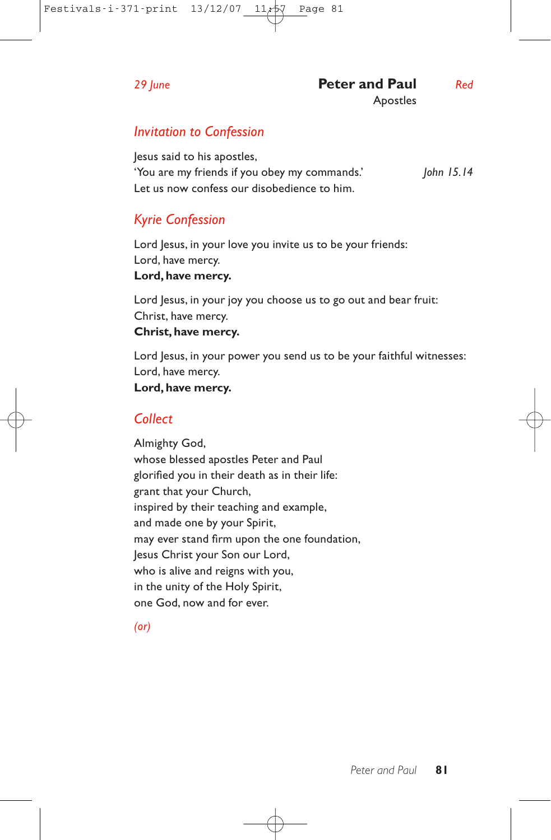# *29 June* **Peter and Paul** *Red*

Apostles

### *Invitation to Confession*

Jesus said to his apostles,

'You are my friends if you obey my commands.' *John 15.14* Let us now confess our disobedience to him.

## *Kyrie Confession*

Lord Jesus, in your love you invite us to be your friends: Lord, have mercy. **Lord, have mercy.**

Lord Jesus, in your joy you choose us to go out and bear fruit: Christ, have mercy. **Christ, have mercy.**

Lord Jesus, in your power you send us to be your faithful witnesses: Lord, have mercy. **Lord, have mercy.**

## *Collect*

Almighty God, whose blessed apostles Peter and Paul glorified you in their death as in their life: grant that your Church, inspired by their teaching and example, and made one by your Spirit, may ever stand firm upon the one foundation, Jesus Christ your Son our Lord, who is alive and reigns with you, in the unity of the Holy Spirit, one God, now and for ever.

*(or)*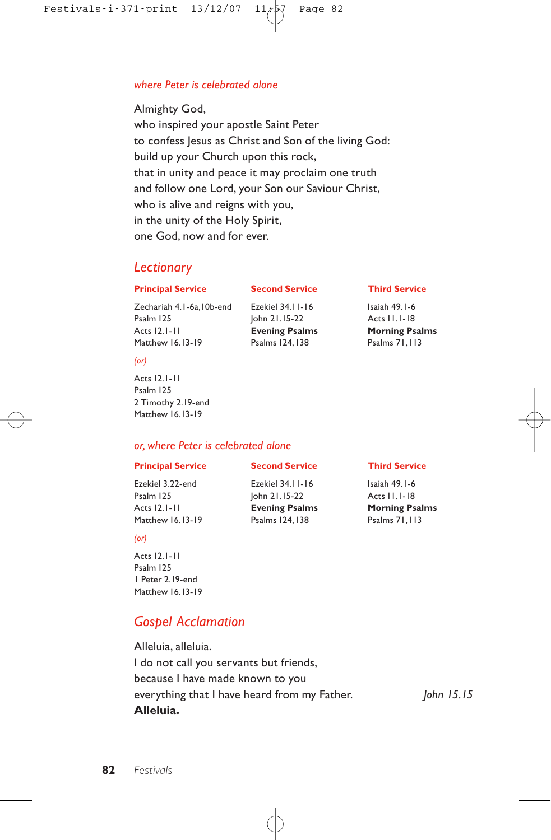#### *where Peter is celebrated alone*

Almighty God, who inspired your apostle Saint Peter to confess Jesus as Christ and Son of the living God: build up your Church upon this rock, that in unity and peace it may proclaim one truth and follow one Lord, your Son our Saviour Christ, who is alive and reigns with you, in the unity of the Holy Spirit, one God, now and for ever.

#### *Lectionary*

#### **Principal Service Second Service Third Service**

Zechariah 4.1-6a,10b-end Ezekiel 34.11-16 Isaiah 49.1-6 Psalm 125 John 21.15-22<br>Acts 12.1-11 **Evening Psalms** Matthew 16.13-19

**Evening Psalms**<br> **Acts 124.138**<br> **Psalms 71.113** 

#### *(or)*

Acts 12.1-11 Psalm 125 2 Timothy 2.19-end Matthew 16.13-19

#### *or, where Peter is celebrated alone*

#### **Principal Service Second Service Third Service**

Psalm 125 John 21.15-22 Acts 11.1-18 Acts 12.1-11 **Evening Psalms Morning Psalms** Matthew 16.13-19 Psalms 124,138 Psalms 71,113

Ezekiel 3.22-end Ezekiel 34.11-16 Isaiah 49.1-6

#### *(or)*

Acts 12.1-11 Psalm 125 1 Peter 2.19-end Matthew 16.13-19

## *Gospel Acclamation*

Alleluia, alleluia. I do not call you servants but friends, because I have made known to you everything that I have heard from my Father. *John 15.15* **Alleluia.**

#### **82** *Festivals*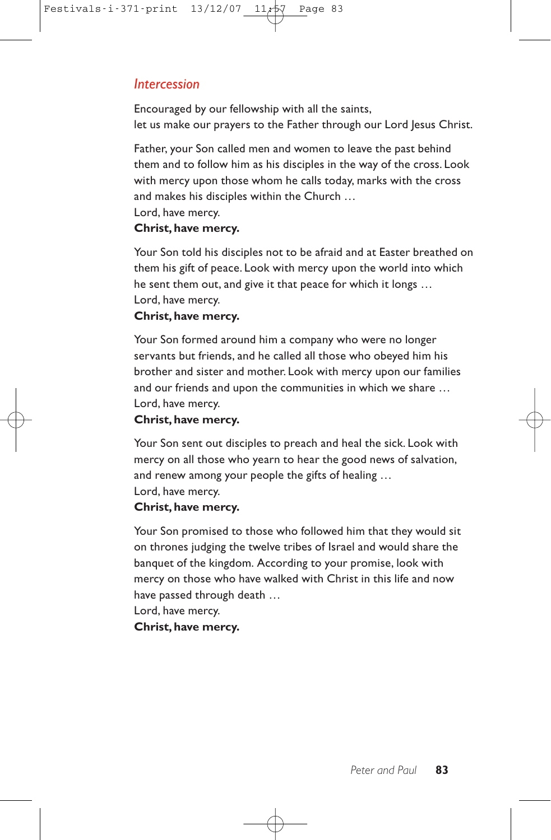#### *Intercession*

Encouraged by our fellowship with all the saints, let us make our prayers to the Father through our Lord Jesus Christ.

Father, your Son called men and women to leave the past behind them and to follow him as his disciples in the way of the cross. Look with mercy upon those whom he calls today, marks with the cross and makes his disciples within the Church …

Lord, have mercy.

### **Christ, have mercy.**

Your Son told his disciples not to be afraid and at Easter breathed on them his gift of peace. Look with mercy upon the world into which he sent them out, and give it that peace for which it longs … Lord, have mercy.

#### **Christ, have mercy.**

Your Son formed around him a company who were no longer servants but friends, and he called all those who obeyed him his brother and sister and mother. Look with mercy upon our families and our friends and upon the communities in which we share … Lord, have mercy.

#### **Christ, have mercy.**

Your Son sent out disciples to preach and heal the sick. Look with mercy on all those who yearn to hear the good news of salvation, and renew among your people the gifts of healing … Lord, have mercy.

#### **Christ, have mercy.**

Your Son promised to those who followed him that they would sit on thrones judging the twelve tribes of Israel and would share the banquet of the kingdom. According to your promise, look with mercy on those who have walked with Christ in this life and now have passed through death …

Lord, have mercy.

**Christ, have mercy.**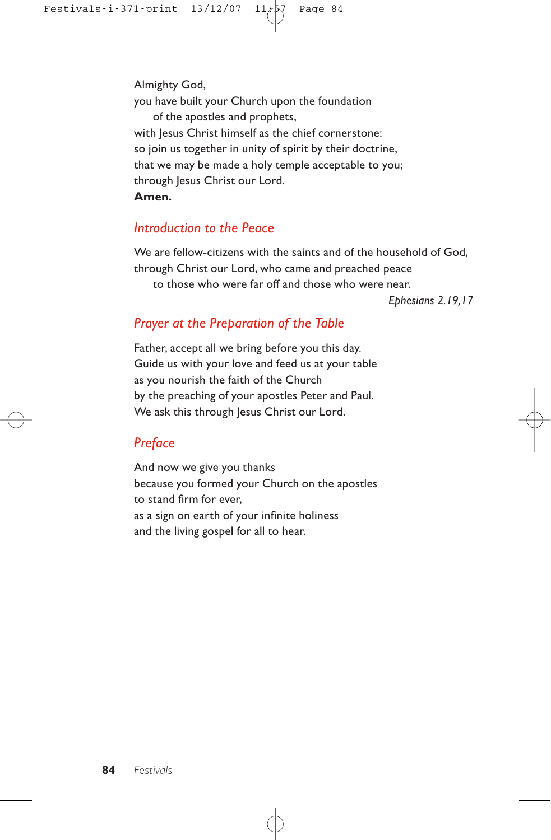#### Almighty God,

you have built your Church upon the foundation of the apostles and prophets, with Jesus Christ himself as the chief cornerstone: so join us together in unity of spirit by their doctrine, that we may be made a holy temple acceptable to you; through Jesus Christ our Lord. **Amen.**

## *Introduction to the Peace*

We are fellow-citizens with the saints and of the household of God, through Christ our Lord, who came and preached peace

to those who were far off and those who were near.

*Ephesians 2.19,17*

## *Prayer at the Preparation of the Table*

Father, accept all we bring before you this day. Guide us with your love and feed us at your table as you nourish the faith of the Church by the preaching of your apostles Peter and Paul. We ask this through Jesus Christ our Lord.

### *Preface*

And now we give you thanks because you formed your Church on the apostles to stand firm for ever, as a sign on earth of your infinite holiness and the living gospel for all to hear.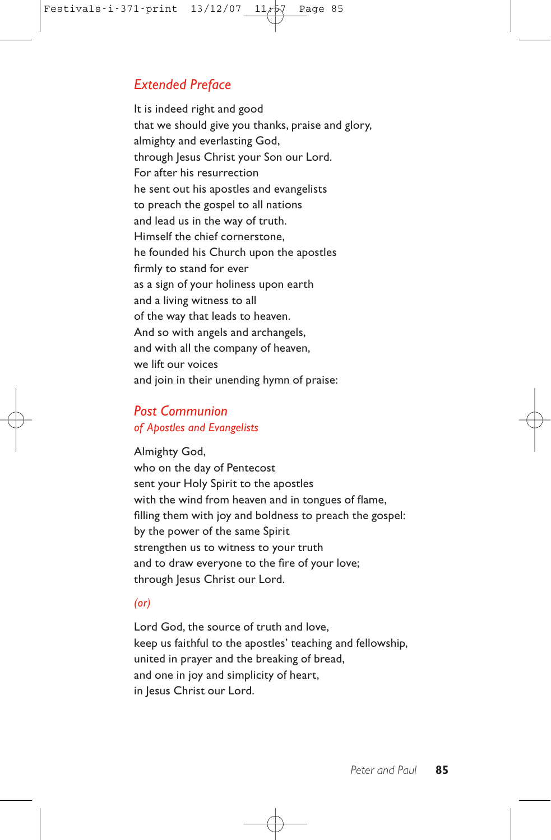## *Extended Preface*

It is indeed right and good that we should give you thanks, praise and glory, almighty and everlasting God, through Jesus Christ your Son our Lord. For after his resurrection he sent out his apostles and evangelists to preach the gospel to all nations and lead us in the way of truth. Himself the chief cornerstone, he founded his Church upon the apostles firmly to stand for ever as a sign of your holiness upon earth and a living witness to all of the way that leads to heaven. And so with angels and archangels, and with all the company of heaven, we lift our voices and join in their unending hymn of praise:

# *Post Communion*

## *of Apostles and Evangelists*

Almighty God,

who on the day of Pentecost sent your Holy Spirit to the apostles with the wind from heaven and in tongues of flame, filling them with joy and boldness to preach the gospel: by the power of the same Spirit strengthen us to witness to your truth and to draw everyone to the fire of your love; through Jesus Christ our Lord.

#### *(or)*

Lord God, the source of truth and love, keep us faithful to the apostles' teaching and fellowship, united in prayer and the breaking of bread, and one in joy and simplicity of heart, in Jesus Christ our Lord.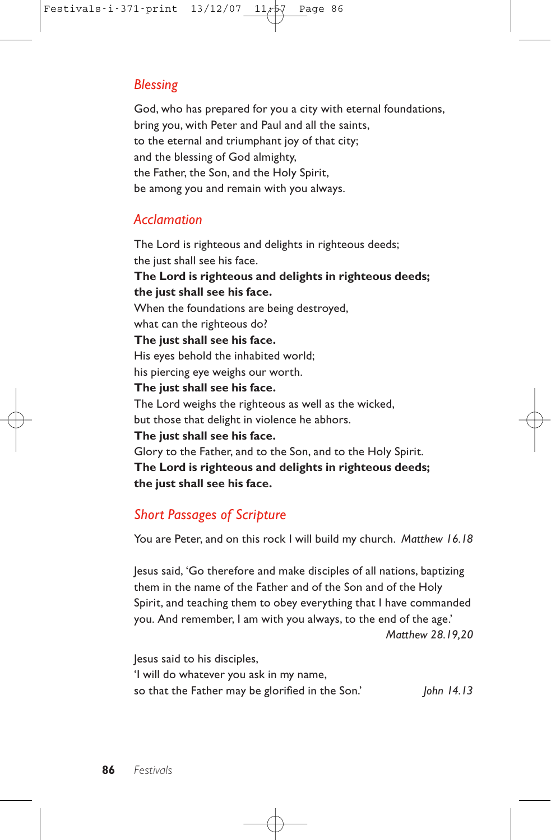### *Blessing*

God, who has prepared for you a city with eternal foundations, bring you, with Peter and Paul and all the saints, to the eternal and triumphant joy of that city; and the blessing of God almighty, the Father, the Son, and the Holy Spirit, be among you and remain with you always.

## *Acclamation*

The Lord is righteous and delights in righteous deeds; the just shall see his face. **The Lord is righteous and delights in righteous deeds; the just shall see his face.** When the foundations are being destroyed, what can the righteous do? **The just shall see his face.** His eyes behold the inhabited world; his piercing eye weighs our worth. **The just shall see his face.** The Lord weighs the righteous as well as the wicked, but those that delight in violence he abhors. **The just shall see his face.** Glory to the Father, and to the Son, and to the Holy Spirit. **The Lord is righteous and delights in righteous deeds; the just shall see his face.**

### *Short Passages of Scripture*

You are Peter, and on this rock I will build my church. *Matthew 16.18*

Jesus said, 'Go therefore and make disciples of all nations, baptizing them in the name of the Father and of the Son and of the Holy Spirit, and teaching them to obey everything that I have commanded you. And remember, I am with you always, to the end of the age.' *Matthew 28.19,20*

Jesus said to his disciples, 'I will do whatever you ask in my name, so that the Father may be glorified in the Son.' *John 14.13*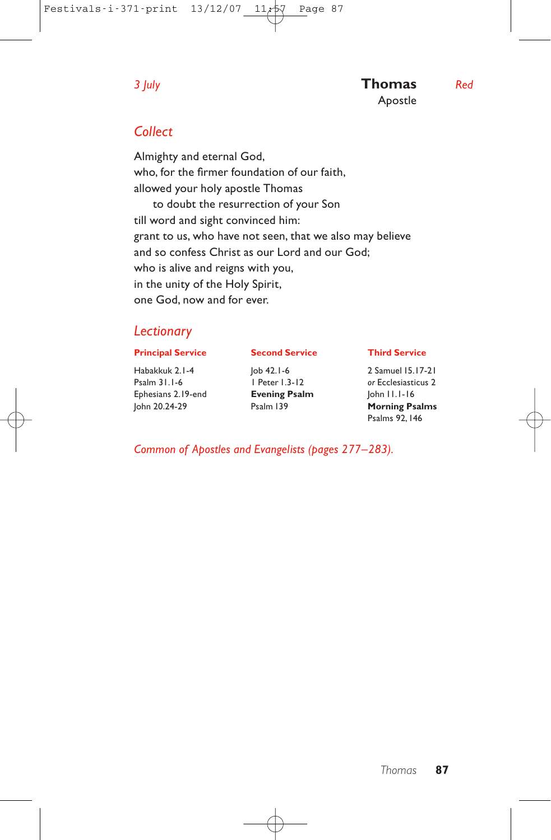## *3 July* **Thomas** *Red* Apostle

## *Collect*

Almighty and eternal God, who, for the firmer foundation of our faith, allowed your holy apostle Thomas to doubt the resurrection of your Son till word and sight convinced him: grant to us, who have not seen, that we also may believe and so confess Christ as our Lord and our God; who is alive and reigns with you, in the unity of the Holy Spirit, one God, now and for ever.

### *Lectionary*

#### **Principal Service** Second Service Third Service

Habakkuk 2.1-4  $\vert$ ob 42.1-6 2 Samuel 15.17-21 Psalm 31.1-6 1 Peter 1.3-12 *or* Ecclesiasticus 2 Ephesians 2.19-end **Evening Psalm** John 11.1-16 John 20.24-29 Psalm 139 **Morning Psalms**

Psalms 92,146

*Common of Apostles and Evangelists (pages 277–283).*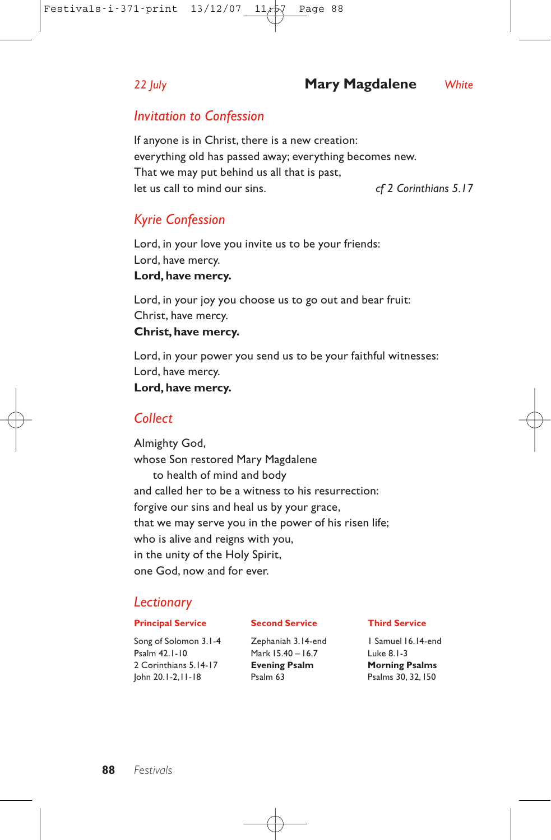## *22 July* **Mary Magdalene** *White*

#### *Invitation to Confession*

If anyone is in Christ, there is a new creation: everything old has passed away; everything becomes new. That we may put behind us all that is past, let us call to mind our sins. *cf 2 Corinthians 5.17*

## *Kyrie Confession*

Lord, in your love you invite us to be your friends: Lord, have mercy. **Lord, have mercy.**

Lord, in your joy you choose us to go out and bear fruit: Christ, have mercy. **Christ, have mercy.**

Lord, in your power you send us to be your faithful witnesses: Lord, have mercy. **Lord, have mercy.**

## *Collect*

Almighty God, whose Son restored Mary Magdalene to health of mind and body and called her to be a witness to his resurrection: forgive our sins and heal us by your grace, that we may serve you in the power of his risen life; who is alive and reigns with you, in the unity of the Holy Spirit, one God, now and for ever.

#### *Lectionary*

#### **Principal Service Second Service Third Service**

Song of Solomon 3.1-4 Zephaniah 3.14-end 1 Samuel 16.14-end Psalm 42.1-10 Mark 15.40 – 16.7 Luke 8.1-3 2 Corinthians 5.14-17 **Evening Psalm Morning Psalms** John 20.1-2,11-18 Psalm 63 Psalms 30, 32,150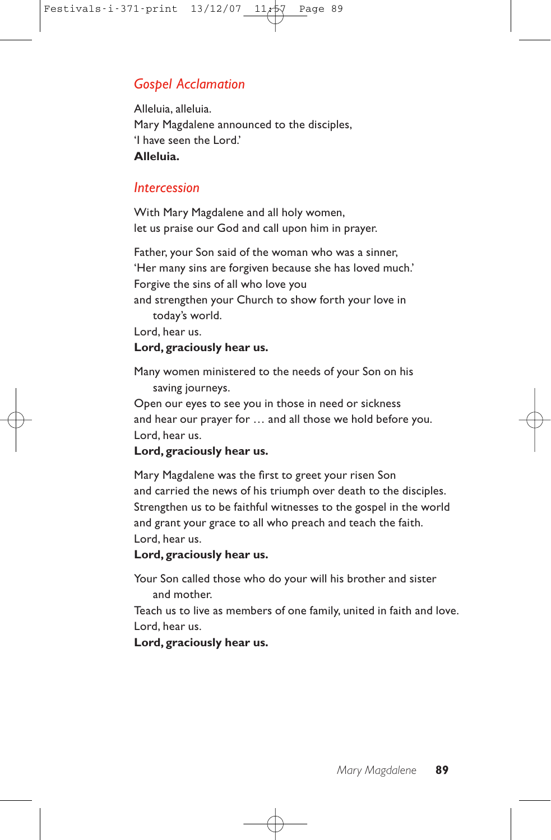## *Gospel Acclamation*

Alleluia, alleluia. Mary Magdalene announced to the disciples, 'I have seen the Lord.' **Alleluia.**

### *Intercession*

With Mary Magdalene and all holy women, let us praise our God and call upon him in prayer.

Father, your Son said of the woman who was a sinner, 'Her many sins are forgiven because she has loved much.' Forgive the sins of all who love you and strengthen your Church to show forth your love in

today's world.

Lord, hear us.

#### **Lord, graciously hear us.**

Many women ministered to the needs of your Son on his saving journeys.

Open our eyes to see you in those in need or sickness and hear our prayer for … and all those we hold before you. Lord, hear us.

#### **Lord, graciously hear us.**

Mary Magdalene was the first to greet your risen Son and carried the news of his triumph over death to the disciples. Strengthen us to be faithful witnesses to the gospel in the world and grant your grace to all who preach and teach the faith. Lord, hear us.

#### **Lord, graciously hear us.**

Your Son called those who do your will his brother and sister and mother.

Teach us to live as members of one family, united in faith and love. Lord, hear us.

**Lord, graciously hear us.**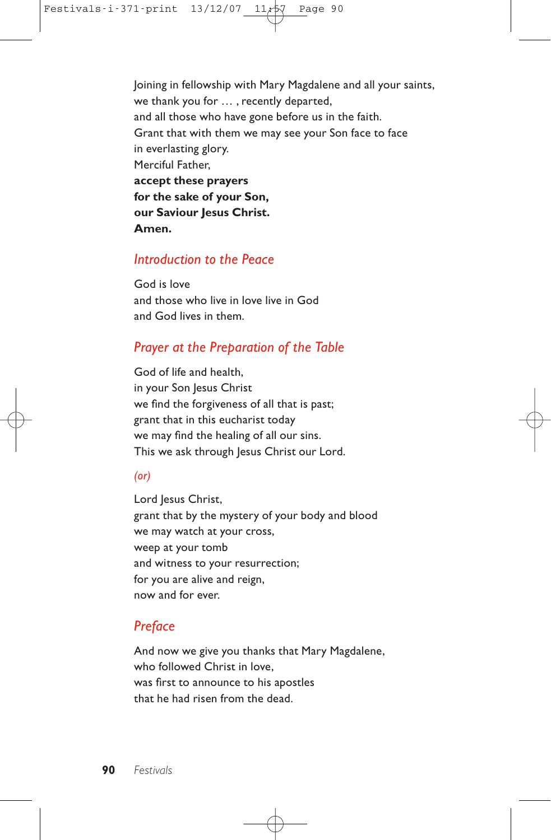Joining in fellowship with Mary Magdalene and all your saints, we thank you for … , recently departed, and all those who have gone before us in the faith. Grant that with them we may see your Son face to face in everlasting glory. Merciful Father, **accept these prayers for the sake of your Son, our Saviour Jesus Christ. Amen.**

## *Introduction to the Peace*

God is love and those who live in love live in God and God lives in them.

#### *Prayer at the Preparation of the Table*

God of life and health, in your Son Jesus Christ we find the forgiveness of all that is past; grant that in this eucharist today we may find the healing of all our sins. This we ask through Jesus Christ our Lord.

#### *(or)*

Lord Jesus Christ, grant that by the mystery of your body and blood we may watch at your cross, weep at your tomb and witness to your resurrection; for you are alive and reign, now and for ever.

## *Preface*

And now we give you thanks that Mary Magdalene, who followed Christ in love, was first to announce to his apostles that he had risen from the dead.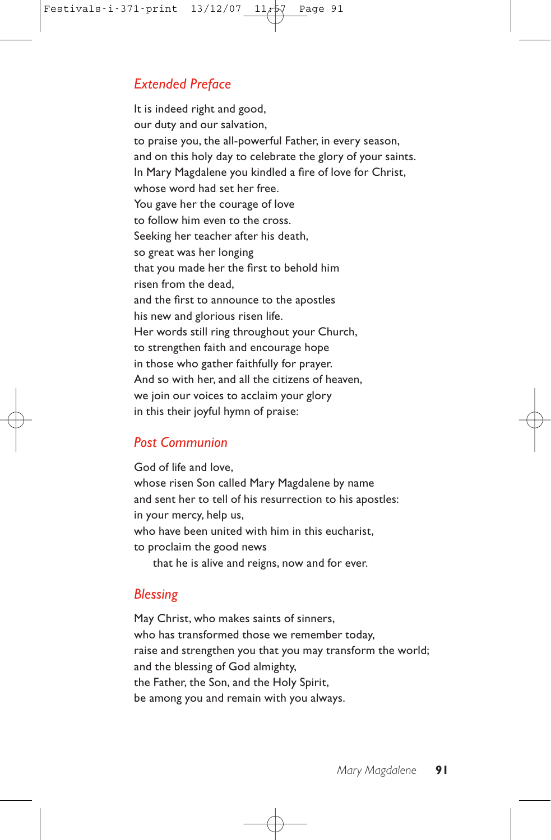## *Extended Preface*

It is indeed right and good, our duty and our salvation, to praise you, the all-powerful Father, in every season, and on this holy day to celebrate the glory of your saints. In Mary Magdalene you kindled a fire of love for Christ, whose word had set her free. You gave her the courage of love to follow him even to the cross. Seeking her teacher after his death, so great was her longing that you made her the first to behold him risen from the dead, and the first to announce to the apostles his new and glorious risen life. Her words still ring throughout your Church, to strengthen faith and encourage hope in those who gather faithfully for prayer. And so with her, and all the citizens of heaven, we join our voices to acclaim your glory in this their joyful hymn of praise:

### *Post Communion*

God of life and love, whose risen Son called Mary Magdalene by name and sent her to tell of his resurrection to his apostles: in your mercy, help us, who have been united with him in this eucharist, to proclaim the good news that he is alive and reigns, now and for ever.

### *Blessing*

May Christ, who makes saints of sinners, who has transformed those we remember today, raise and strengthen you that you may transform the world; and the blessing of God almighty, the Father, the Son, and the Holy Spirit, be among you and remain with you always.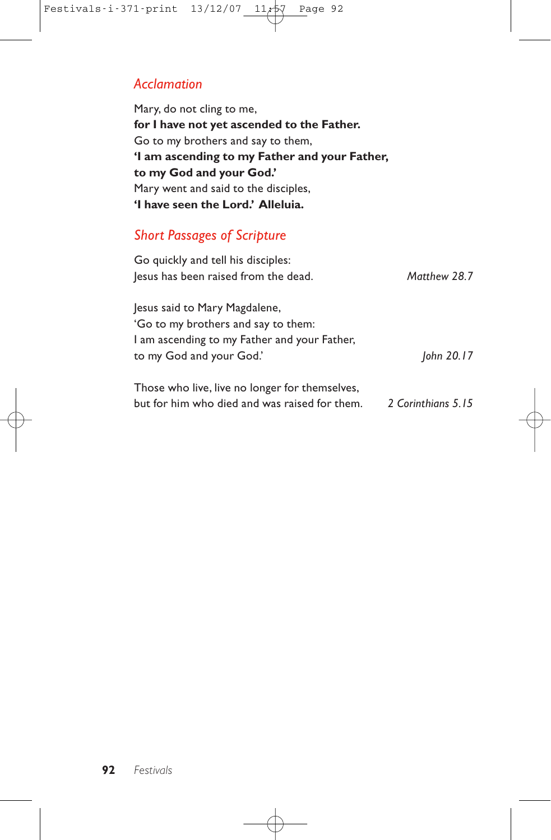## *Acclamation*

Mary, do not cling to me, **for I have not yet ascended to the Father.** Go to my brothers and say to them, **'I am ascending to my Father and your Father, to my God and your God.'** Mary went and said to the disciples, **'I have seen the Lord.' Alleluia.**

## *Short Passages of Scripture*

| Go quickly and tell his disciples:             |                    |
|------------------------------------------------|--------------------|
| lesus has been raised from the dead.           | Matthew 28.7       |
| Jesus said to Mary Magdalene,                  |                    |
| 'Go to my brothers and say to them:            |                    |
| I am ascending to my Father and your Father,   |                    |
| to my God and your God.'                       | John 20.17         |
| Those who live, live no longer for themselves, |                    |
| but for him who died and was raised for them.  | 2 Corinthians 5.15 |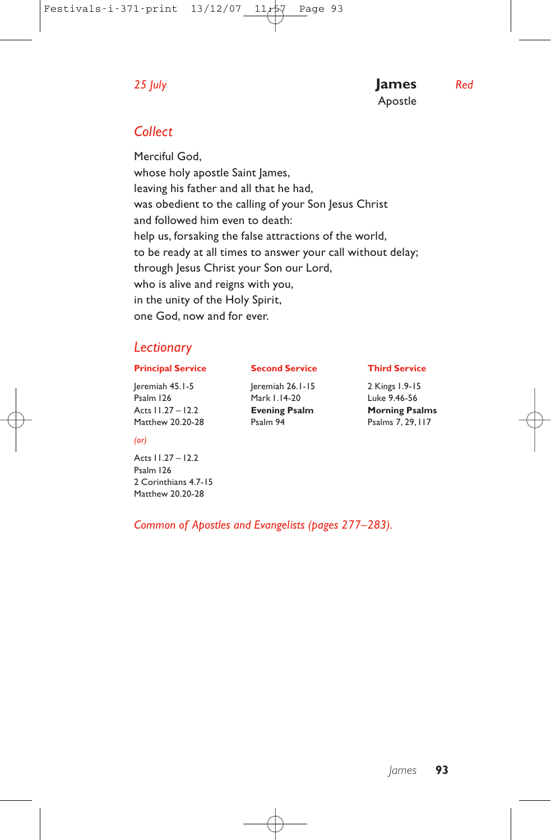## *25 July* **James** *Red* Apostle

### *Collect*

Merciful God, whose holy apostle Saint James, leaving his father and all that he had, was obedient to the calling of your Son Jesus Christ and followed him even to death: help us, forsaking the false attractions of the world, to be ready at all times to answer your call without delay; through Jesus Christ your Son our Lord, who is alive and reigns with you, in the unity of the Holy Spirit, one God, now and for ever.

### *Lectionary*

*(or)*

#### **Principal Service Second Service Third Service**

Acts 11.27 – 12.2 Psalm 126 2 Corinthians 4.7-15 Matthew 20.20-28

#### Jeremiah 45.1-5 Jeremiah 26.1-15 2 Kings 1.9-15 Psalm 126 Mark 1.14-20 Luke 9.46-56 Acts 11.27 – 12.2 **Evening Psalm Morning Psalms**

Matthew 20.20-28 Psalm 94 Psalms 7, 29,117

# *Common of Apostles and Evangelists (pages 277–283).*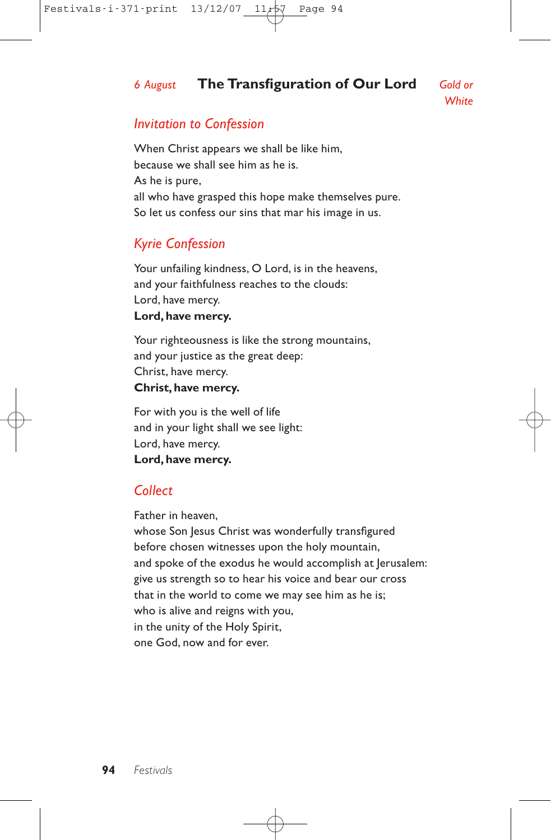### *6 August* **The Transfiguration of Our Lord** *Gold or*

*White*

## *Invitation to Confession*

When Christ appears we shall be like him, because we shall see him as he is. As he is pure, all who have grasped this hope make themselves pure. So let us confess our sins that mar his image in us.

## *Kyrie Confession*

Your unfailing kindness, O Lord, is in the heavens, and your faithfulness reaches to the clouds: Lord, have mercy. **Lord, have mercy.**

Your righteousness is like the strong mountains, and your justice as the great deep: Christ, have mercy. **Christ, have mercy.**

For with you is the well of life and in your light shall we see light: Lord, have mercy. **Lord, have mercy.**

### *Collect*

Father in heaven,

whose Son Jesus Christ was wonderfully transfigured before chosen witnesses upon the holy mountain, and spoke of the exodus he would accomplish at Jerusalem: give us strength so to hear his voice and bear our cross that in the world to come we may see him as he is; who is alive and reigns with you, in the unity of the Holy Spirit, one God, now and for ever.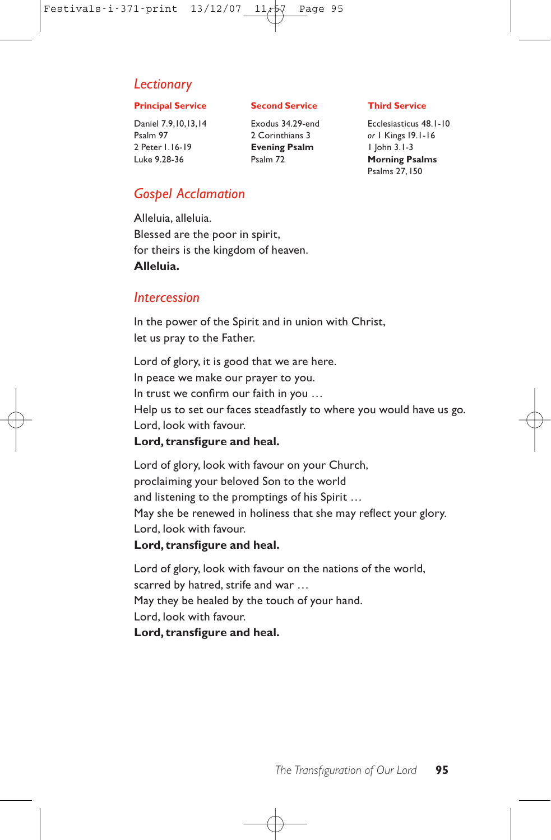### *Lectionary*

#### **Principal Service Second Service Third Service**

Daniel 7.9,10,13,14 Exodus 34.29-end Ecclesiasticus 48.1-10 Psalm 97 2 Corinthians 3 *or* 1 Kings 19.1-16 2 Peter 1.16-19 **Evening Psalm** 1 John 3.1-3 Luke 9.28-36 Psalm 72 **Morning Psalms**

Psalms 27,150

### *Gospel Acclamation*

Alleluia, alleluia. Blessed are the poor in spirit, for theirs is the kingdom of heaven. **Alleluia.**

#### *Intercession*

In the power of the Spirit and in union with Christ, let us pray to the Father.

Lord of glory, it is good that we are here. In peace we make our prayer to you. In trust we confirm our faith in you … Help us to set our faces steadfastly to where you would have us go. Lord, look with favour.

#### **Lord, transfigure and heal.**

Lord of glory, look with favour on your Church, proclaiming your beloved Son to the world and listening to the promptings of his Spirit … May she be renewed in holiness that she may reflect your glory. Lord, look with favour.

#### **Lord, transfigure and heal.**

Lord of glory, look with favour on the nations of the world, scarred by hatred, strife and war … May they be healed by the touch of your hand. Lord, look with favour. **Lord, transfigure and heal.**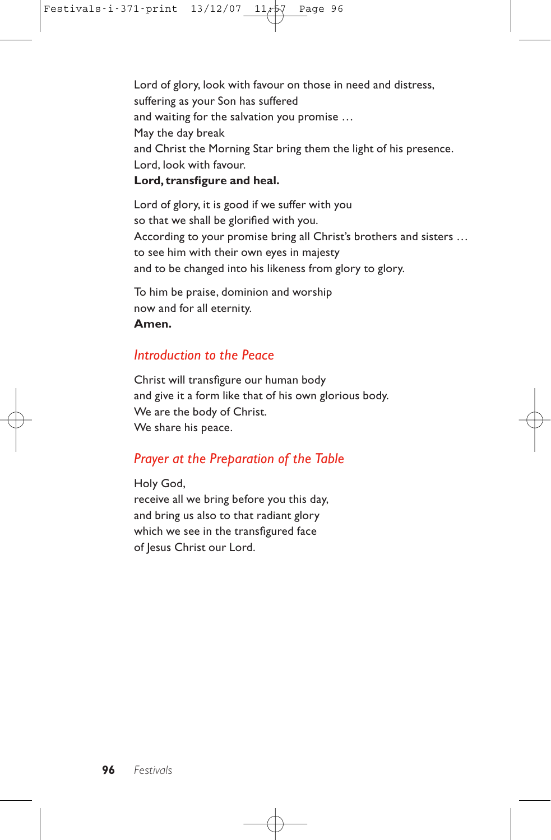Lord of glory, look with favour on those in need and distress, suffering as your Son has suffered and waiting for the salvation you promise … May the day break and Christ the Morning Star bring them the light of his presence. Lord, look with favour. **Lord, transfigure and heal.**

Lord of glory, it is good if we suffer with you so that we shall be glorified with you. According to your promise bring all Christ's brothers and sisters … to see him with their own eyes in majesty and to be changed into his likeness from glory to glory.

To him be praise, dominion and worship now and for all eternity. **Amen.**

## *Introduction to the Peace*

Christ will transfigure our human body and give it a form like that of his own glorious body. We are the body of Christ. We share his peace.

## *Prayer at the Preparation of the Table*

Holy God,

receive all we bring before you this day, and bring us also to that radiant glory which we see in the transfigured face of Jesus Christ our Lord.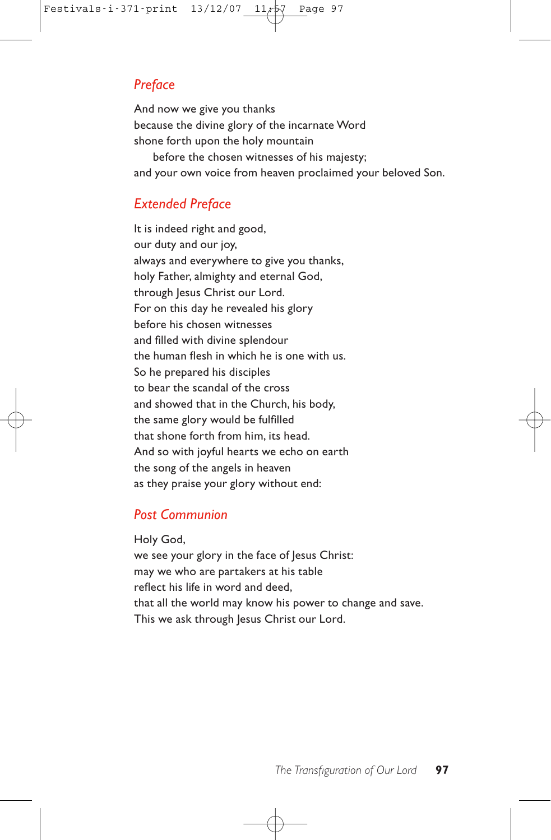## *Preface*

And now we give you thanks because the divine glory of the incarnate Word shone forth upon the holy mountain before the chosen witnesses of his majesty;

and your own voice from heaven proclaimed your beloved Son.

## *Extended Preface*

It is indeed right and good, our duty and our joy, always and everywhere to give you thanks, holy Father, almighty and eternal God, through Jesus Christ our Lord. For on this day he revealed his glory before his chosen witnesses and filled with divine splendour the human flesh in which he is one with us. So he prepared his disciples to bear the scandal of the cross and showed that in the Church, his body, the same glory would be fulfilled that shone forth from him, its head. And so with joyful hearts we echo on earth the song of the angels in heaven as they praise your glory without end:

### *Post Communion*

Holy God, we see your glory in the face of Jesus Christ: may we who are partakers at his table reflect his life in word and deed, that all the world may know his power to change and save. This we ask through Jesus Christ our Lord.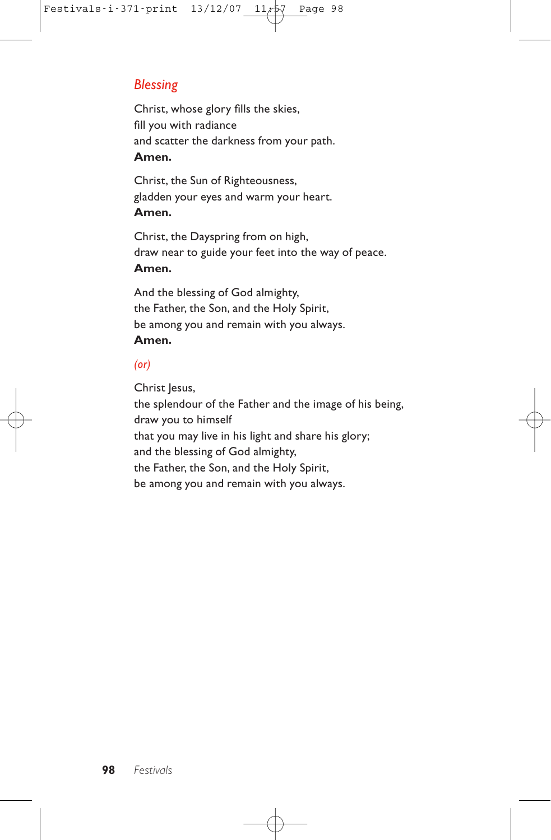### *Blessing*

Christ, whose glory fills the skies, fill you with radiance and scatter the darkness from your path. **Amen.**

Christ, the Sun of Righteousness, gladden your eyes and warm your heart. **Amen.**

Christ, the Dayspring from on high, draw near to guide your feet into the way of peace. **Amen.**

And the blessing of God almighty, the Father, the Son, and the Holy Spirit, be among you and remain with you always. **Amen.**

#### *(or)*

Christ Jesus, the splendour of the Father and the image of his being, draw you to himself that you may live in his light and share his glory; and the blessing of God almighty, the Father, the Son, and the Holy Spirit, be among you and remain with you always.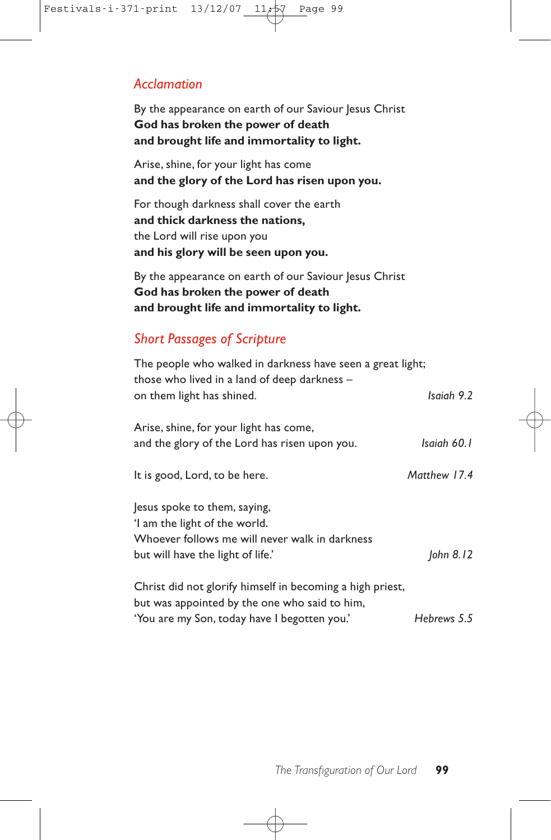## *Acclamation*

By the appearance on earth of our Saviour Jesus Christ **God has broken the power of death and brought life and immortality to light.**

Arise, shine, for your light has come **and the glory of the Lord has risen upon you.**

For though darkness shall cover the earth **and thick darkness the nations,** the Lord will rise upon you **and his glory will be seen upon you.**

By the appearance on earth of our Saviour Jesus Christ **God has broken the power of death and brought life and immortality to light.**

## *Short Passages of Scripture*

| The people who walked in darkness have seen a great light; |              |
|------------------------------------------------------------|--------------|
| those who lived in a land of deep darkness -               |              |
| on them light has shined.                                  | Isaiah 9.2   |
| Arise, shine, for your light has come,                     |              |
| and the glory of the Lord has risen upon you.              | Isaiah 60. l |
| It is good, Lord, to be here.                              | Matthew 17.4 |
| Jesus spoke to them, saying,                               |              |
| 'I am the light of the world.                              |              |
| Whoever follows me will never walk in darkness             |              |
| but will have the light of life.'                          | John $8.12$  |
| Christ did not glorify himself in becoming a high priest,  |              |
| but was appointed by the one who said to him,              |              |
| 'You are my Son, today have I begotten you.'               | Hebrews 5.5  |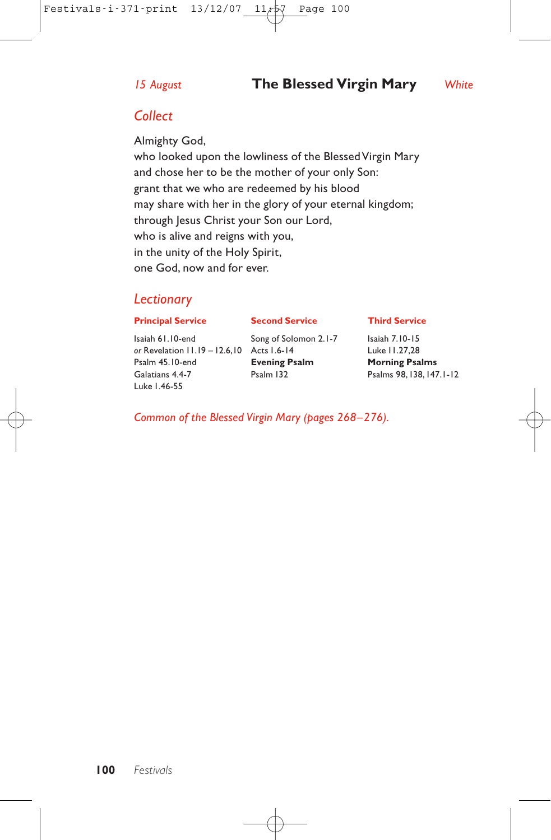## *15 August* **The Blessed Virgin Mary** *White*

## *Collect*

Almighty God,

who looked upon the lowliness of the Blessed Virgin Mary and chose her to be the mother of your only Son: grant that we who are redeemed by his blood may share with her in the glory of your eternal kingdom; through Jesus Christ your Son our Lord, who is alive and reigns with you, in the unity of the Holy Spirit, one God, now and for ever.

### *Lectionary*

#### **Principal Service Second Service Third Service**

Isaiah 61.10-end Song of Solomon 2.1-7 Isaiah 7.10-15 *or* Revelation 11.19 – 12.6,10 Acts 1.6-14 Luke 11.27,28 Psalm 45.10-end **Evening Psalm Morning Psalms** Galatians 4.4-7 Psalm 132 Psalms 98,138,147.1-12 Luke 1.46-55

*Common of the Blessed Virgin Mary (pages 268–276).*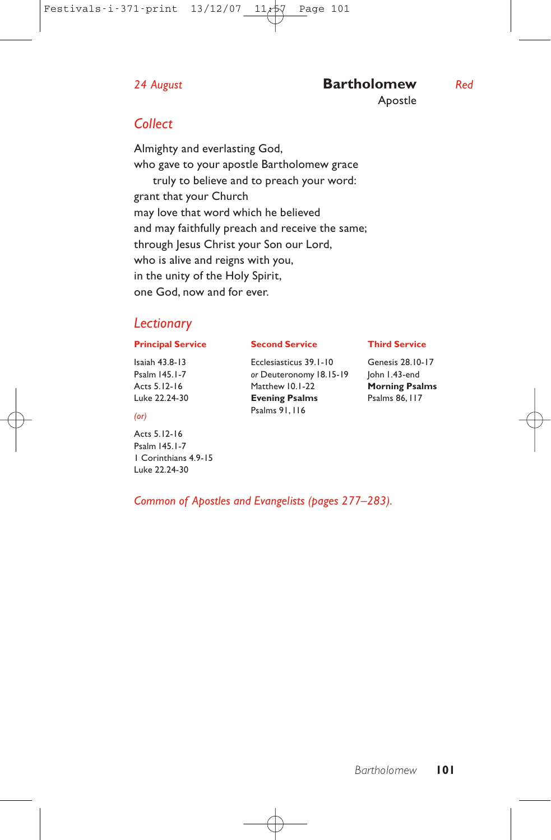#### *24 August* **Bartholomew** *Red*

Apostle

### *Collect*

Almighty and everlasting God, who gave to your apostle Bartholomew grace truly to believe and to preach your word: grant that your Church may love that word which he believed and may faithfully preach and receive the same; through Jesus Christ your Son our Lord, who is alive and reigns with you, in the unity of the Holy Spirit, one God, now and for ever.

## *Lectionary*

#### **Principal Service Second Service Third Service**

Acts 5.12-16 Psalm 145.1-7 1 Corinthians 4.9-15 Luke 22.24-30

Isaiah 43.8-13 Ecclesiasticus 39.1-10 Genesis 28.10-17 Psalm 145.1-7 *or* Deuteronomy 18.15-19 John 1.43-end Acts 5.12-16 Matthew 10.1-22 **Morning Psalms** Luke 22.24-30 **Evening Psalms** Psalms 86,117 Psalms 91,116 *(or)*

*Common of Apostles and Evangelists (pages 277–283).*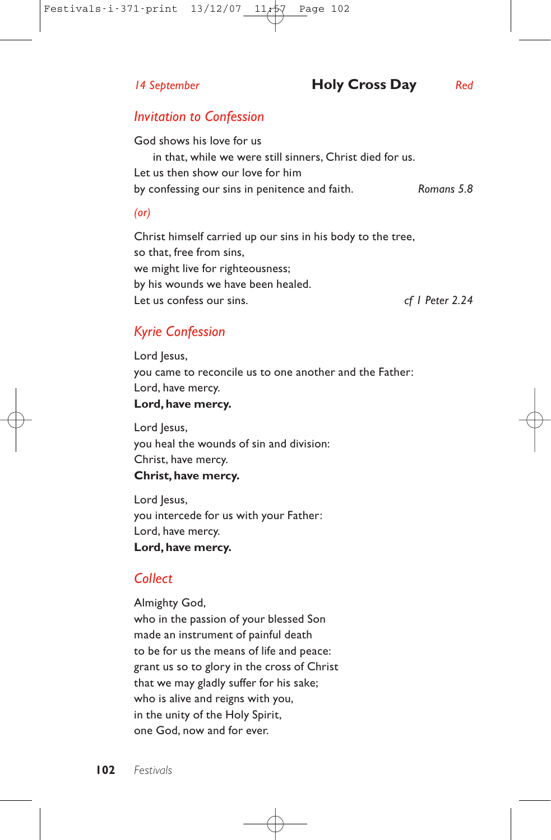## *14 September* **Holy Cross Day** *Red*

## *Invitation to Confession*

God shows his love for us

in that, while we were still sinners, Christ died for us. Let us then show our love for him by confessing our sins in penitence and faith. *Romans 5.8*

## *(or)*

Christ himself carried up our sins in his body to the tree, so that, free from sins, we might live for righteousness; by his wounds we have been healed. Let us confess our sins. *cf 1 Peter 2.24*

## *Kyrie Confession*

Lord Jesus, you came to reconcile us to one another and the Father: Lord, have mercy. **Lord, have mercy.**

Lord Jesus, you heal the wounds of sin and division: Christ, have mercy. **Christ, have mercy.**

Lord Jesus, you intercede for us with your Father: Lord, have mercy. **Lord, have mercy.**

### *Collect*

Almighty God, who in the passion of your blessed Son made an instrument of painful death to be for us the means of life and peace: grant us so to glory in the cross of Christ that we may gladly suffer for his sake; who is alive and reigns with you, in the unity of the Holy Spirit, one God, now and for ever.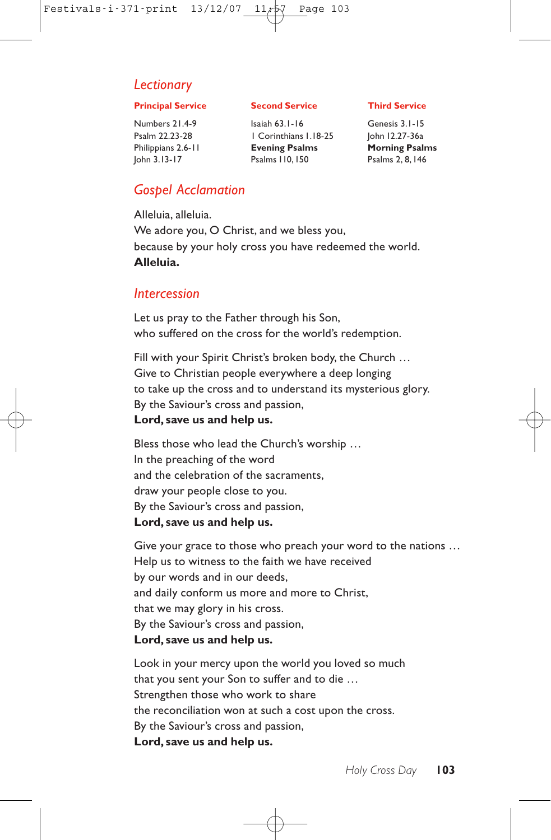## *Lectionary*

#### **Principal Service Second Service Third Service**

Numbers 21.4-9 Isaiah 63.1-16 Genesis 3.1-15 Psalm 22.23-28 1 Corinthians 1.18-25 John 12.27-36a Philippians 2.6-11 **Evening Psalms Morning Psalms** John 3.13-17 Psalms 110,150 Psalms 2, 8,146

#### *Gospel Acclamation*

Alleluia, alleluia. We adore you, O Christ, and we bless you, because by your holy cross you have redeemed the world. **Alleluia.**

#### *Intercession*

Let us pray to the Father through his Son, who suffered on the cross for the world's redemption.

Fill with your Spirit Christ's broken body, the Church … Give to Christian people everywhere a deep longing to take up the cross and to understand its mysterious glory. By the Saviour's cross and passion, **Lord, save us and help us.**

Bless those who lead the Church's worship … In the preaching of the word and the celebration of the sacraments, draw your people close to you. By the Saviour's cross and passion, **Lord, save us and help us.**

Give your grace to those who preach your word to the nations … Help us to witness to the faith we have received by our words and in our deeds, and daily conform us more and more to Christ, that we may glory in his cross. By the Saviour's cross and passion, **Lord, save us and help us.**

Look in your mercy upon the world you loved so much that you sent your Son to suffer and to die … Strengthen those who work to share the reconciliation won at such a cost upon the cross. By the Saviour's cross and passion, **Lord, save us and help us.**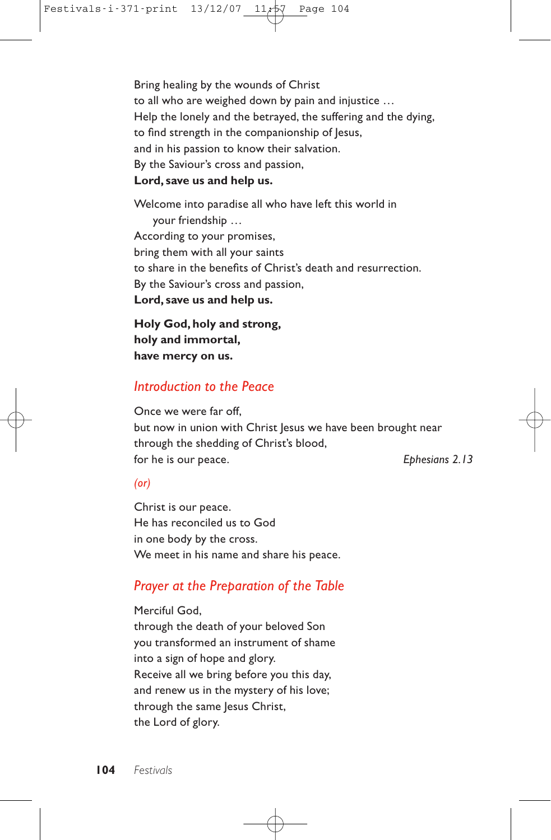Bring healing by the wounds of Christ to all who are weighed down by pain and injustice … Help the lonely and the betrayed, the suffering and the dying, to find strength in the companionship of Jesus, and in his passion to know their salvation. By the Saviour's cross and passion, **Lord, save us and help us.**

Welcome into paradise all who have left this world in your friendship … According to your promises, bring them with all your saints to share in the benefits of Christ's death and resurrection. By the Saviour's cross and passion, **Lord, save us and help us.**

**Holy God, holy and strong, holy and immortal, have mercy on us.**

## *Introduction to the Peace*

Once we were far off, but now in union with Christ Jesus we have been brought near through the shedding of Christ's blood, for he is our peace. *Ephesians 2.13*

#### *(or)*

Christ is our peace. He has reconciled us to God in one body by the cross. We meet in his name and share his peace.

### *Prayer at the Preparation of the Table*

Merciful God, through the death of your beloved Son you transformed an instrument of shame into a sign of hope and glory. Receive all we bring before you this day, and renew us in the mystery of his love; through the same Jesus Christ, the Lord of glory.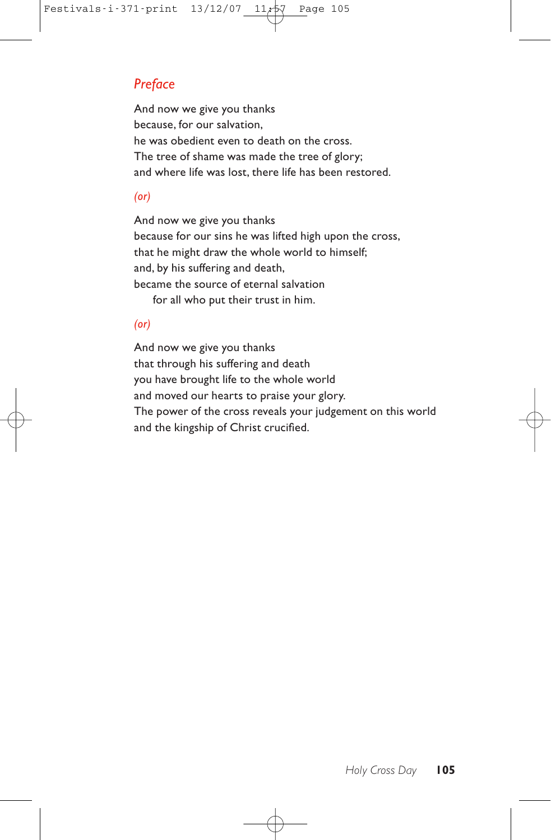## *Preface*

And now we give you thanks because, for our salvation, he was obedient even to death on the cross. The tree of shame was made the tree of glory; and where life was lost, there life has been restored.

#### *(or)*

And now we give you thanks because for our sins he was lifted high upon the cross, that he might draw the whole world to himself; and, by his suffering and death, became the source of eternal salvation for all who put their trust in him.

#### *(or)*

And now we give you thanks that through his suffering and death you have brought life to the whole world and moved our hearts to praise your glory. The power of the cross reveals your judgement on this world and the kingship of Christ crucified.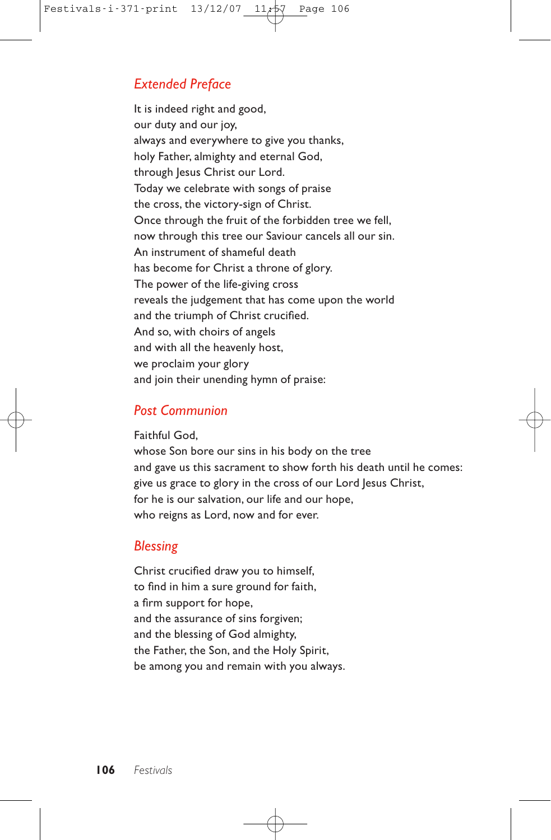## *Extended Preface*

It is indeed right and good, our duty and our joy, always and everywhere to give you thanks, holy Father, almighty and eternal God, through Jesus Christ our Lord. Today we celebrate with songs of praise the cross, the victory-sign of Christ. Once through the fruit of the forbidden tree we fell, now through this tree our Saviour cancels all our sin. An instrument of shameful death has become for Christ a throne of glory. The power of the life-giving cross reveals the judgement that has come upon the world and the triumph of Christ crucified. And so, with choirs of angels and with all the heavenly host, we proclaim your glory and join their unending hymn of praise:

## *Post Communion*

Faithful God,

whose Son bore our sins in his body on the tree and gave us this sacrament to show forth his death until he comes: give us grace to glory in the cross of our Lord Jesus Christ, for he is our salvation, our life and our hope, who reigns as Lord, now and for ever.

### *Blessing*

Christ crucified draw you to himself, to find in him a sure ground for faith, a firm support for hope, and the assurance of sins forgiven; and the blessing of God almighty, the Father, the Son, and the Holy Spirit, be among you and remain with you always.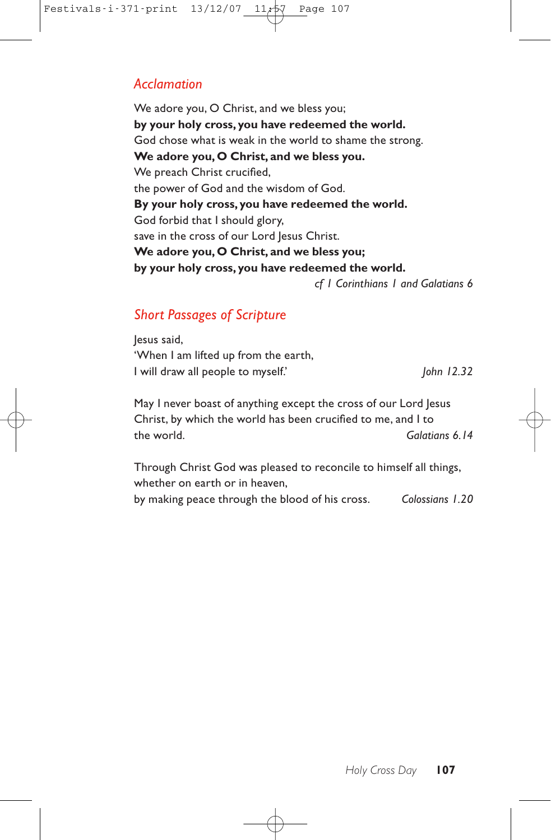# *Acclamation*

We adore you, O Christ, and we bless you; **by your holy cross, you have redeemed the world.** God chose what is weak in the world to shame the strong. **We adore you, O Christ, and we bless you.** We preach Christ crucified, the power of God and the wisdom of God. **By your holy cross, you have redeemed the world.** God forbid that I should glory, save in the cross of our Lord Jesus Christ. **We adore you, O Christ, and we bless you; by your holy cross, you have redeemed the world.**

*cf 1 Corinthians 1 and Galatians 6*

# *Short Passages of Scripture*

Jesus said, 'When I am lifted up from the earth, I will draw all people to myself.' *John 12.32*

May I never boast of anything except the cross of our Lord Jesus Christ, by which the world has been crucified to me, and I to the world. *Galatians 6.14*

Through Christ God was pleased to reconcile to himself all things, whether on earth or in heaven,

by making peace through the blood of his cross. *Colossians 1.20*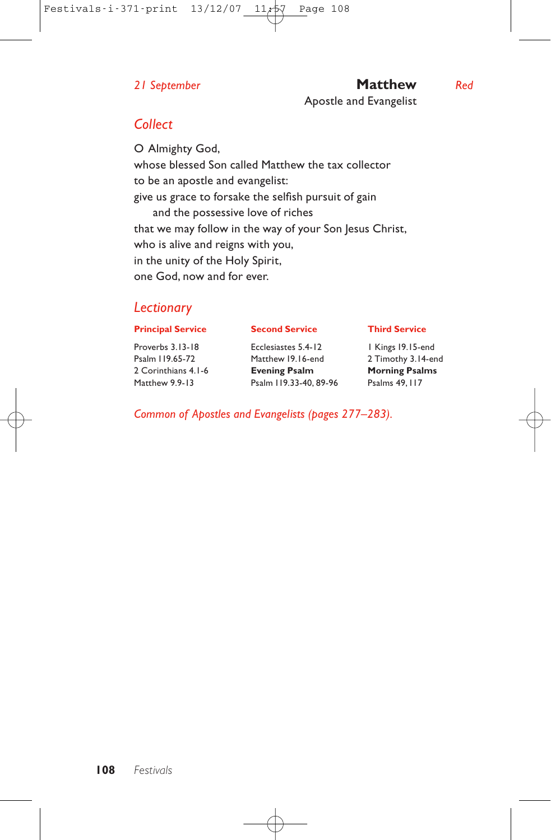# *21 September* **Matthew** *Red*

Apostle and Evangelist

# *Collect*

O Almighty God, whose blessed Son called Matthew the tax collector to be an apostle and evangelist: give us grace to forsake the selfish pursuit of gain and the possessive love of riches that we may follow in the way of your Son Jesus Christ, who is alive and reigns with you, in the unity of the Holy Spirit, one God, now and for ever.

### *Lectionary*

#### **Principal Service Second Service Third Service**

Proverbs 3.13-18 Ecclesiastes 5.4-12 1 Kings 19.15-end<br>Psalm 119.65-72 Matthew 19.16-end 2 Timothy 3.14-er

2 Corinthians 4.1-6 **Evening Psalm Morning Psalms** Matthew 9.9-13 Psalm 119.33-40, 89-96 Psalms 49,117

2 Timothy 3.14-end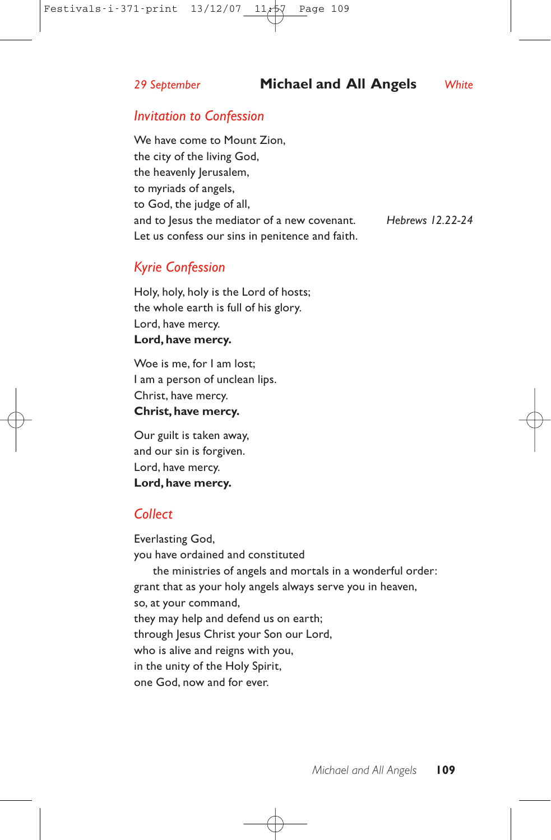# *29 September* **Michael and All Angels** *White*

#### *Invitation to Confession*

We have come to Mount Zion, the city of the living God, the heavenly lerusalem, to myriads of angels, to God, the judge of all, and to Jesus the mediator of a new covenant. *Hebrews 12.22-24* Let us confess our sins in penitence and faith.

## *Kyrie Confession*

Holy, holy, holy is the Lord of hosts; the whole earth is full of his glory. Lord, have mercy. **Lord, have mercy.**

Woe is me, for I am lost; I am a person of unclean lips. Christ, have mercy. **Christ, have mercy.**

Our guilt is taken away, and our sin is forgiven. Lord, have mercy. **Lord, have mercy.**

# *Collect*

Everlasting God, you have ordained and constituted the ministries of angels and mortals in a wonderful order: grant that as your holy angels always serve you in heaven, so, at your command, they may help and defend us on earth; through Jesus Christ your Son our Lord, who is alive and reigns with you, in the unity of the Holy Spirit, one God, now and for ever.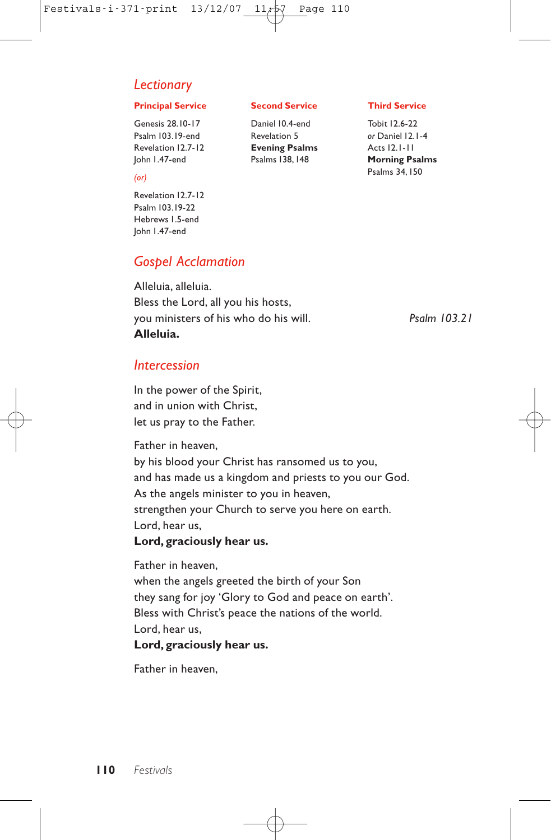# *Lectionary*

#### **Principal Service Second Service Third Service**

Genesis 28.10-17 Daniel 10.4-end Tobit 12.6-22 Psalm 103.19-end Revelation 5 *or* Daniel 12.1-4 Revelation 12.7-12 **Evening Psalms** Acts 12.1-11 John 1.47-end Psalms 138,148 **Morning Psalms**

# Psalms 34,150 *(or)*

Revelation 12.7-12 Psalm 103.19-22 Hebrews 1.5-end John 1.47-end

## *Gospel Acclamation*

Alleluia, alleluia. Bless the Lord, all you his hosts, you ministers of his who do his will. *Psalm 103.21* **Alleluia.**

### *Intercession*

In the power of the Spirit, and in union with Christ, let us pray to the Father.

#### Father in heaven,

by his blood your Christ has ransomed us to you, and has made us a kingdom and priests to you our God. As the angels minister to you in heaven, strengthen your Church to serve you here on earth. Lord, hear us,

### **Lord, graciously hear us.**

Father in heaven, when the angels greeted the birth of your Son they sang for joy 'Glory to God and peace on earth'. Bless with Christ's peace the nations of the world. Lord, hear us,

#### **Lord, graciously hear us.**

Father in heaven,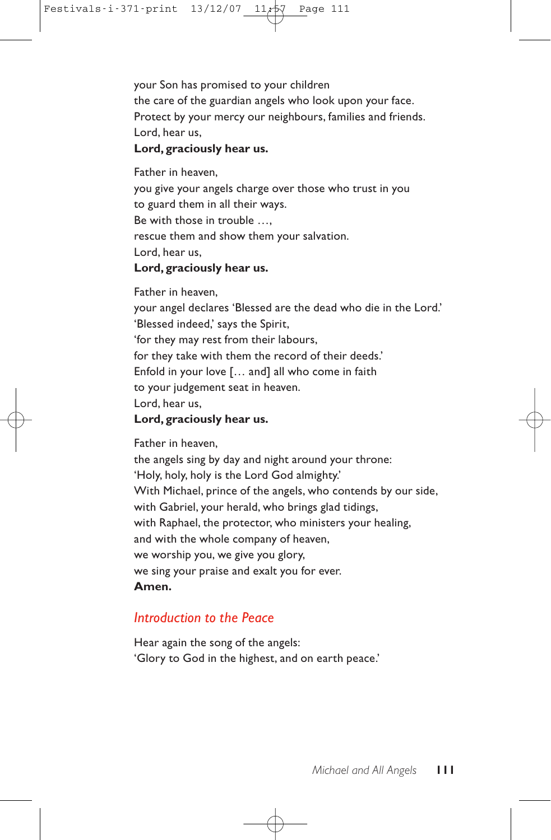your Son has promised to your children the care of the guardian angels who look upon your face. Protect by your mercy our neighbours, families and friends. Lord, hear us,

#### **Lord, graciously hear us.**

Father in heaven,

you give your angels charge over those who trust in you to guard them in all their ways. Be with those in trouble …, rescue them and show them your salvation. Lord, hear us,

## **Lord, graciously hear us.**

Father in heaven,

your angel declares 'Blessed are the dead who die in the Lord.' 'Blessed indeed,' says the Spirit, 'for they may rest from their labours, for they take with them the record of their deeds.' Enfold in your love [… and] all who come in faith to your judgement seat in heaven. Lord, hear us, **Lord, graciously hear us.**

Father in heaven,

the angels sing by day and night around your throne: 'Holy, holy, holy is the Lord God almighty.' With Michael, prince of the angels, who contends by our side, with Gabriel, your herald, who brings glad tidings, with Raphael, the protector, who ministers your healing, and with the whole company of heaven, we worship you, we give you glory, we sing your praise and exalt you for ever. **Amen.**

# *Introduction to the Peace*

Hear again the song of the angels: 'Glory to God in the highest, and on earth peace.'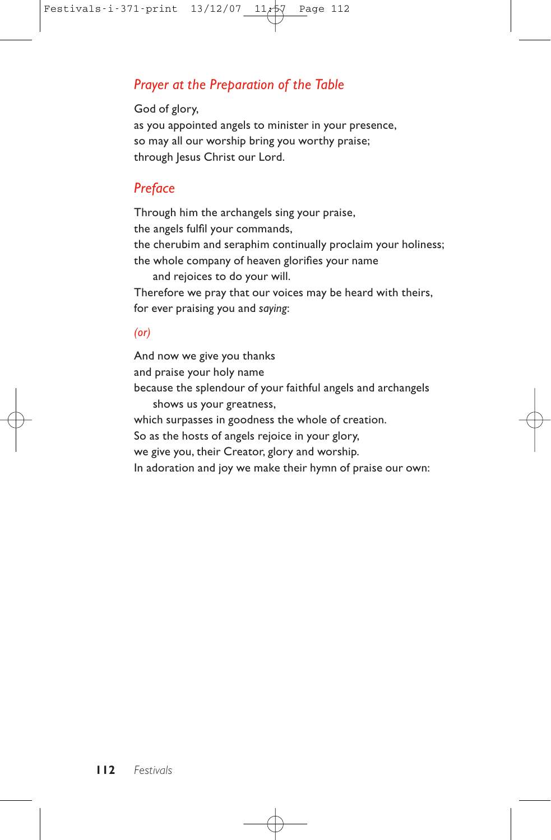# *Prayer at the Preparation of the Table*

God of glory, as you appointed angels to minister in your presence, so may all our worship bring you worthy praise; through Jesus Christ our Lord.

# *Preface*

Through him the archangels sing your praise, the angels fulfil your commands, the cherubim and seraphim continually proclaim your holiness; the whole company of heaven glorifies your name and rejoices to do your will.

Therefore we pray that our voices may be heard with theirs, for ever praising you and *saying*:

### *(or)*

And now we give you thanks and praise your holy name because the splendour of your faithful angels and archangels shows us your greatness, which surpasses in goodness the whole of creation. So as the hosts of angels rejoice in your glory, we give you, their Creator, glory and worship. In adoration and joy we make their hymn of praise our own: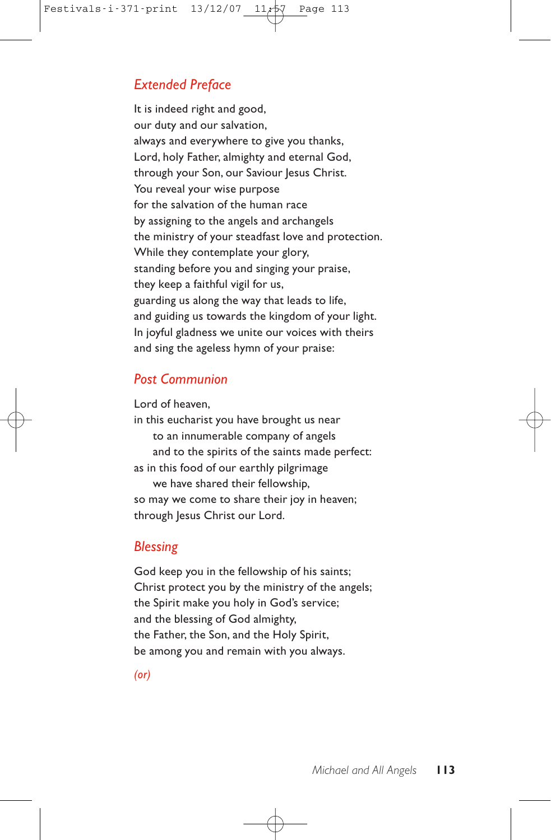# *Extended Preface*

It is indeed right and good, our duty and our salvation, always and everywhere to give you thanks, Lord, holy Father, almighty and eternal God, through your Son, our Saviour Jesus Christ. You reveal your wise purpose for the salvation of the human race by assigning to the angels and archangels the ministry of your steadfast love and protection. While they contemplate your glory, standing before you and singing your praise, they keep a faithful vigil for us, guarding us along the way that leads to life, and guiding us towards the kingdom of your light. In joyful gladness we unite our voices with theirs and sing the ageless hymn of your praise:

#### *Post Communion*

Lord of heaven, in this eucharist you have brought us near to an innumerable company of angels and to the spirits of the saints made perfect: as in this food of our earthly pilgrimage we have shared their fellowship, so may we come to share their joy in heaven; through Jesus Christ our Lord.

# *Blessing*

God keep you in the fellowship of his saints; Christ protect you by the ministry of the angels; the Spirit make you holy in God's service; and the blessing of God almighty, the Father, the Son, and the Holy Spirit, be among you and remain with you always.

*(or)*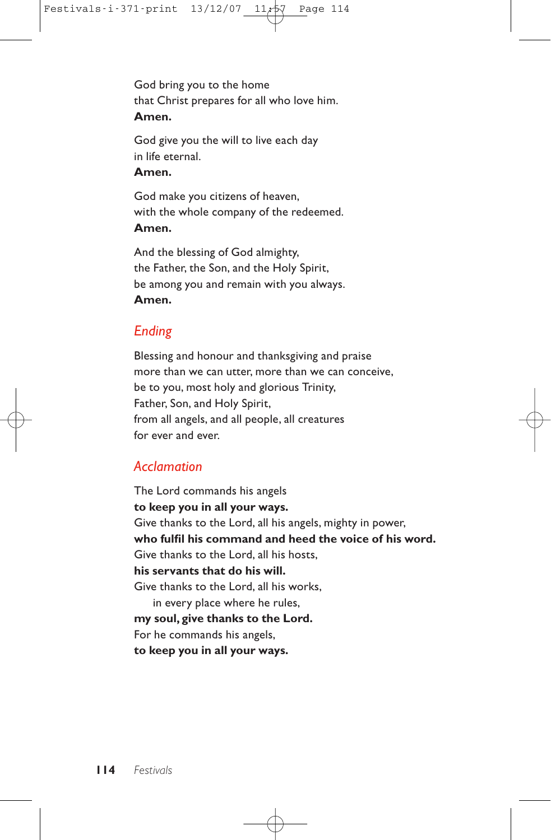God bring you to the home that Christ prepares for all who love him. **Amen.**

God give you the will to live each day in life eternal.

#### **Amen.**

God make you citizens of heaven, with the whole company of the redeemed. **Amen.**

And the blessing of God almighty, the Father, the Son, and the Holy Spirit, be among you and remain with you always. **Amen.**

### *Ending*

Blessing and honour and thanksgiving and praise more than we can utter, more than we can conceive, be to you, most holy and glorious Trinity, Father, Son, and Holy Spirit, from all angels, and all people, all creatures for ever and ever.

# *Acclamation*

The Lord commands his angels **to keep you in all your ways.** Give thanks to the Lord, all his angels, mighty in power, **who fulfil his command and heed the voice of his word.** Give thanks to the Lord, all his hosts, **his servants that do his will.** Give thanks to the Lord, all his works, in every place where he rules, **my soul, give thanks to the Lord.** For he commands his angels, **to keep you in all your ways.**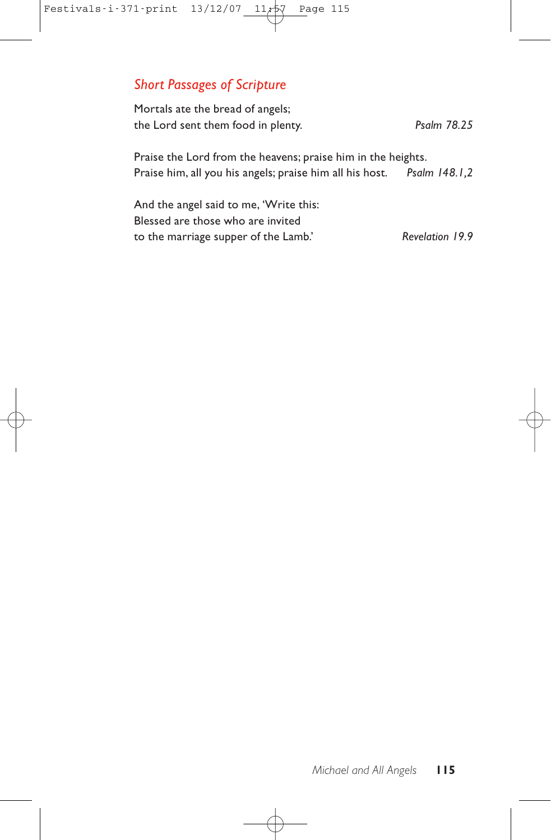# *Short Passages of Scripture*

Mortals ate the bread of angels; the Lord sent them food in plenty. *Psalm 78.25*

Praise the Lord from the heavens; praise him in the heights. Praise him, all you his angels; praise him all his host. *Psalm 148.1,2*

And the angel said to me, 'Write this: Blessed are those who are invited to the marriage supper of the Lamb.' *Revelation 19.9*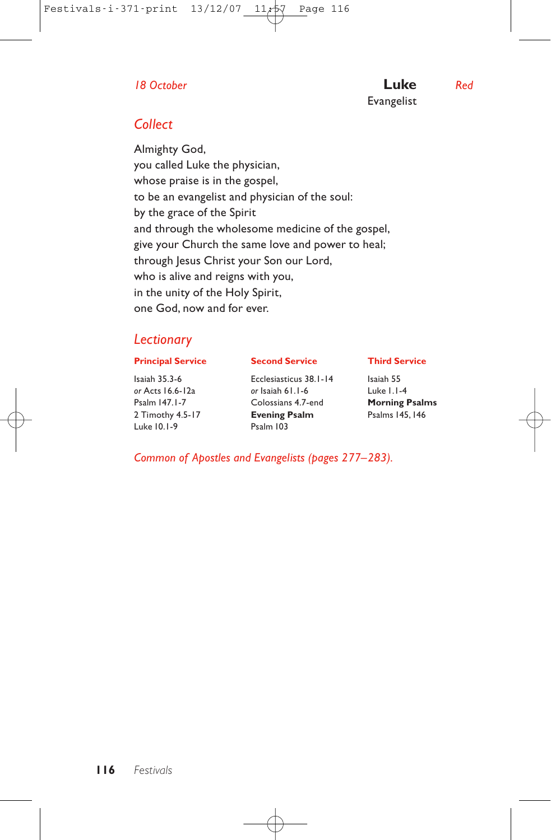# *18 October* **Luke** *Red*

# Evangelist

# *Collect*

Almighty God, you called Luke the physician, whose praise is in the gospel, to be an evangelist and physician of the soul: by the grace of the Spirit and through the wholesome medicine of the gospel, give your Church the same love and power to heal; through Jesus Christ your Son our Lord, who is alive and reigns with you, in the unity of the Holy Spirit, one God, now and for ever.

# *Lectionary*

#### **Principal Service Second Service Third Service**

Luke 10.1-9 Psalm 103

Isaiah 35.3-6 Ecclesiasticus 38.1-14 Isaiah 55 *or* Acts 16.6-12a *or* Isaiah 61.1-6 Luke 1.1-4 Psalm 147.1-7 Colossians 4.7-end **Morning Psalms** 2 Timothy 4.5-17 **Evening Psalm** Psalms 145, 146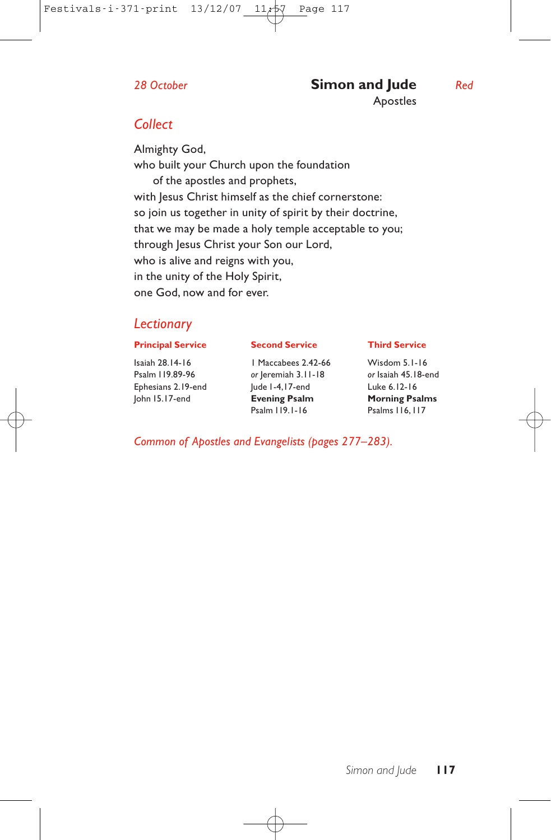#### *28 October* **Simon and Jude** *Red*

Apostles

# *Collect*

Almighty God, who built your Church upon the foundation of the apostles and prophets, with Jesus Christ himself as the chief cornerstone: so join us together in unity of spirit by their doctrine, that we may be made a holy temple acceptable to you; through Jesus Christ your Son our Lord, who is alive and reigns with you, in the unity of the Holy Spirit, one God, now and for ever.

### *Lectionary*

#### **Principal Service Second Service Third Service**

Isaiah 28.14-16 1 Maccabees 2.42-66 Wisdom 5.1-16

Psalm 119.89-96 *or* Jeremiah 3.11-18 *or* Isaiah 45.18-end Ephesians 2.19-end Jude 1-4,17-end Luke 6.12-16 John 15.17-end **Evening Psalm Morning Psalms** Psalm 119.1-16 Psalms 116,117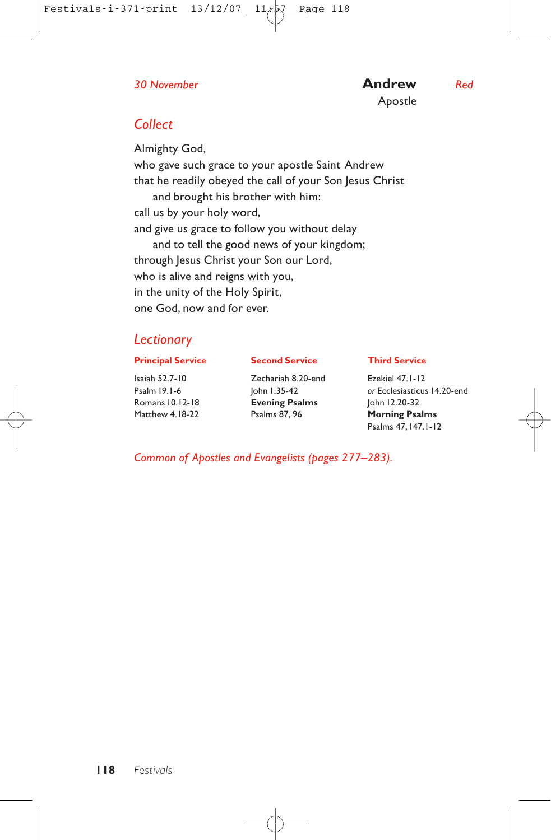# *30 November* **Andrew** *Red*

# Apostle

### *Collect*

Almighty God,

who gave such grace to your apostle Saint Andrew that he readily obeyed the call of your Son Jesus Christ

and brought his brother with him: call us by your holy word, and give us grace to follow you without delay and to tell the good news of your kingdom; through Jesus Christ your Son our Lord, who is alive and reigns with you,

in the unity of the Holy Spirit, one God, now and for ever.

# *Lectionary*

#### **Principal Service Second Service Third Service**

Isaiah 52.7-10 Zechariah 8.20-end Ezekiel 47.1-12

Romans 10.12-18 **Evening Psalms** John 12.20-32

Psalm 19.1-6 **John 1.35-42** *or* Ecclesiasticus 14.20-end Matthew 4.18-22 Psalms 87, 96 **Morning Psalms** Psalms 47,147.1-12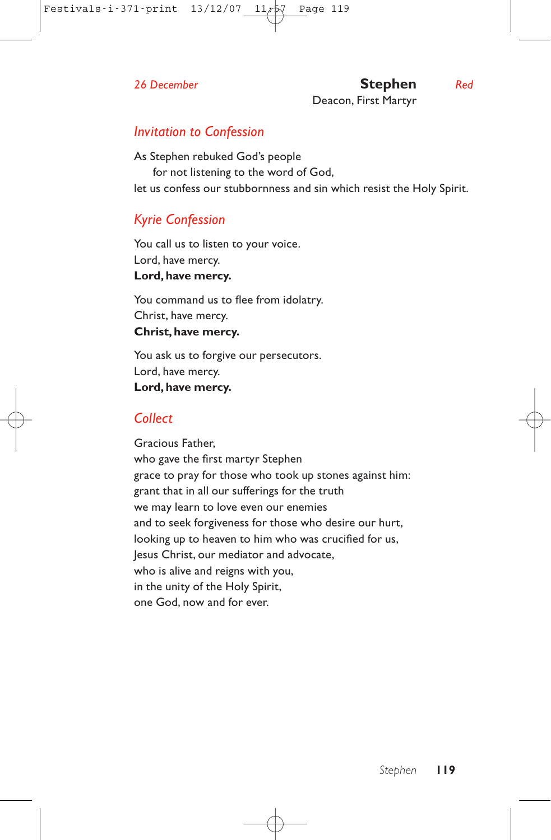# *26 December* **Stephen** *Red*

Deacon, First Martyr

### *Invitation to Confession*

As Stephen rebuked God's people

for not listening to the word of God,

let us confess our stubbornness and sin which resist the Holy Spirit.

# *Kyrie Confession*

You call us to listen to your voice. Lord, have mercy. **Lord, have mercy.**

You command us to flee from idolatry. Christ, have mercy. **Christ, have mercy.**

You ask us to forgive our persecutors. Lord, have mercy. **Lord, have mercy.**

# *Collect*

Gracious Father, who gave the first martyr Stephen grace to pray for those who took up stones against him: grant that in all our sufferings for the truth we may learn to love even our enemies and to seek forgiveness for those who desire our hurt, looking up to heaven to him who was crucified for us, Jesus Christ, our mediator and advocate, who is alive and reigns with you, in the unity of the Holy Spirit, one God, now and for ever.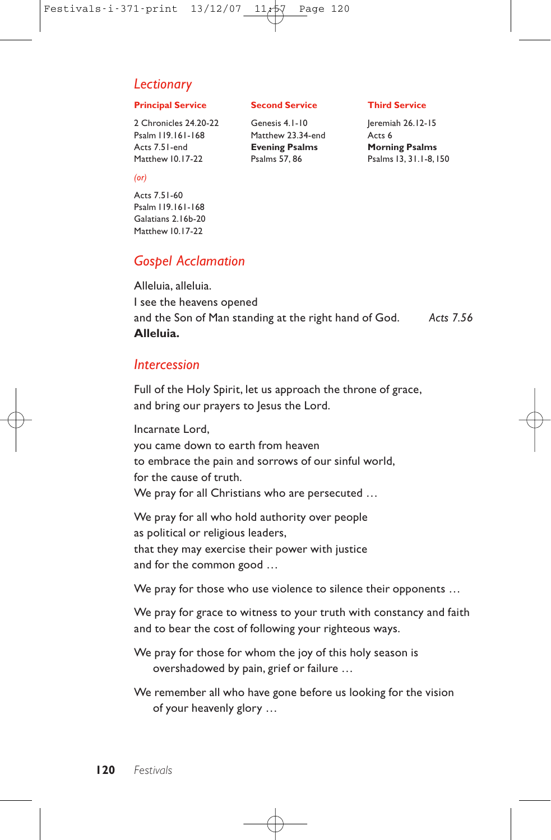### *Lectionary*

#### **Principal Service Second Service Third Service**

2 Chronicles 24.20-22 Genesis 4.1-10 Jeremiah 26.12-15 Psalm 119.161-168 Matthew 23.34-end Acts 6 Acts 7.51-end **Evening Psalms Morning Psalms** Matthew 10.17-22 Psalms 57, 86 Psalms 13, 31.1-8,150

#### *(or)*

Acts 7.51-60 Psalm 119.161-168 Galatians 2.16b-20 Matthew 10.17-22

### *Gospel Acclamation*

Alleluia, alleluia. I see the heavens opened and the Son of Man standing at the right hand of God. *Acts 7.56* **Alleluia.**

#### *Intercession*

Full of the Holy Spirit, let us approach the throne of grace, and bring our prayers to Jesus the Lord.

Incarnate Lord, you came down to earth from heaven to embrace the pain and sorrows of our sinful world, for the cause of truth. We pray for all Christians who are persecuted …

We pray for all who hold authority over people as political or religious leaders, that they may exercise their power with justice and for the common good …

We pray for those who use violence to silence their opponents ...

We pray for grace to witness to your truth with constancy and faith and to bear the cost of following your righteous ways.

We pray for those for whom the joy of this holy season is overshadowed by pain, grief or failure …

We remember all who have gone before us looking for the vision of your heavenly glory …

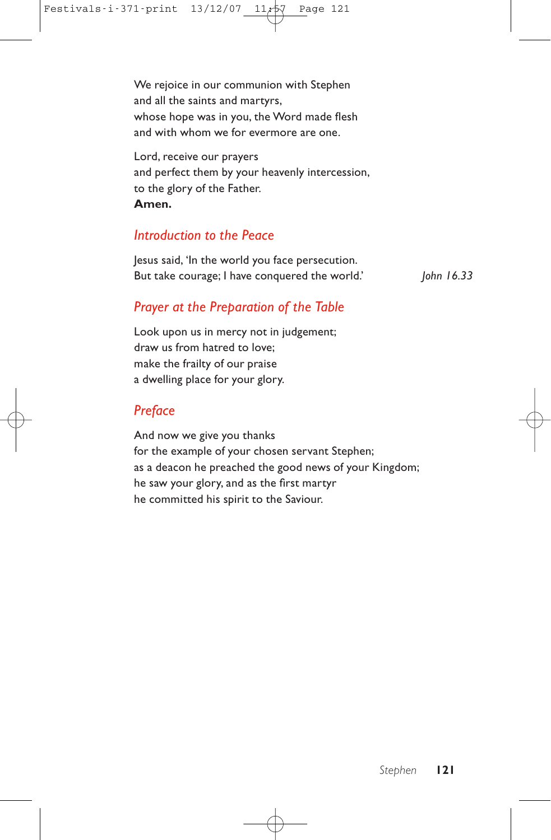We rejoice in our communion with Stephen and all the saints and martyrs, whose hope was in you, the Word made flesh and with whom we for evermore are one.

Lord, receive our prayers and perfect them by your heavenly intercession, to the glory of the Father. **Amen.**

# *Introduction to the Peace*

Jesus said, 'In the world you face persecution. But take courage; I have conquered the world.' *John 16.33*

# *Prayer at the Preparation of the Table*

Look upon us in mercy not in judgement; draw us from hatred to love; make the frailty of our praise a dwelling place for your glory.

# *Preface*

And now we give you thanks for the example of your chosen servant Stephen; as a deacon he preached the good news of your Kingdom; he saw your glory, and as the first martyr he committed his spirit to the Saviour.

*Stephen* **121**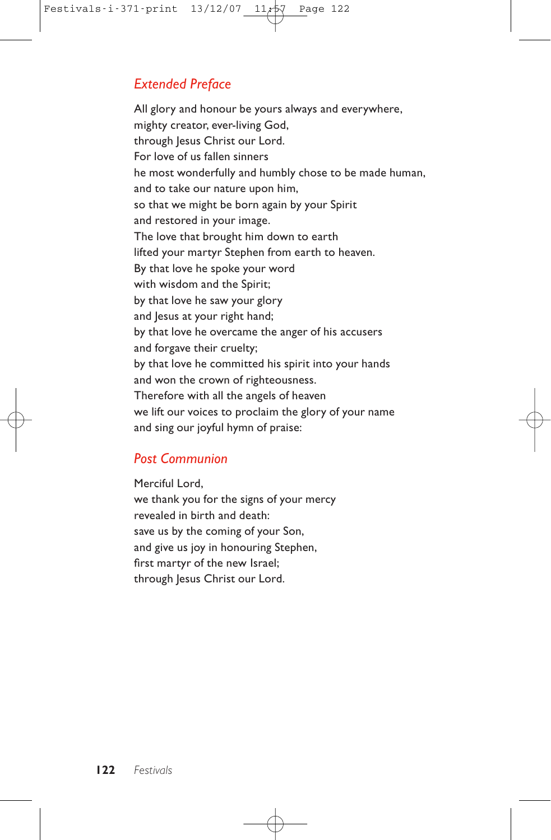# *Extended Preface*

All glory and honour be yours always and everywhere, mighty creator, ever-living God, through Jesus Christ our Lord. For love of us fallen sinners he most wonderfully and humbly chose to be made human, and to take our nature upon him, so that we might be born again by your Spirit and restored in your image. The love that brought him down to earth lifted your martyr Stephen from earth to heaven. By that love he spoke your word with wisdom and the Spirit; by that love he saw your glory and Jesus at your right hand; by that love he overcame the anger of his accusers and forgave their cruelty; by that love he committed his spirit into your hands and won the crown of righteousness. Therefore with all the angels of heaven we lift our voices to proclaim the glory of your name and sing our joyful hymn of praise:

# *Post Communion*

Merciful Lord, we thank you for the signs of your mercy revealed in birth and death: save us by the coming of your Son, and give us joy in honouring Stephen, first martyr of the new Israel; through Jesus Christ our Lord.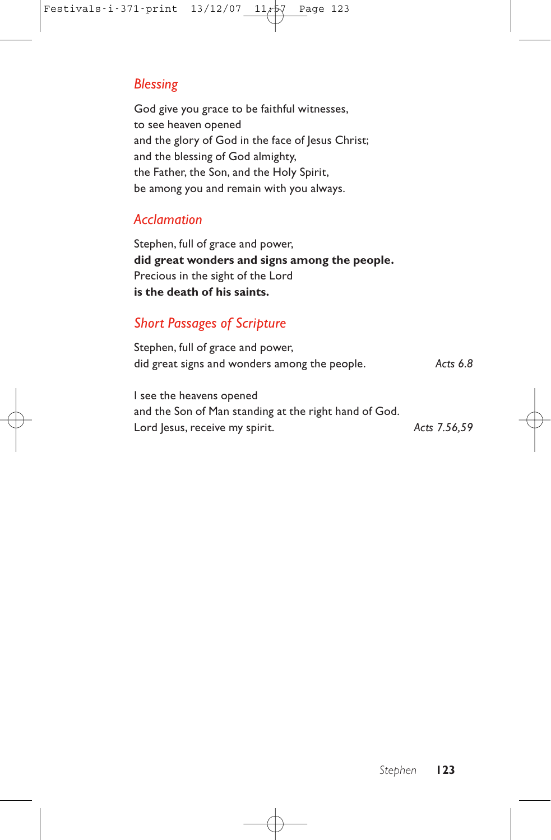# *Blessing*

God give you grace to be faithful witnesses, to see heaven opened and the glory of God in the face of Jesus Christ; and the blessing of God almighty, the Father, the Son, and the Holy Spirit, be among you and remain with you always.

# *Acclamation*

Stephen, full of grace and power, **did great wonders and signs among the people.** Precious in the sight of the Lord **is the death of his saints.**

# *Short Passages of Scripture*

| Stephen, full of grace and power,                     |              |
|-------------------------------------------------------|--------------|
| did great signs and wonders among the people.         | Acts 6.8     |
| I see the heavens opened                              |              |
| and the Son of Man standing at the right hand of God. |              |
| Lord Jesus, receive my spirit.                        | Acts 7.56,59 |

*Stephen* **123**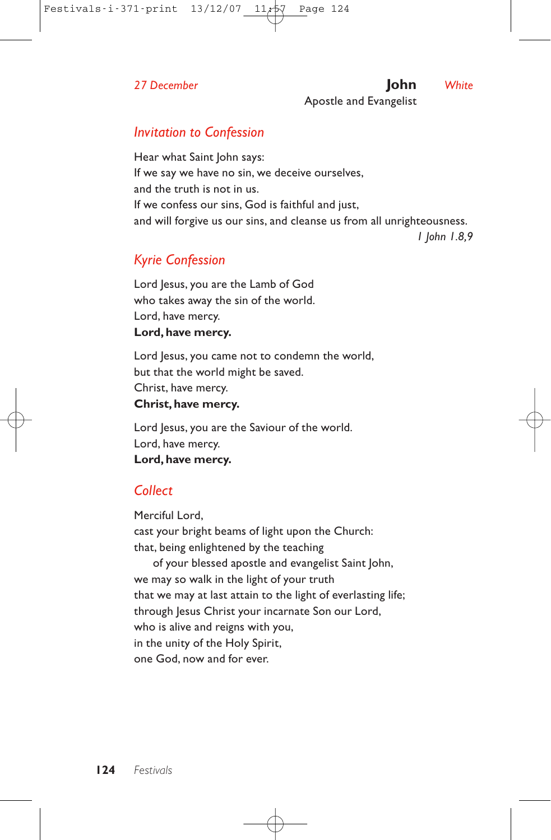# *27 December* **John** *White*

Apostle and Evangelist

#### *Invitation to Confession*

Hear what Saint John says: If we say we have no sin, we deceive ourselves, and the truth is not in us. If we confess our sins, God is faithful and just, and will forgive us our sins, and cleanse us from all unrighteousness.

*1 John 1.8,9*

# *Kyrie Confession*

Lord Jesus, you are the Lamb of God who takes away the sin of the world. Lord, have mercy. **Lord, have mercy.**

Lord Jesus, you came not to condemn the world, but that the world might be saved. Christ, have mercy. **Christ, have mercy.**

Lord Jesus, you are the Saviour of the world. Lord, have mercy. **Lord, have mercy.**

### *Collect*

Merciful Lord, cast your bright beams of light upon the Church: that, being enlightened by the teaching of your blessed apostle and evangelist Saint John, we may so walk in the light of your truth that we may at last attain to the light of everlasting life; through Jesus Christ your incarnate Son our Lord, who is alive and reigns with you, in the unity of the Holy Spirit, one God, now and for ever.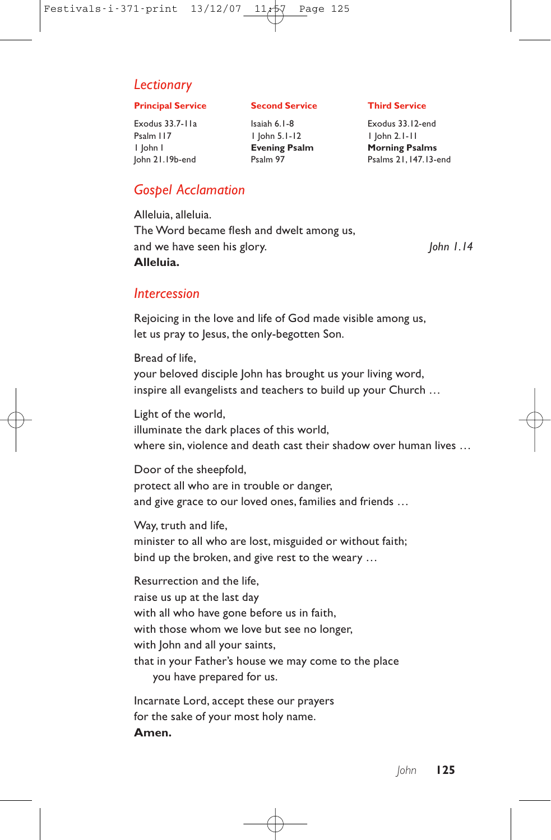### *Lectionary*

#### **Principal Service Second Service Third Service**

Psalm 117 1 John 5.1-12 1 John 2.1-11

Exodus 33.7-11a Isaiah 6.1-8 Exodus 33.12-end 1 John 1 **Evening Psalm Morning Psalms** John 21.19b-end Psalm 97 Psalms 21,147.13-end

#### *Gospel Acclamation*

Alleluia, alleluia. The Word became flesh and dwelt among us, and we have seen his glory. *John 1.14* **Alleluia.**

#### *Intercession*

Rejoicing in the love and life of God made visible among us, let us pray to Jesus, the only-begotten Son.

Bread of life, your beloved disciple John has brought us your living word, inspire all evangelists and teachers to build up your Church …

Light of the world, illuminate the dark places of this world, where sin, violence and death cast their shadow over human lives …

Door of the sheepfold, protect all who are in trouble or danger, and give grace to our loved ones, families and friends …

Way, truth and life, minister to all who are lost, misguided or without faith; bind up the broken, and give rest to the weary …

Resurrection and the life, raise us up at the last day with all who have gone before us in faith, with those whom we love but see no longer, with John and all your saints, that in your Father's house we may come to the place you have prepared for us.

Incarnate Lord, accept these our prayers for the sake of your most holy name. **Amen.**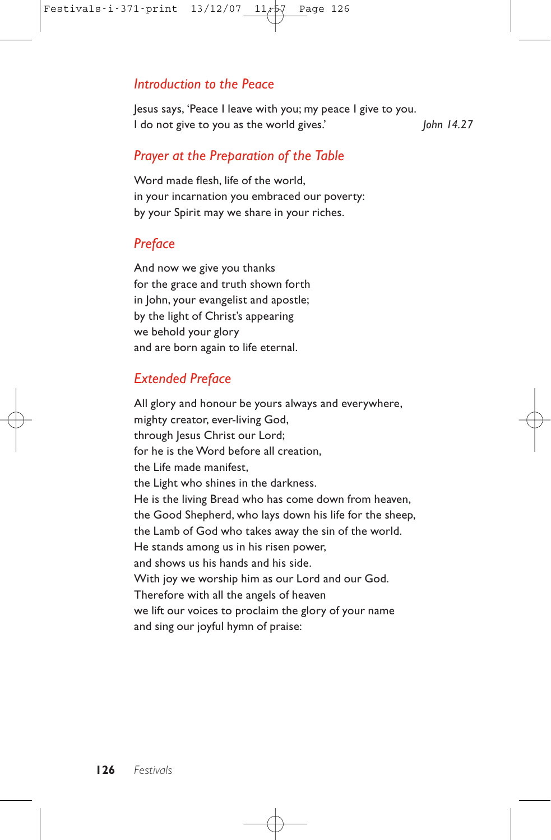# *Introduction to the Peace*

Jesus says, 'Peace I leave with you; my peace I give to you. I do not give to you as the world gives.' *John 14.27*

# *Prayer at the Preparation of the Table*

Word made flesh, life of the world, in your incarnation you embraced our poverty: by your Spirit may we share in your riches.

# *Preface*

And now we give you thanks for the grace and truth shown forth in John, your evangelist and apostle; by the light of Christ's appearing we behold your glory and are born again to life eternal.

# *Extended Preface*

All glory and honour be yours always and everywhere, mighty creator, ever-living God, through Jesus Christ our Lord; for he is the Word before all creation, the Life made manifest, the Light who shines in the darkness. He is the living Bread who has come down from heaven, the Good Shepherd, who lays down his life for the sheep, the Lamb of God who takes away the sin of the world. He stands among us in his risen power, and shows us his hands and his side. With joy we worship him as our Lord and our God. Therefore with all the angels of heaven we lift our voices to proclaim the glory of your name and sing our joyful hymn of praise: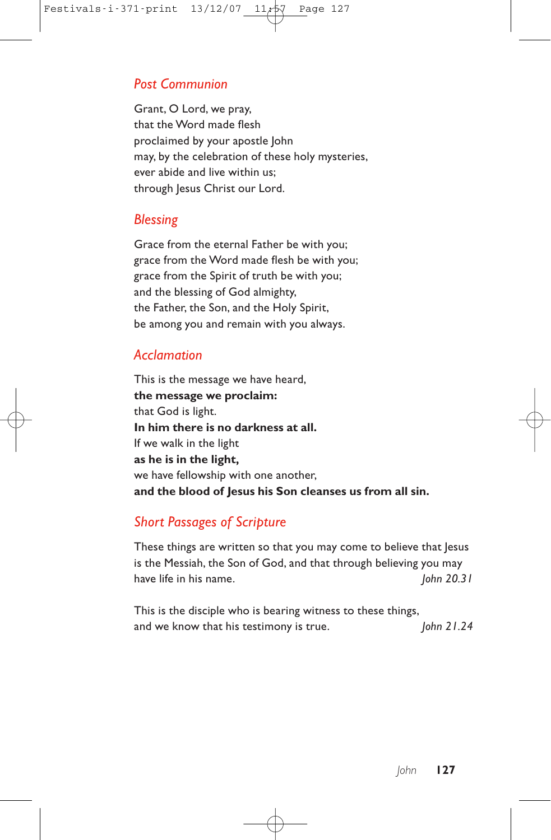# *Post Communion*

Grant, O Lord, we pray, that the Word made flesh proclaimed by your apostle John may, by the celebration of these holy mysteries, ever abide and live within us; through Jesus Christ our Lord.

# *Blessing*

Grace from the eternal Father be with you; grace from the Word made flesh be with you; grace from the Spirit of truth be with you; and the blessing of God almighty, the Father, the Son, and the Holy Spirit, be among you and remain with you always.

# *Acclamation*

This is the message we have heard, **the message we proclaim:** that God is light. **In him there is no darkness at all.** If we walk in the light **as he is in the light,** we have fellowship with one another, **and the blood of Jesus his Son cleanses us from all sin.**

### *Short Passages of Scripture*

These things are written so that you may come to believe that lesus is the Messiah, the Son of God, and that through believing you may have life in his name. *John 20.31* 

This is the disciple who is bearing witness to these things, and we know that his testimony is true. *John 21.24*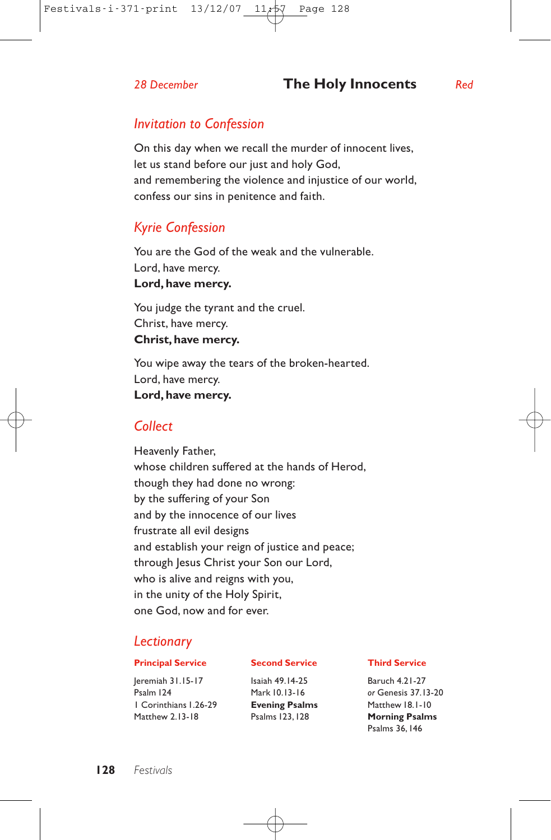### *28 December* **The Holy Innocents** *Red*

#### *Invitation to Confession*

On this day when we recall the murder of innocent lives, let us stand before our just and holy God, and remembering the violence and injustice of our world, confess our sins in penitence and faith.

# *Kyrie Confession*

You are the God of the weak and the vulnerable. Lord, have mercy. **Lord, have mercy.**

You judge the tyrant and the cruel. Christ, have mercy. **Christ, have mercy.**

You wipe away the tears of the broken-hearted. Lord, have mercy. **Lord, have mercy.**

### *Collect*

Heavenly Father, whose children suffered at the hands of Herod, though they had done no wrong: by the suffering of your Son and by the innocence of our lives frustrate all evil designs and establish your reign of justice and peace; through Jesus Christ your Son our Lord, who is alive and reigns with you, in the unity of the Holy Spirit, one God, now and for ever.

#### *Lectionary*

Jeremiah 31.15-17 Isaiah 49.14-25 Baruch 4.21-27 Psalm 124 Mark 10.13-16 *or* Genesis 37.13-20 1 Corinthians 1.26-29 **Evening Psalms** Matthew 18.1-10 Matthew 2.13-18 Psalms 123,128 **Morning Psalms**

#### **Principal Service Second Service Third Service**

Psalms 36,146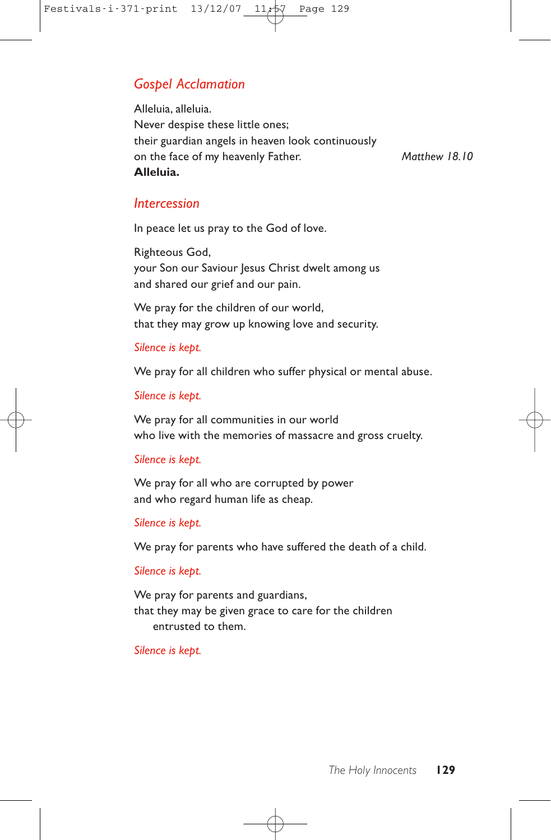# *Gospel Acclamation*

Alleluia, alleluia. Never despise these little ones; their guardian angels in heaven look continuously on the face of my heavenly Father. *Matthew 18.10* **Alleluia.**

### *Intercession*

In peace let us pray to the God of love.

Righteous God, your Son our Saviour Jesus Christ dwelt among us and shared our grief and our pain.

We pray for the children of our world, that they may grow up knowing love and security.

#### *Silence is kept.*

We pray for all children who suffer physical or mental abuse.

#### *Silence is kept.*

We pray for all communities in our world who live with the memories of massacre and gross cruelty.

#### *Silence is kept.*

We pray for all who are corrupted by power and who regard human life as cheap.

#### *Silence is kept.*

We pray for parents who have suffered the death of a child.

#### *Silence is kept.*

We pray for parents and guardians, that they may be given grace to care for the children entrusted to them.

#### *Silence is kept.*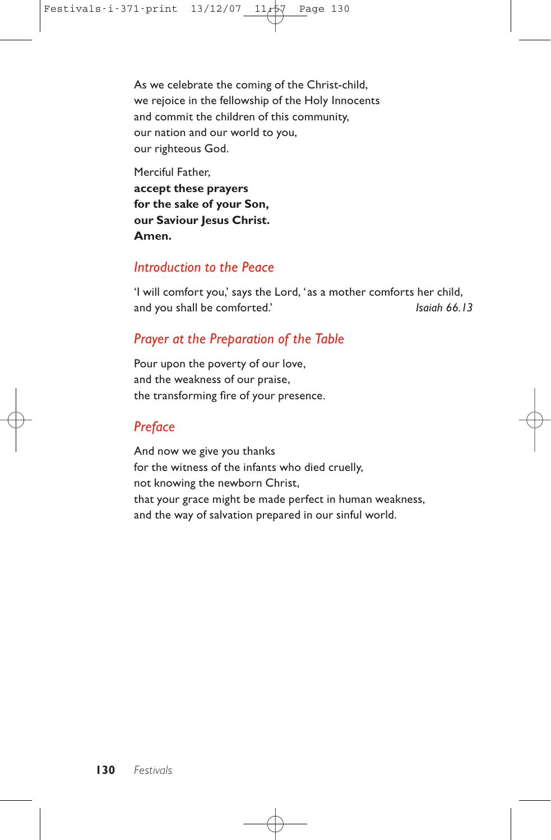As we celebrate the coming of the Christ-child, we rejoice in the fellowship of the Holy Innocents and commit the children of this community, our nation and our world to you, our righteous God.

Merciful Father, **accept these prayers for the sake of your Son, our Saviour Jesus Christ. Amen.**

### *Introduction to the Peace*

'I will comfort you,' says the Lord, 'as a mother comforts her child, and you shall be comforted.' *Isaiah 66.13*

### *Prayer at the Preparation of the Table*

Pour upon the poverty of our love, and the weakness of our praise, the transforming fire of your presence.

### *Preface*

And now we give you thanks for the witness of the infants who died cruelly, not knowing the newborn Christ, that your grace might be made perfect in human weakness, and the way of salvation prepared in our sinful world.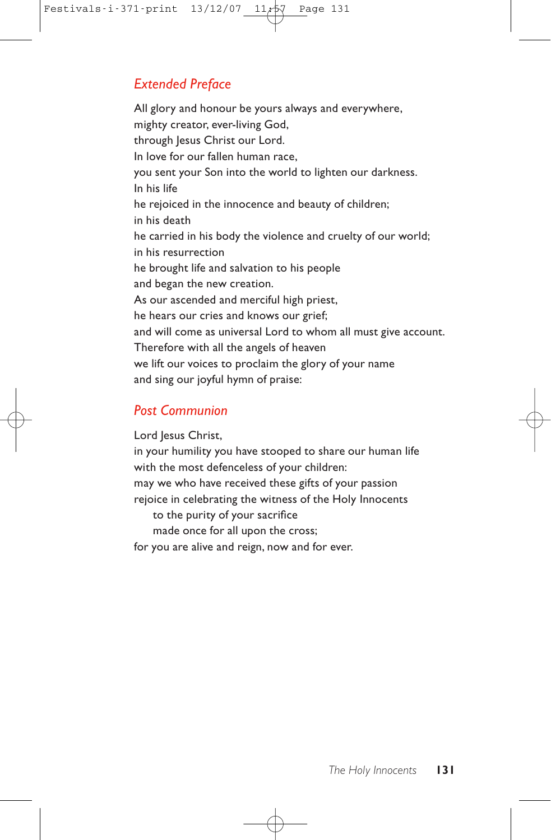# *Extended Preface*

All glory and honour be yours always and everywhere, mighty creator, ever-living God, through Jesus Christ our Lord. In love for our fallen human race, you sent your Son into the world to lighten our darkness. In his life he rejoiced in the innocence and beauty of children; in his death he carried in his body the violence and cruelty of our world; in his resurrection he brought life and salvation to his people and began the new creation. As our ascended and merciful high priest, he hears our cries and knows our grief; and will come as universal Lord to whom all must give account. Therefore with all the angels of heaven we lift our voices to proclaim the glory of your name and sing our joyful hymn of praise:

# *Post Communion*

Lord Jesus Christ,

in your humility you have stooped to share our human life with the most defenceless of your children: may we who have received these gifts of your passion rejoice in celebrating the witness of the Holy Innocents

to the purity of your sacrifice

made once for all upon the cross;

for you are alive and reign, now and for ever.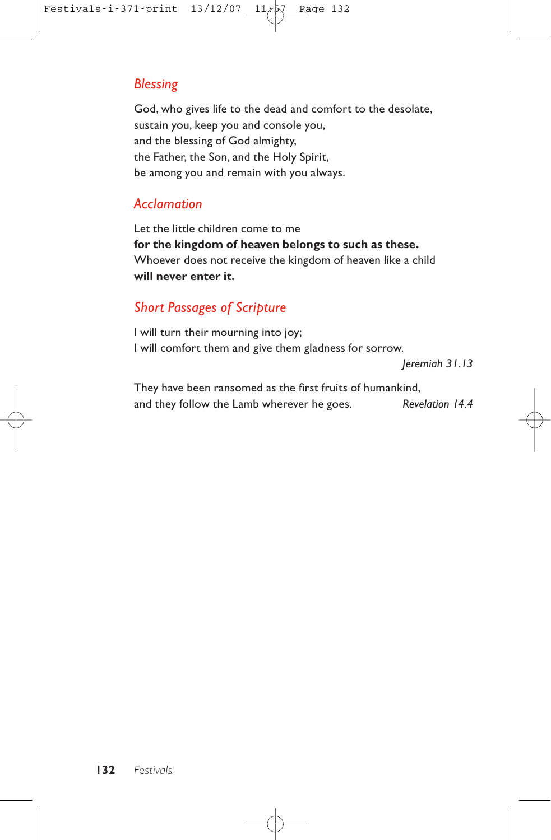# *Blessing*

God, who gives life to the dead and comfort to the desolate, sustain you, keep you and console you, and the blessing of God almighty, the Father, the Son, and the Holy Spirit, be among you and remain with you always.

# *Acclamation*

Let the little children come to me **for the kingdom of heaven belongs to such as these.** Whoever does not receive the kingdom of heaven like a child **will never enter it.**

# *Short Passages of Scripture*

I will turn their mourning into joy; I will comfort them and give them gladness for sorrow.

*Jeremiah 31.13*

They have been ransomed as the first fruits of humankind, and they follow the Lamb wherever he goes. *Revelation 14.4*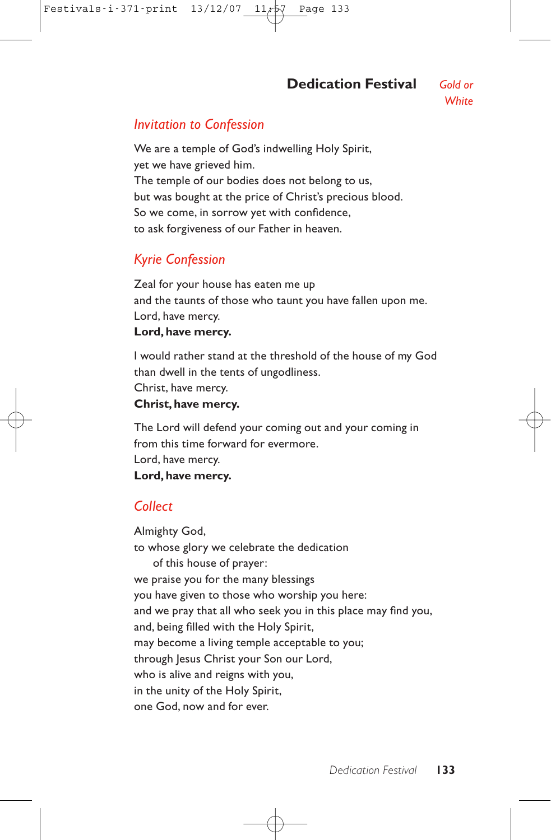**Dedication Festival** *Gold or*

*White*

# *Invitation to Confession*

We are a temple of God's indwelling Holy Spirit, yet we have grieved him. The temple of our bodies does not belong to us, but was bought at the price of Christ's precious blood. So we come, in sorrow yet with confidence, to ask forgiveness of our Father in heaven.

# *Kyrie Confession*

Zeal for your house has eaten me up and the taunts of those who taunt you have fallen upon me. Lord, have mercy. **Lord, have mercy.**

I would rather stand at the threshold of the house of my God than dwell in the tents of ungodliness. Christ, have mercy. **Christ, have mercy.**

The Lord will defend your coming out and your coming in from this time forward for evermore. Lord, have mercy. **Lord, have mercy.**

# *Collect*

Almighty God, to whose glory we celebrate the dedication of this house of prayer: we praise you for the many blessings you have given to those who worship you here: and we pray that all who seek you in this place may find you, and, being filled with the Holy Spirit, may become a living temple acceptable to you; through Jesus Christ your Son our Lord, who is alive and reigns with you, in the unity of the Holy Spirit, one God, now and for ever.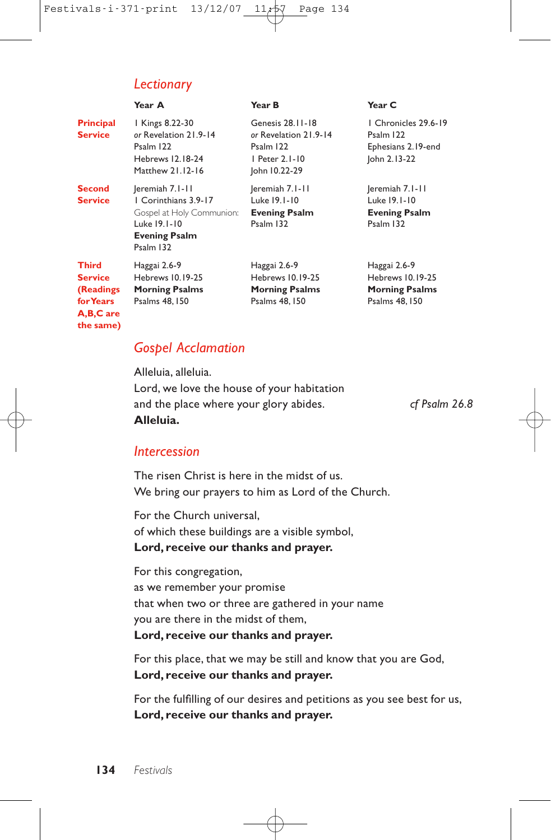# *Lectionary*

|                                                                                     | Year A                                                                                                                    | Year B                                                                                    | Year C                                                                      |
|-------------------------------------------------------------------------------------|---------------------------------------------------------------------------------------------------------------------------|-------------------------------------------------------------------------------------------|-----------------------------------------------------------------------------|
| <b>Principal</b><br><b>Service</b>                                                  | Kings 8.22-30<br>or Revelation 21.9-14<br>Psalm 122<br>Hebrews 12.18-24<br>Matthew 21.12-16                               | Genesis 28.11-18<br>or Revelation 21.9-14<br>Psalm 122<br>  Peter 2.1-10<br>John 10.22-29 | 1 Chronicles 29.6-19<br>Psalm 122<br>Ephesians 2.19-end<br>John 2.13-22     |
| <b>Second</b><br><b>Service</b>                                                     | Jeremiah 7.1-11<br>I Corinthians 3.9-17<br>Gospel at Holy Communion:<br>Luke 19.1-10<br><b>Evening Psalm</b><br>Psalm 132 | Jeremiah 7.1-11<br>Luke 19.1-10<br><b>Evening Psalm</b><br>Psalm 132                      | Jeremiah 7.1-11<br>Luke 19.1-10<br><b>Evening Psalm</b><br>Psalm 132        |
| <b>Third</b><br><b>Service</b><br>(Readings)<br>for Years<br>A,B,C are<br>the same) | Haggai 2.6-9<br>Hebrews 10.19-25<br><b>Morning Psalms</b><br>Psalms 48, 150                                               | Haggai 2.6-9<br>Hebrews 10.19-25<br><b>Morning Psalms</b><br>Psalms 48, 150               | Haggai 2.6-9<br>Hebrews 10.19-25<br><b>Morning Psalms</b><br>Psalms 48, 150 |

# *Gospel Acclamation*

Alleluia, alleluia. Lord, we love the house of your habitation and the place where your glory abides. *cf Psalm 26.8* **Alleluia.**

#### *Intercession*

The risen Christ is here in the midst of us. We bring our prayers to him as Lord of the Church.

For the Church universal, of which these buildings are a visible symbol, **Lord, receive our thanks and prayer.**

For this congregation, as we remember your promise that when two or three are gathered in your name you are there in the midst of them, **Lord, receive our thanks and prayer.**

For this place, that we may be still and know that you are God, **Lord, receive our thanks and prayer.**

For the fulfilling of our desires and petitions as you see best for us, **Lord, receive our thanks and prayer.**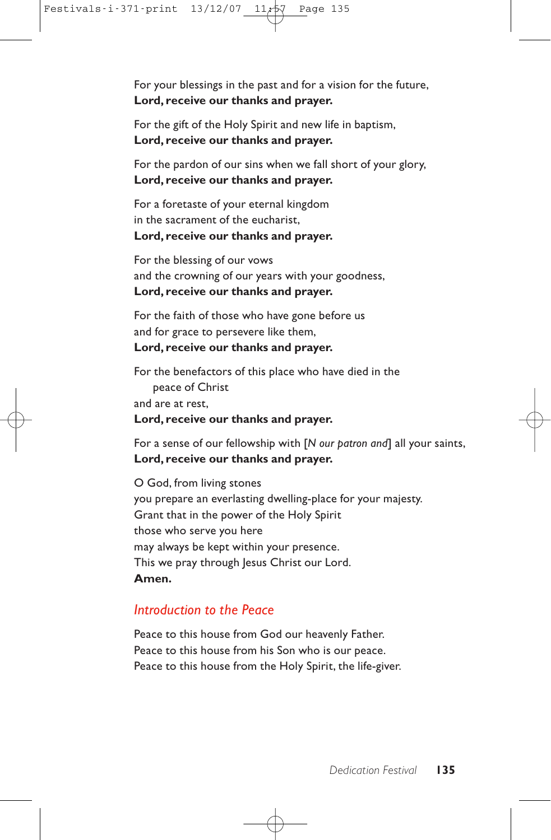For your blessings in the past and for a vision for the future, **Lord, receive our thanks and prayer.**

For the gift of the Holy Spirit and new life in baptism, **Lord, receive our thanks and prayer.**

For the pardon of our sins when we fall short of your glory, **Lord, receive our thanks and prayer.**

For a foretaste of your eternal kingdom in the sacrament of the eucharist, **Lord, receive our thanks and prayer.**

For the blessing of our vows and the crowning of our years with your goodness, **Lord, receive our thanks and prayer.**

For the faith of those who have gone before us and for grace to persevere like them, **Lord, receive our thanks and prayer.**

For the benefactors of this place who have died in the peace of Christ and are at rest,

**Lord, receive our thanks and prayer.**

For a sense of our fellowship with [*N our patron and*] all your saints, **Lord, receive our thanks and prayer.**

O God, from living stones you prepare an everlasting dwelling-place for your majesty. Grant that in the power of the Holy Spirit those who serve you here may always be kept within your presence. This we pray through Jesus Christ our Lord. **Amen.**

# *Introduction to the Peace*

Peace to this house from God our heavenly Father. Peace to this house from his Son who is our peace. Peace to this house from the Holy Spirit, the life-giver.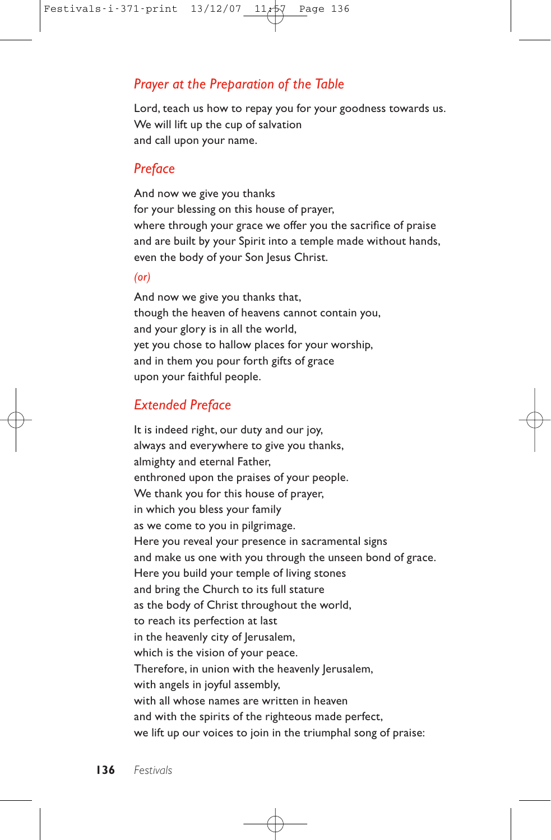# *Prayer at the Preparation of the Table*

Lord, teach us how to repay you for your goodness towards us. We will lift up the cup of salvation and call upon your name.

# *Preface*

And now we give you thanks for your blessing on this house of prayer, where through your grace we offer you the sacrifice of praise and are built by your Spirit into a temple made without hands, even the body of your Son Jesus Christ.

# *(or)*

And now we give you thanks that, though the heaven of heavens cannot contain you, and your glory is in all the world, yet you chose to hallow places for your worship, and in them you pour forth gifts of grace upon your faithful people.

# *Extended Preface*

It is indeed right, our duty and our joy, always and everywhere to give you thanks, almighty and eternal Father, enthroned upon the praises of your people. We thank you for this house of prayer, in which you bless your family as we come to you in pilgrimage. Here you reveal your presence in sacramental signs and make us one with you through the unseen bond of grace. Here you build your temple of living stones and bring the Church to its full stature as the body of Christ throughout the world, to reach its perfection at last in the heavenly city of Jerusalem, which is the vision of your peace. Therefore, in union with the heavenly Jerusalem, with angels in joyful assembly, with all whose names are written in heaven and with the spirits of the righteous made perfect, we lift up our voices to join in the triumphal song of praise: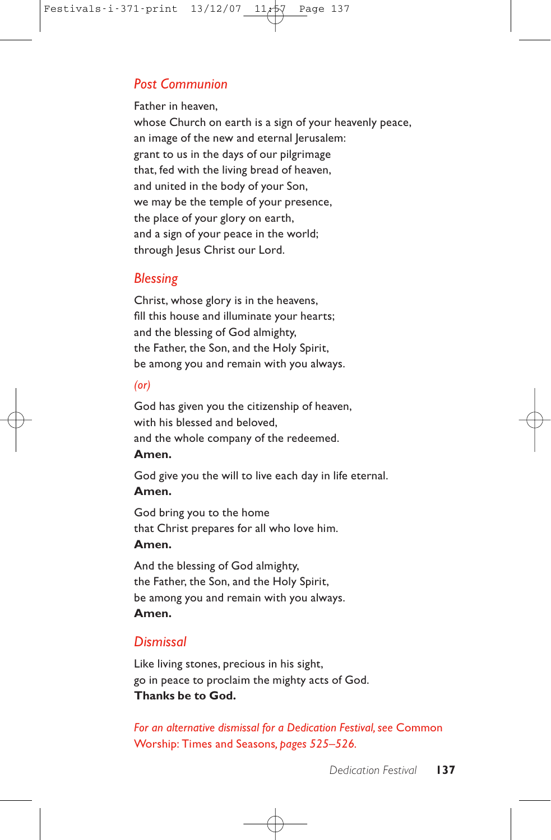# *Post Communion*

Father in heaven,

whose Church on earth is a sign of your heavenly peace, an image of the new and eternal Jerusalem: grant to us in the days of our pilgrimage that, fed with the living bread of heaven, and united in the body of your Son, we may be the temple of your presence, the place of your glory on earth, and a sign of your peace in the world; through Jesus Christ our Lord.

# *Blessing*

Christ, whose glory is in the heavens, fill this house and illuminate your hearts; and the blessing of God almighty, the Father, the Son, and the Holy Spirit, be among you and remain with you always.

#### *(or)*

God has given you the citizenship of heaven, with his blessed and beloved, and the whole company of the redeemed. **Amen.**

God give you the will to live each day in life eternal. **Amen.**

God bring you to the home that Christ prepares for all who love him. **Amen.**

And the blessing of God almighty, the Father, the Son, and the Holy Spirit, be among you and remain with you always. **Amen.**

### *Dismissal*

Like living stones, precious in his sight, go in peace to proclaim the mighty acts of God. **Thanks be to God.**

*For an alternative dismissal for a Dedication Festival, see* Common Worship: Times and Seasons*, pages 525–526.*

*Dedication Festival* **137**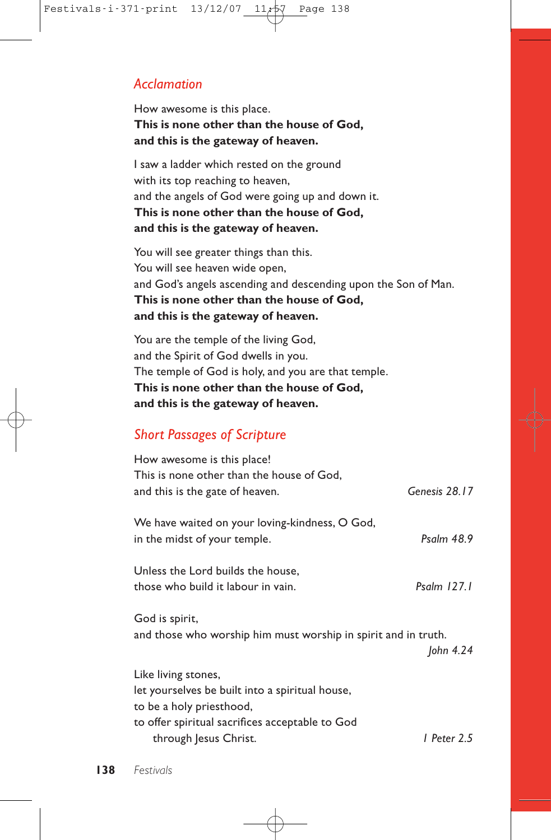# *Acclamation*

How awesome is this place. **This is none other than the house of God, and this is the gateway of heaven.**

I saw a ladder which rested on the ground with its top reaching to heaven, and the angels of God were going up and down it. **This is none other than the house of God, and this is the gateway of heaven.**

You will see greater things than this. You will see heaven wide open, and God's angels ascending and descending upon the Son of Man. **This is none other than the house of God, and this is the gateway of heaven.**

You are the temple of the living God, and the Spirit of God dwells in you. The temple of God is holy, and you are that temple. **This is none other than the house of God, and this is the gateway of heaven.**

#### *Short Passages of Scripture*

| How awesome is this place!                                     |               |
|----------------------------------------------------------------|---------------|
| This is none other than the house of God,                      |               |
| and this is the gate of heaven.                                | Genesis 28.17 |
| We have waited on your loving-kindness, O God,                 |               |
| in the midst of your temple.                                   | Psalm 48.9    |
| Unless the Lord builds the house,                              |               |
| those who build it labour in vain.                             | Psalm 127.1   |
| God is spirit,                                                 |               |
| and those who worship him must worship in spirit and in truth. |               |
|                                                                | John 4.24     |
| Like living stones,                                            |               |
| let yourselves be built into a spiritual house,                |               |
| to be a holy priesthood,                                       |               |
| to offer spiritual sacrifices acceptable to God                |               |
| through Jesus Christ.                                          | 1 Peter 2.5   |

**138** *Festivals*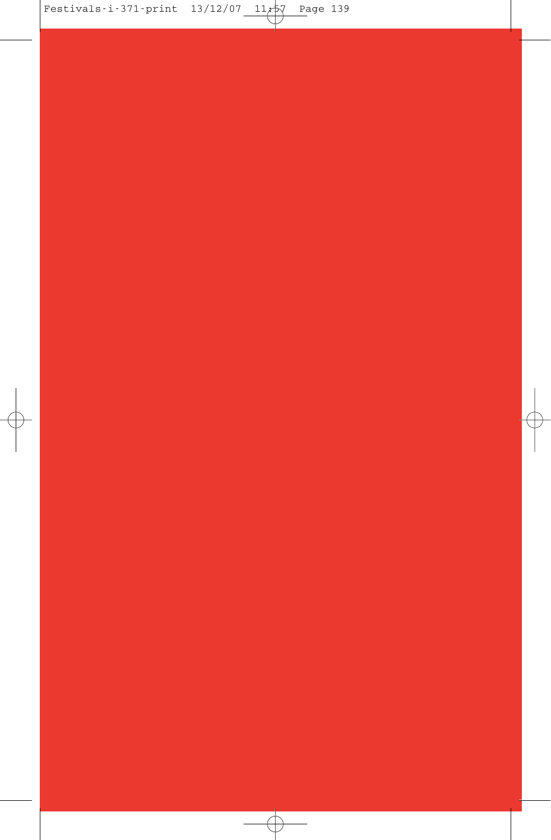$\overline{\varphi}$